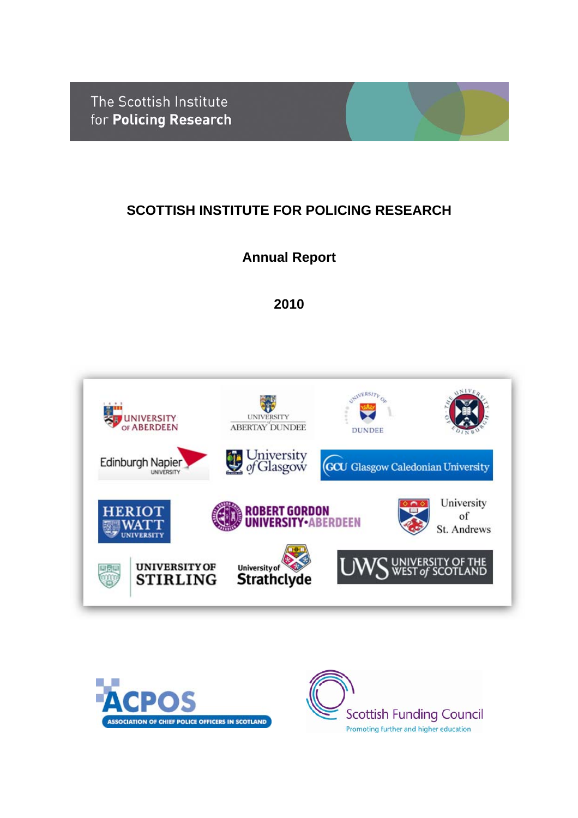The Scottish Institute for Policing Research

# **SCOTTISH INSTITUTE FOR POLICING RESEARCH**

# **Annual Report**

**2010**





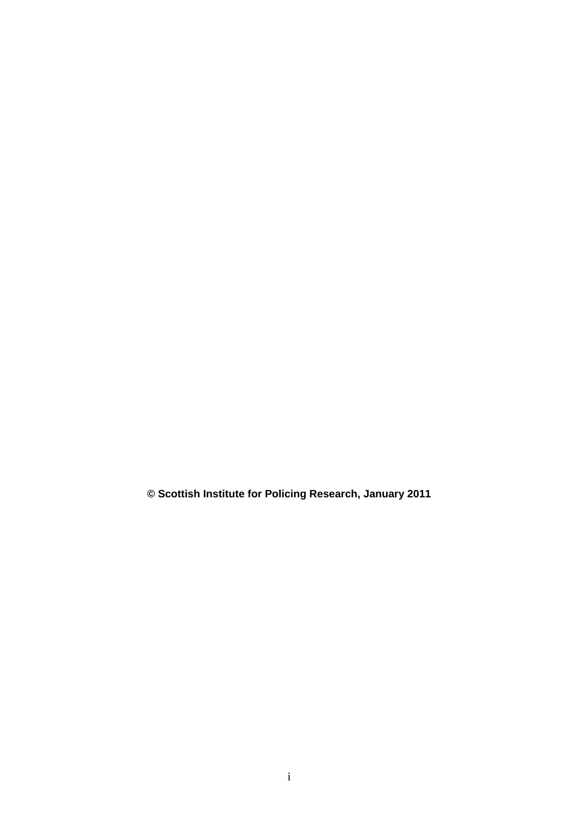**© Scottish Institute for Policing Research, January 2011**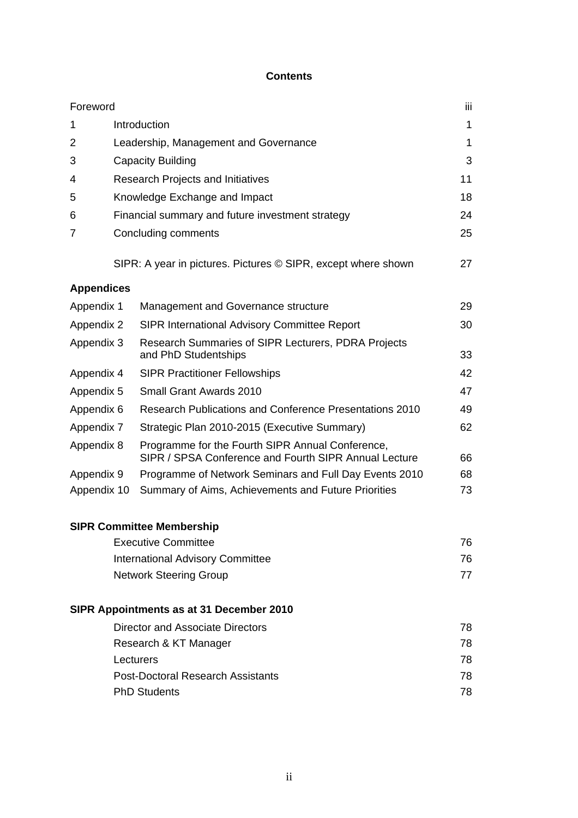#### **Contents**

| Foreword                         |                                                  |                                                                                                           | ΪİΙ |  |
|----------------------------------|--------------------------------------------------|-----------------------------------------------------------------------------------------------------------|-----|--|
| 1                                |                                                  | Introduction                                                                                              | 1   |  |
| 2                                |                                                  | Leadership, Management and Governance                                                                     | 1   |  |
| 3                                |                                                  | <b>Capacity Building</b>                                                                                  | 3   |  |
| 4                                |                                                  | Research Projects and Initiatives                                                                         | 11  |  |
| 5                                |                                                  | Knowledge Exchange and Impact                                                                             | 18  |  |
| 6                                | Financial summary and future investment strategy |                                                                                                           |     |  |
| 7                                |                                                  | Concluding comments                                                                                       | 25  |  |
|                                  |                                                  | SIPR: A year in pictures. Pictures © SIPR, except where shown                                             | 27  |  |
| <b>Appendices</b>                |                                                  |                                                                                                           |     |  |
| Appendix 1                       |                                                  | Management and Governance structure                                                                       | 29  |  |
| Appendix 2                       |                                                  | <b>SIPR International Advisory Committee Report</b>                                                       | 30  |  |
| Appendix 3                       |                                                  | Research Summaries of SIPR Lecturers, PDRA Projects<br>and PhD Studentships                               | 33  |  |
| Appendix 4                       |                                                  | <b>SIPR Practitioner Fellowships</b>                                                                      | 42  |  |
| Appendix 5                       |                                                  | <b>Small Grant Awards 2010</b>                                                                            | 47  |  |
| Appendix 6                       |                                                  | <b>Research Publications and Conference Presentations 2010</b>                                            | 49  |  |
| Appendix 7                       |                                                  | Strategic Plan 2010-2015 (Executive Summary)                                                              | 62  |  |
| Appendix 8                       |                                                  | Programme for the Fourth SIPR Annual Conference,<br>SIPR / SPSA Conference and Fourth SIPR Annual Lecture | 66  |  |
| Appendix 9                       |                                                  | Programme of Network Seminars and Full Day Events 2010                                                    | 68  |  |
| Appendix 10                      |                                                  | Summary of Aims, Achievements and Future Priorities                                                       | 73  |  |
|                                  |                                                  | <b>SIPR Committee Membership</b>                                                                          |     |  |
|                                  |                                                  | <b>Executive Committee</b>                                                                                | 76  |  |
|                                  |                                                  | <b>International Advisory Committee</b>                                                                   | 76  |  |
|                                  |                                                  | <b>Network Steering Group</b>                                                                             | 77  |  |
|                                  |                                                  | SIPR Appointments as at 31 December 2010                                                                  |     |  |
| Director and Associate Directors |                                                  |                                                                                                           | 78  |  |
|                                  |                                                  | Research & KT Manager                                                                                     | 78  |  |
|                                  | Lecturers                                        |                                                                                                           | 78  |  |
|                                  |                                                  | <b>Post-Doctoral Research Assistants</b>                                                                  | 78  |  |
|                                  |                                                  | <b>PhD Students</b>                                                                                       | 78  |  |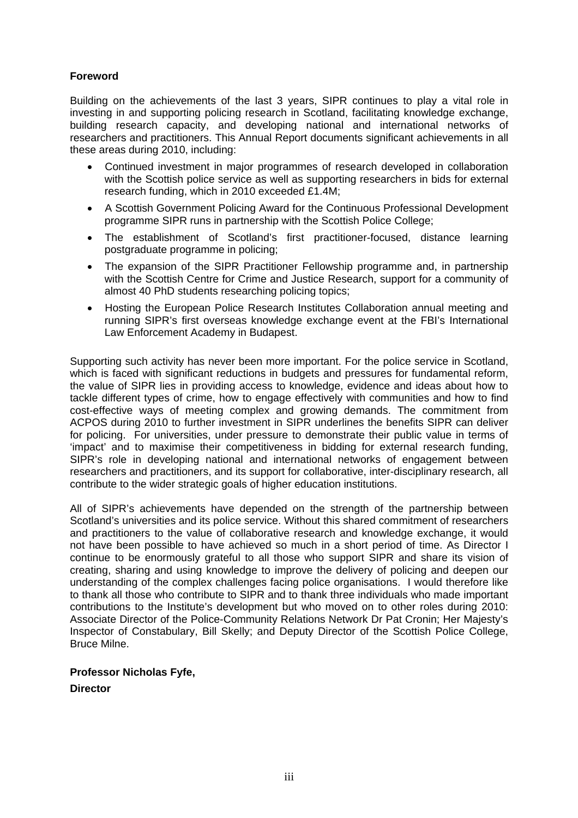#### **Foreword**

Building on the achievements of the last 3 years, SIPR continues to play a vital role in investing in and supporting policing research in Scotland, facilitating knowledge exchange, building research capacity, and developing national and international networks of researchers and practitioners. This Annual Report documents significant achievements in all these areas during 2010, including:

- Continued investment in major programmes of research developed in collaboration with the Scottish police service as well as supporting researchers in bids for external research funding, which in 2010 exceeded £1.4M;
- A Scottish Government Policing Award for the Continuous Professional Development programme SIPR runs in partnership with the Scottish Police College;
- The establishment of Scotland's first practitioner-focused, distance learning postgraduate programme in policing;
- The expansion of the SIPR Practitioner Fellowship programme and, in partnership with the Scottish Centre for Crime and Justice Research, support for a community of almost 40 PhD students researching policing topics;
- Hosting the European Police Research Institutes Collaboration annual meeting and running SIPR's first overseas knowledge exchange event at the FBI's International Law Enforcement Academy in Budapest.

Supporting such activity has never been more important. For the police service in Scotland, which is faced with significant reductions in budgets and pressures for fundamental reform, the value of SIPR lies in providing access to knowledge, evidence and ideas about how to tackle different types of crime, how to engage effectively with communities and how to find cost-effective ways of meeting complex and growing demands. The commitment from ACPOS during 2010 to further investment in SIPR underlines the benefits SIPR can deliver for policing. For universities, under pressure to demonstrate their public value in terms of 'impact' and to maximise their competitiveness in bidding for external research funding, SIPR's role in developing national and international networks of engagement between researchers and practitioners, and its support for collaborative, inter-disciplinary research, all contribute to the wider strategic goals of higher education institutions.

All of SIPR's achievements have depended on the strength of the partnership between Scotland's universities and its police service. Without this shared commitment of researchers and practitioners to the value of collaborative research and knowledge exchange, it would not have been possible to have achieved so much in a short period of time. As Director I continue to be enormously grateful to all those who support SIPR and share its vision of creating, sharing and using knowledge to improve the delivery of policing and deepen our understanding of the complex challenges facing police organisations. I would therefore like to thank all those who contribute to SIPR and to thank three individuals who made important contributions to the Institute's development but who moved on to other roles during 2010: Associate Director of the Police-Community Relations Network Dr Pat Cronin; Her Majesty's Inspector of Constabulary, Bill Skelly; and Deputy Director of the Scottish Police College, Bruce Milne.

## **Professor Nicholas Fyfe, Director**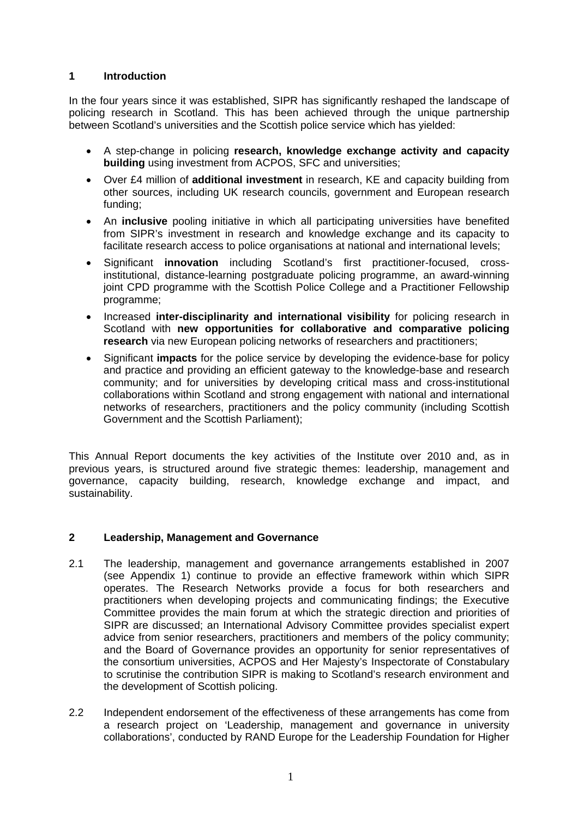#### **1 Introduction**

In the four years since it was established, SIPR has significantly reshaped the landscape of policing research in Scotland. This has been achieved through the unique partnership between Scotland's universities and the Scottish police service which has yielded:

- A step-change in policing **research, knowledge exchange activity and capacity building** using investment from ACPOS, SFC and universities;
- Over £4 million of **additional investment** in research, KE and capacity building from other sources, including UK research councils, government and European research funding;
- An **inclusive** pooling initiative in which all participating universities have benefited from SIPR's investment in research and knowledge exchange and its capacity to facilitate research access to police organisations at national and international levels;
- Significant **innovation** including Scotland's first practitioner-focused, crossinstitutional, distance-learning postgraduate policing programme, an award-winning joint CPD programme with the Scottish Police College and a Practitioner Fellowship programme;
- Increased **inter-disciplinarity and international visibility** for policing research in Scotland with **new opportunities for collaborative and comparative policing research** via new European policing networks of researchers and practitioners;
- Significant **impacts** for the police service by developing the evidence-base for policy and practice and providing an efficient gateway to the knowledge-base and research community; and for universities by developing critical mass and cross-institutional collaborations within Scotland and strong engagement with national and international networks of researchers, practitioners and the policy community (including Scottish Government and the Scottish Parliament);

This Annual Report documents the key activities of the Institute over 2010 and, as in previous years, is structured around five strategic themes: leadership, management and governance, capacity building, research, knowledge exchange and impact, and sustainability.

#### **2 Leadership, Management and Governance**

- 2.1 The leadership, management and governance arrangements established in 2007 (see Appendix 1) continue to provide an effective framework within which SIPR operates. The Research Networks provide a focus for both researchers and practitioners when developing projects and communicating findings; the Executive Committee provides the main forum at which the strategic direction and priorities of SIPR are discussed; an International Advisory Committee provides specialist expert advice from senior researchers, practitioners and members of the policy community; and the Board of Governance provides an opportunity for senior representatives of the consortium universities, ACPOS and Her Majesty's Inspectorate of Constabulary to scrutinise the contribution SIPR is making to Scotland's research environment and the development of Scottish policing.
- 2.2 Independent endorsement of the effectiveness of these arrangements has come from a research project on 'Leadership, management and governance in university collaborations', conducted by RAND Europe for the Leadership Foundation for Higher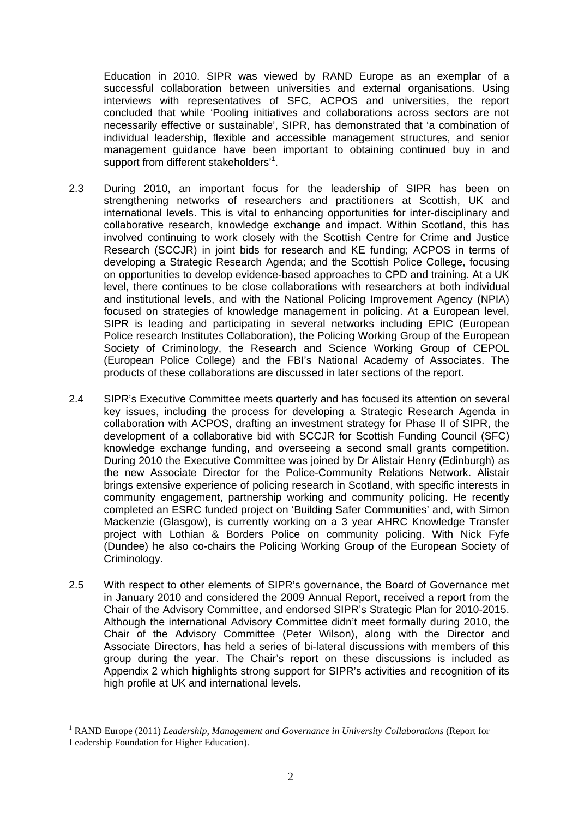Education in 2010. SIPR was viewed by RAND Europe as an exemplar of a successful collaboration between universities and external organisations. Using interviews with representatives of SFC, ACPOS and universities, the report concluded that while 'Pooling initiatives and collaborations across sectors are not necessarily effective or sustainable', SIPR, has demonstrated that 'a combination of individual leadership, flexible and accessible management structures, and senior management guidance have been important to obtaining continued buy in and support from different stakeholders'<sup>1</sup>.

- 2.3 During 2010, an important focus for the leadership of SIPR has been on strengthening networks of researchers and practitioners at Scottish, UK and international levels. This is vital to enhancing opportunities for inter-disciplinary and collaborative research, knowledge exchange and impact. Within Scotland, this has involved continuing to work closely with the Scottish Centre for Crime and Justice Research (SCCJR) in joint bids for research and KE funding; ACPOS in terms of developing a Strategic Research Agenda; and the Scottish Police College, focusing on opportunities to develop evidence-based approaches to CPD and training. At a UK level, there continues to be close collaborations with researchers at both individual and institutional levels, and with the National Policing Improvement Agency (NPIA) focused on strategies of knowledge management in policing. At a European level, SIPR is leading and participating in several networks including EPIC (European Police research Institutes Collaboration), the Policing Working Group of the European Society of Criminology, the Research and Science Working Group of CEPOL (European Police College) and the FBI's National Academy of Associates. The products of these collaborations are discussed in later sections of the report.
- 2.4 SIPR's Executive Committee meets quarterly and has focused its attention on several key issues, including the process for developing a Strategic Research Agenda in collaboration with ACPOS, drafting an investment strategy for Phase II of SIPR, the development of a collaborative bid with SCCJR for Scottish Funding Council (SFC) knowledge exchange funding, and overseeing a second small grants competition. During 2010 the Executive Committee was joined by Dr Alistair Henry (Edinburgh) as the new Associate Director for the Police-Community Relations Network. Alistair brings extensive experience of policing research in Scotland, with specific interests in community engagement, partnership working and community policing. He recently completed an ESRC funded project on 'Building Safer Communities' and, with Simon Mackenzie (Glasgow), is currently working on a 3 year AHRC Knowledge Transfer project with Lothian & Borders Police on community policing. With Nick Fyfe (Dundee) he also co-chairs the Policing Working Group of the European Society of Criminology.
- 2.5 With respect to other elements of SIPR's governance, the Board of Governance met in January 2010 and considered the 2009 Annual Report, received a report from the Chair of the Advisory Committee, and endorsed SIPR's Strategic Plan for 2010-2015. Although the international Advisory Committee didn't meet formally during 2010, the Chair of the Advisory Committee (Peter Wilson), along with the Director and Associate Directors, has held a series of bi-lateral discussions with members of this group during the year. The Chair's report on these discussions is included as Appendix 2 which highlights strong support for SIPR's activities and recognition of its high profile at UK and international levels.

 $\overline{a}$ 

<sup>&</sup>lt;sup>1</sup> RAND Europe (2011) *Leadership, Management and Governance in University Collaborations* (Report for Leadership Foundation for Higher Education).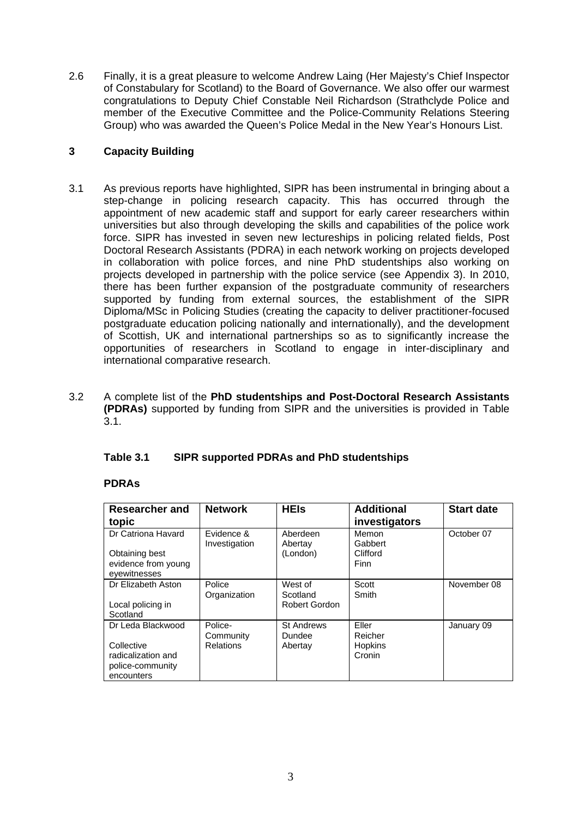2.6 Finally, it is a great pleasure to welcome Andrew Laing (Her Majesty's Chief Inspector of Constabulary for Scotland) to the Board of Governance. We also offer our warmest congratulations to Deputy Chief Constable Neil Richardson (Strathclyde Police and member of the Executive Committee and the Police-Community Relations Steering Group) who was awarded the Queen's Police Medal in the New Year's Honours List.

#### **3 Capacity Building**

- 3.1 As previous reports have highlighted, SIPR has been instrumental in bringing about a step-change in policing research capacity. This has occurred through the appointment of new academic staff and support for early career researchers within universities but also through developing the skills and capabilities of the police work force. SIPR has invested in seven new lectureships in policing related fields, Post Doctoral Research Assistants (PDRA) in each network working on projects developed in collaboration with police forces, and nine PhD studentships also working on projects developed in partnership with the police service (see Appendix 3). In 2010, there has been further expansion of the postgraduate community of researchers supported by funding from external sources, the establishment of the SIPR Diploma/MSc in Policing Studies (creating the capacity to deliver practitioner-focused postgraduate education policing nationally and internationally), and the development of Scottish, UK and international partnerships so as to significantly increase the opportunities of researchers in Scotland to engage in inter-disciplinary and international comparative research.
- 3.2 A complete list of the **PhD studentships and Post-Doctoral Research Assistants (PDRAs)** supported by funding from SIPR and the universities is provided in Table  $3.1.$

#### **Table 3.1 SIPR supported PDRAs and PhD studentships**

#### **PDRAs**

| Researcher and<br>topic                                            | <b>Network</b>              | <b>HEIs</b>                     | <b>Additional</b><br>investigators   | <b>Start date</b> |
|--------------------------------------------------------------------|-----------------------------|---------------------------------|--------------------------------------|-------------------|
| Dr Catriona Havard<br>Obtaining best<br>evidence from young        | Evidence &<br>Investigation | Aberdeen<br>Abertay<br>(London) | Memon<br>Gabbert<br>Clifford<br>Finn | October 07        |
| evewitnesses                                                       |                             |                                 |                                      |                   |
| Dr Elizabeth Aston                                                 | Police<br>Organization      | West of<br>Scotland             | Scott<br>Smith                       | November 08       |
| Local policing in<br>Scotland                                      |                             | Robert Gordon                   |                                      |                   |
| Dr Leda Blackwood                                                  | Police-<br>Community        | <b>St Andrews</b><br>Dundee     | Eller<br>Reicher                     | January 09        |
| Collective<br>radicalization and<br>police-community<br>encounters | <b>Relations</b>            | Abertay                         | <b>Hopkins</b><br>Cronin             |                   |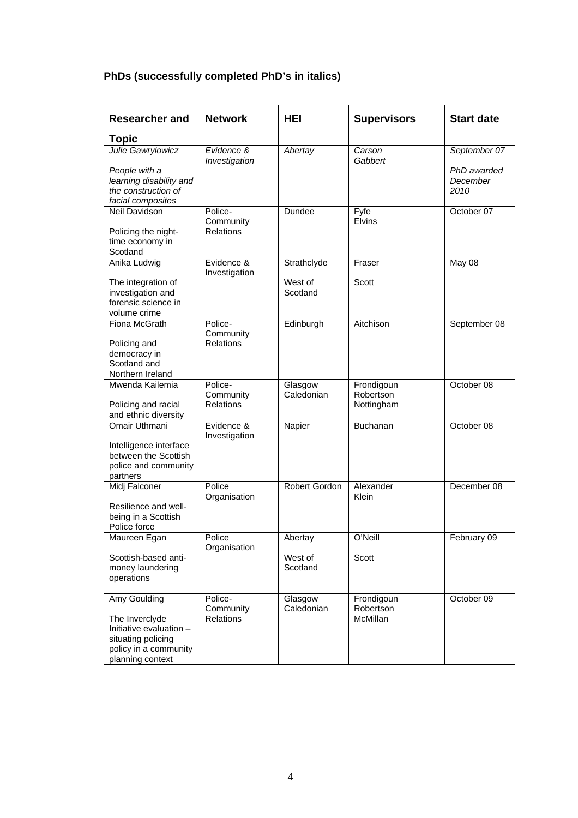# **PhDs (successfully completed PhD's in italics)**

| Researcher and                                                                                                               | <b>Network</b>                           | <b>HEI</b>            | <b>Supervisors</b>                    | <b>Start date</b>               |
|------------------------------------------------------------------------------------------------------------------------------|------------------------------------------|-----------------------|---------------------------------------|---------------------------------|
| <b>Topic</b>                                                                                                                 |                                          |                       |                                       |                                 |
| Julie Gawrylowicz                                                                                                            | Evidence &<br>Investigation              | Abertay               | Carson<br>Gabbert                     | September 07                    |
| People with a<br>learning disability and<br>the construction of<br>facial composites                                         |                                          |                       |                                       | PhD awarded<br>December<br>2010 |
| Neil Davidson                                                                                                                | Police-<br>Community                     | Dundee                | Fyfe<br>Elvins                        | October 07                      |
| Policing the night-<br>time economy in<br>Scotland                                                                           | <b>Relations</b>                         |                       |                                       |                                 |
| Anika Ludwig                                                                                                                 | Evidence &<br>Investigation              | Strathclyde           | Fraser                                | May 08                          |
| The integration of<br>investigation and<br>forensic science in<br>volume crime                                               |                                          | West of<br>Scotland   | Scott                                 |                                 |
| Fiona McGrath<br>Policing and                                                                                                | Police-<br>Community<br><b>Relations</b> | Edinburgh             | Aitchison                             | September 08                    |
| democracy in<br>Scotland and<br>Northern Ireland                                                                             |                                          |                       |                                       |                                 |
| Mwenda Kailemia<br>Policing and racial                                                                                       | Police-<br>Community<br><b>Relations</b> | Glasgow<br>Caledonian | Frondigoun<br>Robertson<br>Nottingham | October 08                      |
| and ethnic diversity<br>Omair Uthmani                                                                                        | Evidence &<br>Investigation              | Napier                | Buchanan                              | October 08                      |
| Intelligence interface<br>between the Scottish<br>police and community<br>partners                                           |                                          |                       |                                       |                                 |
| Midj Falconer                                                                                                                | Police<br>Organisation                   | Robert Gordon         | Alexander<br>Klein                    | December 08                     |
| Resilience and well-<br>being in a Scottish<br>Police force                                                                  |                                          |                       |                                       |                                 |
| Maureen Egan                                                                                                                 | Police<br>Organisation                   | Abertay               | O'Neill                               | February 09                     |
| Scottish-based anti-<br>money laundering<br>operations                                                                       |                                          | West of<br>Scotland   | Scott                                 |                                 |
| Amy Goulding<br>The Inverclyde<br>Initiative evaluation -<br>situating policing<br>policy in a community<br>planning context | Police-<br>Community<br><b>Relations</b> | Glasgow<br>Caledonian | Frondigoun<br>Robertson<br>McMillan   | October 09                      |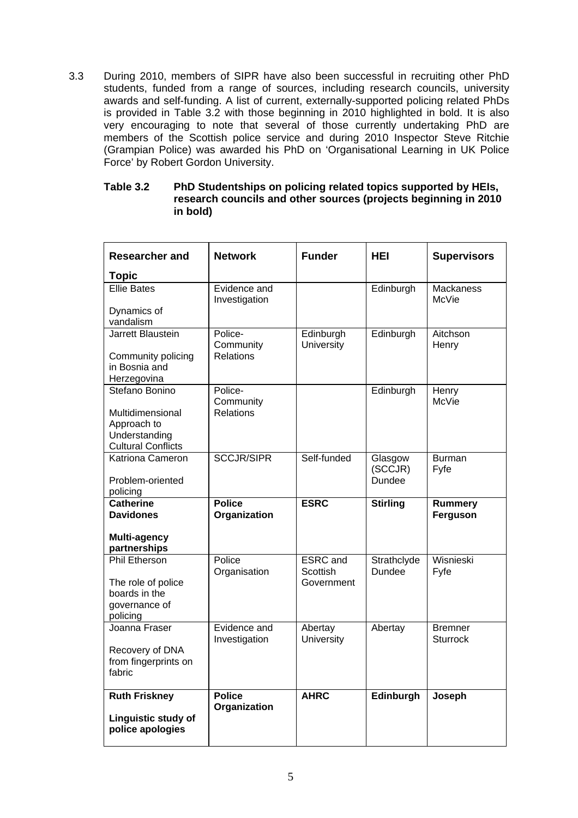3.3 During 2010, members of SIPR have also been successful in recruiting other PhD students, funded from a range of sources, including research councils, university awards and self-funding. A list of current, externally-supported policing related PhDs is provided in Table 3.2 with those beginning in 2010 highlighted in bold. It is also very encouraging to note that several of those currently undertaking PhD are members of the Scottish police service and during 2010 Inspector Steve Ritchie (Grampian Police) was awarded his PhD on 'Organisational Learning in UK Police Force' by Robert Gordon University.

#### **Table 3.2 PhD Studentships on policing related topics supported by HEIs, research councils and other sources (projects beginning in 2010 in bold)**

| <b>Researcher and</b>                                                                    | <b>Network</b>                           | <b>Funder</b>                             | <b>HEI</b>                          | <b>Supervisors</b>                |
|------------------------------------------------------------------------------------------|------------------------------------------|-------------------------------------------|-------------------------------------|-----------------------------------|
| <b>Topic</b>                                                                             |                                          |                                           |                                     |                                   |
| <b>Ellie Bates</b><br>Dynamics of                                                        | Evidence and<br>Investigation            |                                           | Edinburgh                           | <b>Mackaness</b><br>McVie         |
| vandalism                                                                                |                                          |                                           |                                     |                                   |
| Jarrett Blaustein                                                                        | Police-<br>Community<br><b>Relations</b> | Edinburgh<br>University                   | Edinburgh                           | Aitchson<br>Henry                 |
| Community policing<br>in Bosnia and<br>Herzegovina                                       |                                          |                                           |                                     |                                   |
| Stefano Bonino                                                                           | Police-<br>Community                     |                                           | Edinburgh                           | Henry<br><b>McVie</b>             |
| Multidimensional<br>Approach to<br>Understanding<br><b>Cultural Conflicts</b>            | <b>Relations</b>                         |                                           |                                     |                                   |
| Katriona Cameron<br>Problem-oriented                                                     | <b>SCCJR/SIPR</b>                        | Self-funded                               | Glasgow<br>(SCCJR)<br><b>Dundee</b> | <b>Burman</b><br>Fyfe             |
| policing                                                                                 |                                          |                                           |                                     |                                   |
| <b>Catherine</b>                                                                         | <b>Police</b>                            | <b>ESRC</b>                               | <b>Stirling</b>                     | <b>Rummery</b>                    |
| <b>Davidones</b>                                                                         | Organization                             |                                           |                                     | Ferguson                          |
| <b>Multi-agency</b><br>partnerships                                                      |                                          |                                           |                                     |                                   |
| <b>Phil Etherson</b><br>The role of police<br>boards in the<br>governance of<br>policing | Police<br>Organisation                   | <b>ESRC</b> and<br>Scottish<br>Government | Strathclyde<br>Dundee               | Wisnieski<br>Fyfe                 |
| Joanna Fraser<br>Recovery of DNA<br>from fingerprints on<br>fabric                       | Evidence and<br>Investigation            | Abertay<br>University                     | Abertay                             | <b>Bremner</b><br><b>Sturrock</b> |
| <b>Ruth Friskney</b><br>Linguistic study of<br>police apologies                          | <b>Police</b><br>Organization            | <b>AHRC</b>                               | Edinburgh                           | Joseph                            |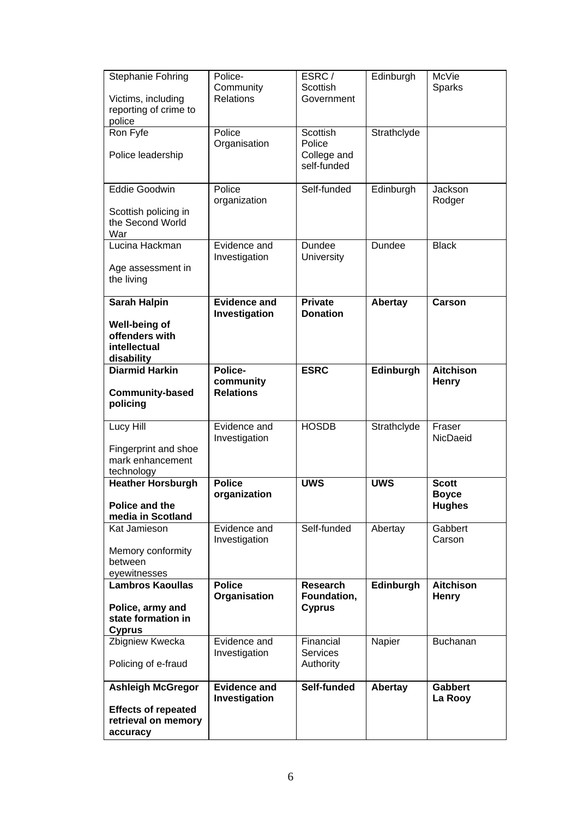| Stephanie Fohring<br>Victims, including<br>reporting of crime to<br>police                | Police-<br>Community<br><b>Relations</b> | ESRC/<br>Scottish<br>Government                  | Edinburgh   | McVie<br>Sparks                               |
|-------------------------------------------------------------------------------------------|------------------------------------------|--------------------------------------------------|-------------|-----------------------------------------------|
| Ron Fyfe<br>Police leadership                                                             | Police<br>Organisation                   | Scottish<br>Police<br>College and<br>self-funded | Strathclyde |                                               |
| <b>Eddie Goodwin</b><br>Scottish policing in<br>the Second World<br>War                   | Police<br>organization                   | Self-funded                                      | Edinburgh   | Jackson<br>Rodger                             |
| Lucina Hackman<br>Age assessment in<br>the living                                         | Evidence and<br>Investigation            | Dundee<br><b>University</b>                      | Dundee      | <b>Black</b>                                  |
| <b>Sarah Halpin</b><br>Well-being of<br>offenders with<br>intellectual<br>disability      | <b>Evidence and</b><br>Investigation     | <b>Private</b><br><b>Donation</b>                | Abertay     | Carson                                        |
| <b>Diarmid Harkin</b><br><b>Community-based</b><br>policing                               | Police-<br>community<br><b>Relations</b> | <b>ESRC</b>                                      | Edinburgh   | <b>Aitchison</b><br>Henry                     |
| Lucy Hill<br>Fingerprint and shoe<br>mark enhancement<br>technology                       | Evidence and<br>Investigation            | <b>HOSDB</b>                                     | Strathclyde | Fraser<br>NicDaeid                            |
| <b>Heather Horsburgh</b><br>Police and the<br>media in Scotland                           | <b>Police</b><br>organization            | <b>UWS</b>                                       | <b>UWS</b>  | <b>Scott</b><br><b>Boyce</b><br><b>Hughes</b> |
| Kat Jamieson<br>Memory conformity<br>between<br>eyewitnesses                              | Evidence and<br>Investigation            | Self-funded                                      | Abertay     | Gabbert<br>Carson                             |
| <b>Lambros Kaoullas</b><br>Police, army and<br>state formation in<br><b>Cyprus</b>        | <b>Police</b><br>Organisation            | <b>Research</b><br>Foundation,<br><b>Cyprus</b>  | Edinburgh   | <b>Aitchison</b><br>Henry                     |
| Zbigniew Kwecka<br>Policing of e-fraud                                                    | Evidence and<br>Investigation            | Financial<br><b>Services</b><br>Authority        | Napier      | <b>Buchanan</b>                               |
| <b>Ashleigh McGregor</b><br><b>Effects of repeated</b><br>retrieval on memory<br>accuracy | <b>Evidence and</b><br>Investigation     | Self-funded                                      | Abertay     | <b>Gabbert</b><br>La Rooy                     |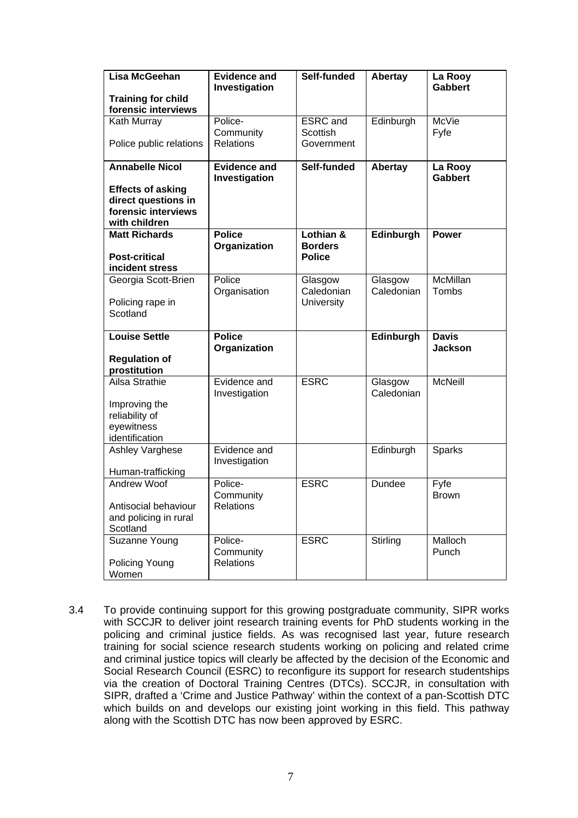| Lisa McGeehan                           | <b>Evidence and</b><br>Investigation | Self-funded       | Abertay    | La Rooy<br><b>Gabbert</b>      |
|-----------------------------------------|--------------------------------------|-------------------|------------|--------------------------------|
| <b>Training for child</b>               |                                      |                   |            |                                |
| forensic interviews                     |                                      |                   |            |                                |
| Kath Murray                             | Police-                              | <b>ESRC</b> and   | Edinburgh  | McVie                          |
|                                         | Community                            | <b>Scottish</b>   |            | Fyfe                           |
| Police public relations                 | <b>Relations</b>                     | Government        |            |                                |
| <b>Annabelle Nicol</b>                  | <b>Evidence and</b>                  | Self-funded       | Abertay    | La Rooy<br><b>Gabbert</b>      |
| <b>Effects of asking</b>                | Investigation                        |                   |            |                                |
| direct questions in                     |                                      |                   |            |                                |
| forensic interviews                     |                                      |                   |            |                                |
| with children                           |                                      |                   |            |                                |
| <b>Matt Richards</b>                    | <b>Police</b>                        | Lothian &         | Edinburgh  | <b>Power</b>                   |
|                                         | Organization                         | <b>Borders</b>    |            |                                |
| <b>Post-critical</b><br>incident stress |                                      | <b>Police</b>     |            |                                |
| Georgia Scott-Brien                     | Police                               | Glasgow           | Glasgow    | <b>McMillan</b>                |
|                                         | Organisation                         | Caledonian        | Caledonian | Tombs                          |
| Policing rape in                        |                                      | <b>University</b> |            |                                |
| Scotland                                |                                      |                   |            |                                |
|                                         |                                      |                   |            |                                |
| <b>Louise Settle</b>                    | <b>Police</b>                        |                   | Edinburgh  | <b>Davis</b><br><b>Jackson</b> |
| <b>Regulation of</b>                    | Organization                         |                   |            |                                |
| prostitution                            |                                      |                   |            |                                |
| Ailsa Strathie                          | Evidence and                         | <b>ESRC</b>       | Glasgow    | <b>McNeill</b>                 |
|                                         | Investigation                        |                   | Caledonian |                                |
| Improving the                           |                                      |                   |            |                                |
| reliability of                          |                                      |                   |            |                                |
| eyewitness<br>identification            |                                      |                   |            |                                |
| Ashley Varghese                         | Evidence and                         |                   | Edinburgh  | Sparks                         |
|                                         | Investigation                        |                   |            |                                |
| Human-trafficking                       |                                      |                   |            |                                |
| Andrew Woof                             | Police-                              | <b>ESRC</b>       | Dundee     | Fyfe                           |
|                                         | Community                            |                   |            | <b>Brown</b>                   |
| Antisocial behaviour                    | <b>Relations</b>                     |                   |            |                                |
| and policing in rural                   |                                      |                   |            |                                |
| Scotland                                | Police-                              | <b>ESRC</b>       |            | Malloch                        |
| Suzanne Young                           | Community                            |                   | Stirling   | Punch                          |
| Policing Young                          | <b>Relations</b>                     |                   |            |                                |
| Women                                   |                                      |                   |            |                                |

3.4 To provide continuing support for this growing postgraduate community, SIPR works with SCCJR to deliver joint research training events for PhD students working in the policing and criminal justice fields. As was recognised last year, future research training for social science research students working on policing and related crime and criminal justice topics will clearly be affected by the decision of the Economic and Social Research Council (ESRC) to reconfigure its support for research studentships via the creation of Doctoral Training Centres (DTCs). SCCJR, in consultation with SIPR, drafted a 'Crime and Justice Pathway' within the context of a pan-Scottish DTC which builds on and develops our existing joint working in this field. This pathway along with the Scottish DTC has now been approved by ESRC.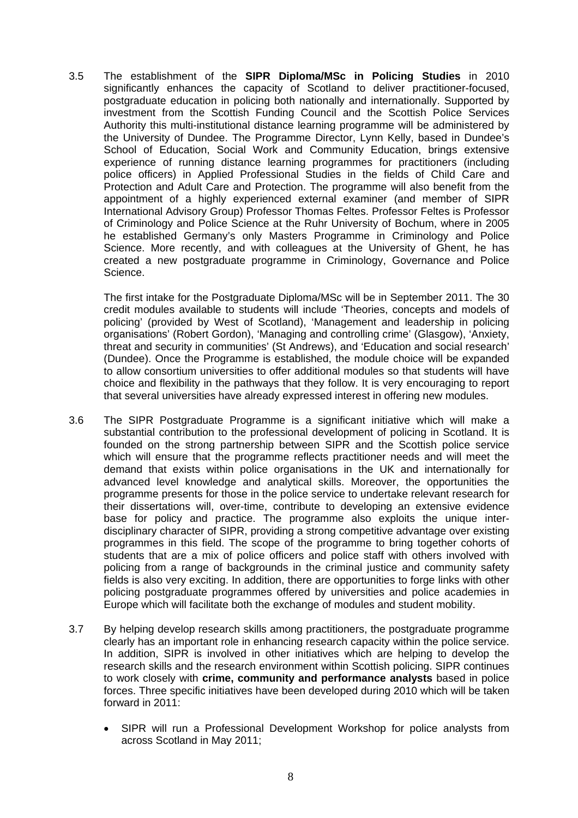3.5 The establishment of the **SIPR Diploma/MSc in Policing Studies** in 2010 significantly enhances the capacity of Scotland to deliver practitioner-focused, postgraduate education in policing both nationally and internationally. Supported by investment from the Scottish Funding Council and the Scottish Police Services Authority this multi-institutional distance learning programme will be administered by the University of Dundee. The Programme Director, Lynn Kelly, based in Dundee's School of Education, Social Work and Community Education, brings extensive experience of running distance learning programmes for practitioners (including police officers) in Applied Professional Studies in the fields of Child Care and Protection and Adult Care and Protection. The programme will also benefit from the appointment of a highly experienced external examiner (and member of SIPR International Advisory Group) Professor Thomas Feltes. Professor Feltes is Professor of Criminology and Police Science at the Ruhr University of Bochum, where in 2005 he established Germany's only Masters Programme in Criminology and Police Science. More recently, and with colleagues at the University of Ghent, he has created a new postgraduate programme in Criminology, Governance and Police Science.

The first intake for the Postgraduate Diploma/MSc will be in September 2011. The 30 credit modules available to students will include 'Theories, concepts and models of policing' (provided by West of Scotland), 'Management and leadership in policing organisations' (Robert Gordon), 'Managing and controlling crime' (Glasgow), 'Anxiety, threat and security in communities' (St Andrews), and 'Education and social research' (Dundee). Once the Programme is established, the module choice will be expanded to allow consortium universities to offer additional modules so that students will have choice and flexibility in the pathways that they follow. It is very encouraging to report that several universities have already expressed interest in offering new modules.

- 3.6 The SIPR Postgraduate Programme is a significant initiative which will make a substantial contribution to the professional development of policing in Scotland. It is founded on the strong partnership between SIPR and the Scottish police service which will ensure that the programme reflects practitioner needs and will meet the demand that exists within police organisations in the UK and internationally for advanced level knowledge and analytical skills. Moreover, the opportunities the programme presents for those in the police service to undertake relevant research for their dissertations will, over-time, contribute to developing an extensive evidence base for policy and practice. The programme also exploits the unique interdisciplinary character of SIPR, providing a strong competitive advantage over existing programmes in this field. The scope of the programme to bring together cohorts of students that are a mix of police officers and police staff with others involved with policing from a range of backgrounds in the criminal justice and community safety fields is also very exciting. In addition, there are opportunities to forge links with other policing postgraduate programmes offered by universities and police academies in Europe which will facilitate both the exchange of modules and student mobility.
- 3.7 By helping develop research skills among practitioners, the postgraduate programme clearly has an important role in enhancing research capacity within the police service. In addition, SIPR is involved in other initiatives which are helping to develop the research skills and the research environment within Scottish policing. SIPR continues to work closely with **crime, community and performance analysts** based in police forces. Three specific initiatives have been developed during 2010 which will be taken forward in 2011:
	- SIPR will run a Professional Development Workshop for police analysts from across Scotland in May 2011;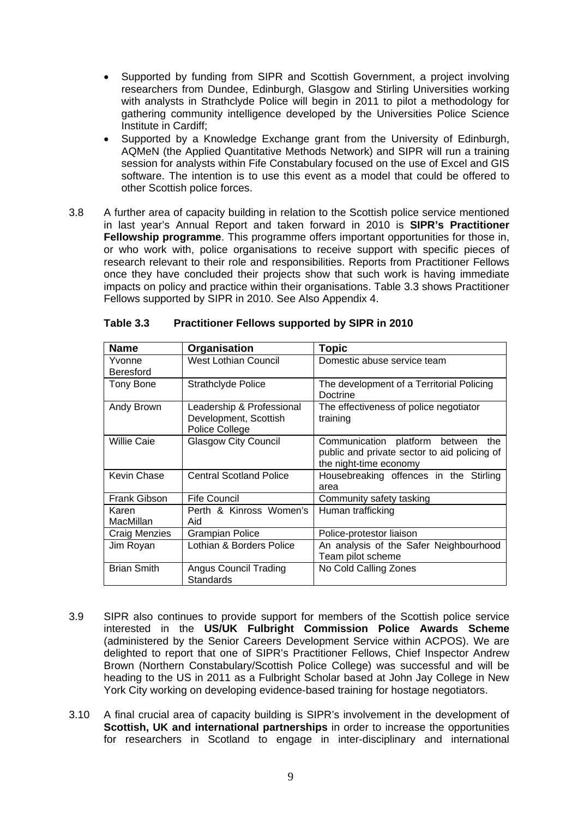- Supported by funding from SIPR and Scottish Government, a project involving researchers from Dundee, Edinburgh, Glasgow and Stirling Universities working with analysts in Strathclyde Police will begin in 2011 to pilot a methodology for gathering community intelligence developed by the Universities Police Science Institute in Cardiff;
- Supported by a Knowledge Exchange grant from the University of Edinburgh, AQMeN (the Applied Quantitative Methods Network) and SIPR will run a training session for analysts within Fife Constabulary focused on the use of Excel and GIS software. The intention is to use this event as a model that could be offered to other Scottish police forces.
- 3.8 A further area of capacity building in relation to the Scottish police service mentioned in last year's Annual Report and taken forward in 2010 is **SIPR's Practitioner Fellowship programme**. This programme offers important opportunities for those in, or who work with, police organisations to receive support with specific pieces of research relevant to their role and responsibilities. Reports from Practitioner Fellows once they have concluded their projects show that such work is having immediate impacts on policy and practice within their organisations. Table 3.3 shows Practitioner Fellows supported by SIPR in 2010. See Also Appendix 4.

| <b>Name</b>        | Organisation                                                         | <b>Topic</b>                                                                                                    |
|--------------------|----------------------------------------------------------------------|-----------------------------------------------------------------------------------------------------------------|
| Yvonne             | West Lothian Council                                                 | Domestic abuse service team                                                                                     |
| Beresford          |                                                                      |                                                                                                                 |
| Tony Bone          | <b>Strathclyde Police</b>                                            | The development of a Territorial Policing<br>Doctrine                                                           |
| Andy Brown         | Leadership & Professional<br>Development, Scottish<br>Police College | The effectiveness of police negotiator<br>training                                                              |
| <b>Willie Caie</b> | <b>Glasgow City Council</b>                                          | Communication platform between<br>the<br>public and private sector to aid policing of<br>the night-time economy |
| Kevin Chase        | <b>Central Scotland Police</b>                                       | Housebreaking offences in the Stirling<br>area                                                                  |
| Frank Gibson       | Fife Council                                                         | Community safety tasking                                                                                        |
| Karen              | Perth & Kinross Women's                                              | Human trafficking                                                                                               |
| MacMillan          | Aid                                                                  |                                                                                                                 |
| Craig Menzies      | <b>Grampian Police</b>                                               | Police-protestor liaison                                                                                        |
| Jim Royan          | Lothian & Borders Police                                             | An analysis of the Safer Neighbourhood<br>Team pilot scheme                                                     |
| <b>Brian Smith</b> | <b>Angus Council Trading</b><br><b>Standards</b>                     | No Cold Calling Zones                                                                                           |

| Table 3.3 | <b>Practitioner Fellows supported by SIPR in 2010</b> |  |
|-----------|-------------------------------------------------------|--|
|           |                                                       |  |

- 3.9 SIPR also continues to provide support for members of the Scottish police service interested in the **US/UK Fulbright Commission Police Awards Scheme** (administered by the Senior Careers Development Service within ACPOS). We are delighted to report that one of SIPR's Practitioner Fellows, Chief Inspector Andrew Brown (Northern Constabulary/Scottish Police College) was successful and will be heading to the US in 2011 as a Fulbright Scholar based at John Jay College in New York City working on developing evidence-based training for hostage negotiators.
- 3.10 A final crucial area of capacity building is SIPR's involvement in the development of **Scottish, UK and international partnerships** in order to increase the opportunities for researchers in Scotland to engage in inter-disciplinary and international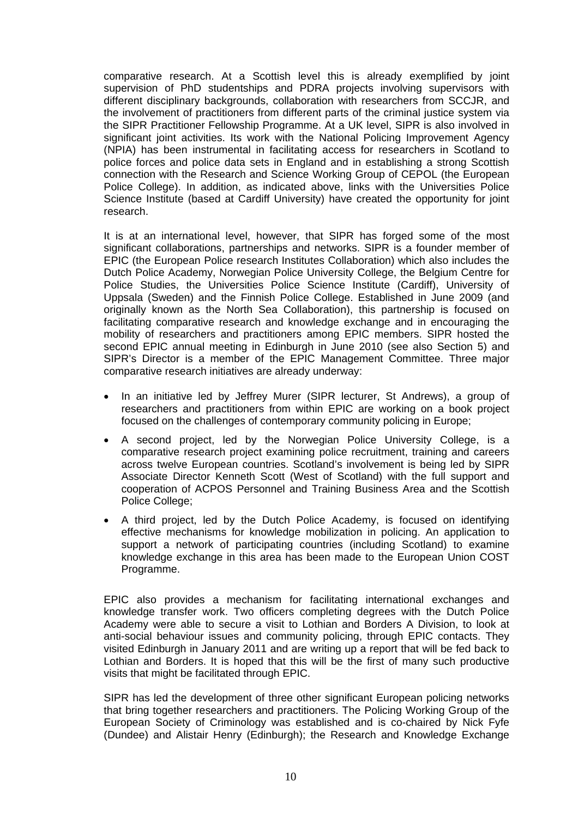comparative research. At a Scottish level this is already exemplified by joint supervision of PhD studentships and PDRA projects involving supervisors with different disciplinary backgrounds, collaboration with researchers from SCCJR, and the involvement of practitioners from different parts of the criminal justice system via the SIPR Practitioner Fellowship Programme. At a UK level, SIPR is also involved in significant joint activities. Its work with the National Policing Improvement Agency (NPIA) has been instrumental in facilitating access for researchers in Scotland to police forces and police data sets in England and in establishing a strong Scottish connection with the Research and Science Working Group of CEPOL (the European Police College). In addition, as indicated above, links with the Universities Police Science Institute (based at Cardiff University) have created the opportunity for joint research.

It is at an international level, however, that SIPR has forged some of the most significant collaborations, partnerships and networks. SIPR is a founder member of EPIC (the European Police research Institutes Collaboration) which also includes the Dutch Police Academy, Norwegian Police University College, the Belgium Centre for Police Studies, the Universities Police Science Institute (Cardiff), University of Uppsala (Sweden) and the Finnish Police College. Established in June 2009 (and originally known as the North Sea Collaboration), this partnership is focused on facilitating comparative research and knowledge exchange and in encouraging the mobility of researchers and practitioners among EPIC members. SIPR hosted the second EPIC annual meeting in Edinburgh in June 2010 (see also Section 5) and SIPR's Director is a member of the EPIC Management Committee. Three major comparative research initiatives are already underway:

- In an initiative led by Jeffrey Murer (SIPR lecturer, St Andrews), a group of researchers and practitioners from within EPIC are working on a book project focused on the challenges of contemporary community policing in Europe;
- A second project, led by the Norwegian Police University College, is a comparative research project examining police recruitment, training and careers across twelve European countries. Scotland's involvement is being led by SIPR Associate Director Kenneth Scott (West of Scotland) with the full support and cooperation of ACPOS Personnel and Training Business Area and the Scottish Police College;
- A third project, led by the Dutch Police Academy, is focused on identifying effective mechanisms for knowledge mobilization in policing. An application to support a network of participating countries (including Scotland) to examine knowledge exchange in this area has been made to the European Union COST Programme.

EPIC also provides a mechanism for facilitating international exchanges and knowledge transfer work. Two officers completing degrees with the Dutch Police Academy were able to secure a visit to Lothian and Borders A Division, to look at anti-social behaviour issues and community policing, through EPIC contacts. They visited Edinburgh in January 2011 and are writing up a report that will be fed back to Lothian and Borders. It is hoped that this will be the first of many such productive visits that might be facilitated through EPIC.

SIPR has led the development of three other significant European policing networks that bring together researchers and practitioners. The Policing Working Group of the European Society of Criminology was established and is co-chaired by Nick Fyfe (Dundee) and Alistair Henry (Edinburgh); the Research and Knowledge Exchange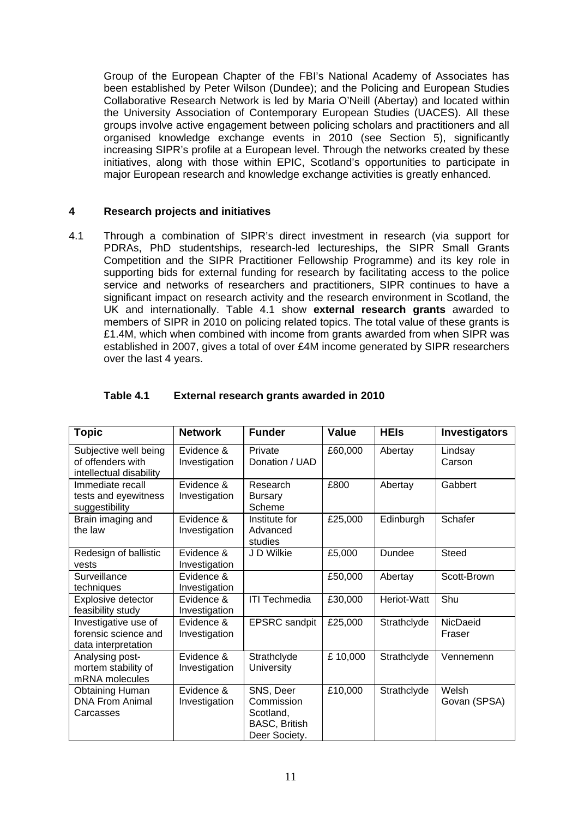Group of the European Chapter of the FBI's National Academy of Associates has been established by Peter Wilson (Dundee); and the Policing and European Studies Collaborative Research Network is led by Maria O'Neill (Abertay) and located within the University Association of Contemporary European Studies (UACES). All these groups involve active engagement between policing scholars and practitioners and all organised knowledge exchange events in 2010 (see Section 5), significantly increasing SIPR's profile at a European level. Through the networks created by these initiatives, along with those within EPIC, Scotland's opportunities to participate in major European research and knowledge exchange activities is greatly enhanced.

#### **4 Research projects and initiatives**

4.1 Through a combination of SIPR's direct investment in research (via support for PDRAs, PhD studentships, research-led lectureships, the SIPR Small Grants Competition and the SIPR Practitioner Fellowship Programme) and its key role in supporting bids for external funding for research by facilitating access to the police service and networks of researchers and practitioners, SIPR continues to have a significant impact on research activity and the research environment in Scotland, the UK and internationally. Table 4.1 show **external research grants** awarded to members of SIPR in 2010 on policing related topics. The total value of these grants is £1.4M, which when combined with income from grants awarded from when SIPR was established in 2007, gives a total of over £4M income generated by SIPR researchers over the last 4 years.

| <b>Topic</b>                                                          | <b>Network</b>              | <b>Funder</b>                                                                 | <b>Value</b> | <b>HEIs</b>   | <b>Investigators</b>  |
|-----------------------------------------------------------------------|-----------------------------|-------------------------------------------------------------------------------|--------------|---------------|-----------------------|
| Subjective well being<br>of offenders with<br>intellectual disability | Evidence &<br>Investigation | Private<br>Donation / UAD                                                     | £60,000      | Abertay       | Lindsay<br>Carson     |
| Immediate recall<br>tests and eyewitness<br>suggestibility            | Evidence &<br>Investigation | Research<br><b>Bursary</b><br>Scheme                                          | £800         | Abertay       | Gabbert               |
| Brain imaging and<br>the law                                          | Evidence &<br>Investigation | Institute for<br>Advanced<br>studies                                          | £25,000      | Edinburgh     | Schafer               |
| Redesign of ballistic<br>vests                                        | Evidence &<br>Investigation | J D Wilkie                                                                    | £5,000       | <b>Dundee</b> | <b>Steed</b>          |
| Surveillance<br>techniques                                            | Evidence &<br>Investigation |                                                                               | £50,000      | Abertay       | Scott-Brown           |
| Explosive detector<br>feasibility study                               | Evidence &<br>Investigation | <b>ITI Techmedia</b>                                                          | £30,000      | Heriot-Watt   | Shu                   |
| Investigative use of<br>forensic science and<br>data interpretation   | Evidence &<br>Investigation | <b>EPSRC</b> sandpit                                                          | £25,000      | Strathclyde   | NicDaeid<br>Fraser    |
| Analysing post-<br>mortem stability of<br>mRNA molecules              | Evidence &<br>Investigation | Strathclyde<br><b>University</b>                                              | £10,000      | Strathclyde   | Vennemenn             |
| <b>Obtaining Human</b><br><b>DNA From Animal</b><br>Carcasses         | Evidence &<br>Investigation | SNS, Deer<br>Commission<br>Scotland,<br><b>BASC, British</b><br>Deer Society. | £10,000      | Strathclyde   | Welsh<br>Govan (SPSA) |

#### **Table 4.1 External research grants awarded in 2010**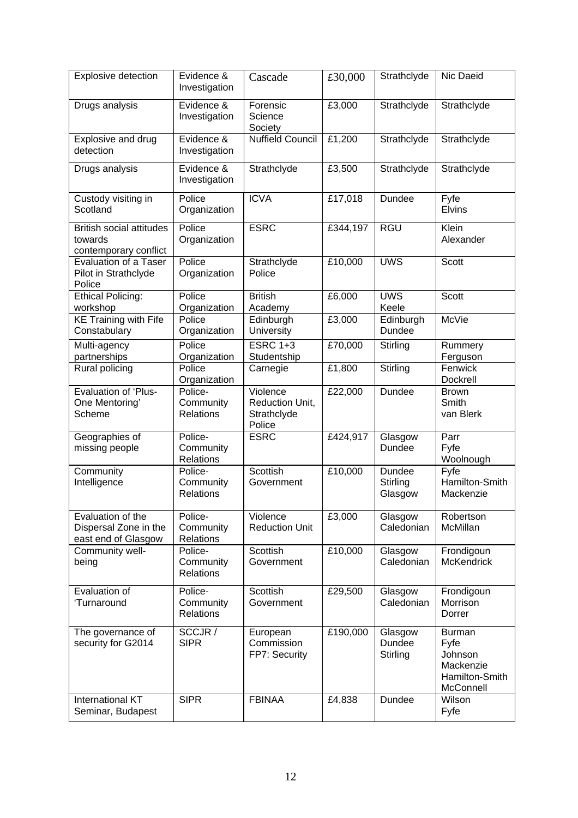| Explosive detection                                                 | Evidence &<br>Investigation              | Cascade                                              | £30,000  | Strathclyde                   | Nic Daeid                                                                    |
|---------------------------------------------------------------------|------------------------------------------|------------------------------------------------------|----------|-------------------------------|------------------------------------------------------------------------------|
| Drugs analysis                                                      | Evidence &<br>Investigation              | Forensic<br>Science<br>Society                       | £3,000   | Strathclyde                   | Strathclyde                                                                  |
| Explosive and drug<br>detection                                     | Evidence &<br>Investigation              | <b>Nuffield Council</b>                              | £1,200   | Strathclyde                   | Strathclyde                                                                  |
| Drugs analysis                                                      | Evidence &<br>Investigation              | Strathclyde                                          | £3,500   | Strathclyde                   | Strathclyde                                                                  |
| Custody visiting in<br>Scotland                                     | Police<br>Organization                   | <b>ICVA</b>                                          | £17,018  | Dundee                        | Fyfe<br><b>Elvins</b>                                                        |
| <b>British social attitudes</b><br>towards<br>contemporary conflict | Police<br>Organization                   | <b>ESRC</b>                                          | £344,197 | <b>RGU</b>                    | Klein<br>Alexander                                                           |
| <b>Evaluation of a Taser</b><br>Pilot in Strathclyde<br>Police      | Police<br>Organization                   | Strathclyde<br>Police                                | £10,000  | <b>UWS</b>                    | Scott                                                                        |
| <b>Ethical Policing:</b><br>workshop                                | Police<br>Organization                   | <b>British</b><br>Academy                            | £6,000   | <b>UWS</b><br>Keele           | Scott                                                                        |
| <b>KE Training with Fife</b><br>Constabulary                        | Police<br>Organization                   | Edinburgh<br>University                              | £3,000   | Edinburgh<br><b>Dundee</b>    | McVie                                                                        |
| Multi-agency<br>partnerships                                        | Police<br>Organization                   | <b>ESRC 1+3</b><br>Studentship                       | £70,000  | Stirling                      | Rummery<br>Ferguson                                                          |
| Rural policing                                                      | Police<br>Organization                   | Carnegie                                             | £1,800   | Stirling                      | Fenwick<br>Dockrell                                                          |
| <b>Evaluation of 'Plus-</b><br>One Mentoring'<br>Scheme             | Police-<br>Community<br><b>Relations</b> | Violence<br>Reduction Unit,<br>Strathclyde<br>Police | £22,000  | Dundee                        | <b>Brown</b><br>Smith<br>van Blerk                                           |
| Geographies of<br>missing people                                    | Police-<br>Community<br>Relations        | <b>ESRC</b>                                          | £424,917 | Glasgow<br>Dundee             | Parr<br>Fyfe<br>Woolnough                                                    |
| Community<br>Intelligence                                           | Police-<br>Community<br><b>Relations</b> | Scottish<br>Government                               | £10,000  | Dundee<br>Stirling<br>Glasgow | Fyfe<br>Hamilton-Smith<br>Mackenzie                                          |
| Evaluation of the<br>Dispersal Zone in the<br>east end of Glasgow   | Police-<br>Community<br><b>Relations</b> | Violence<br><b>Reduction Unit</b>                    | £3,000   | Glasgow<br>Caledonian         | Robertson<br><b>McMillan</b>                                                 |
| Community well-<br>being                                            | Police-<br>Community<br><b>Relations</b> | Scottish<br>Government                               | £10,000  | Glasgow<br>Caledonian         | Frondigoun<br><b>McKendrick</b>                                              |
| Evaluation of<br>'Turnaround                                        | Police-<br>Community<br><b>Relations</b> | Scottish<br>Government                               | £29,500  | Glasgow<br>Caledonian         | Frondigoun<br><b>Morrison</b><br>Dorrer                                      |
| The governance of<br>security for G2014                             | SCCJR /<br><b>SIPR</b>                   | European<br>Commission<br>FP7: Security              | £190,000 | Glasgow<br>Dundee<br>Stirling | <b>Burman</b><br>Fyfe<br>Johnson<br>Mackenzie<br>Hamilton-Smith<br>McConnell |
| International KT<br>Seminar, Budapest                               | <b>SIPR</b>                              | <b>FBINAA</b>                                        | £4,838   | Dundee                        | Wilson<br>Fyfe                                                               |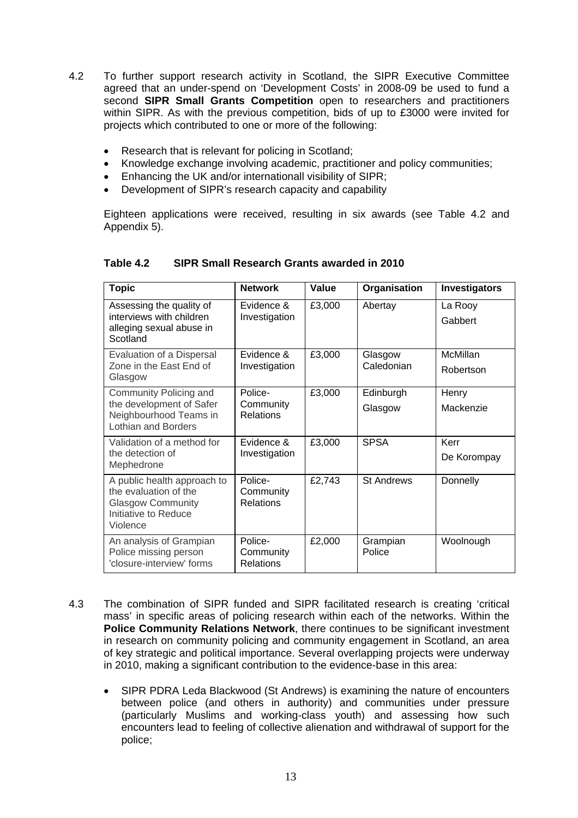- 4.2 To further support research activity in Scotland, the SIPR Executive Committee agreed that an under-spend on 'Development Costs' in 2008-09 be used to fund a second **SIPR Small Grants Competition** open to researchers and practitioners within SIPR. As with the previous competition, bids of up to £3000 were invited for projects which contributed to one or more of the following:
	- Research that is relevant for policing in Scotland;
	- Knowledge exchange involving academic, practitioner and policy communities;
	- Enhancing the UK and/or internationall visibility of SIPR;
	- Development of SIPR's research capacity and capability

Eighteen applications were received, resulting in six awards (see Table 4.2 and Appendix 5).

| <b>Topic</b>                                                                                                         | <b>Network</b>                           | Value  | Organisation          | Investigators         |
|----------------------------------------------------------------------------------------------------------------------|------------------------------------------|--------|-----------------------|-----------------------|
| Assessing the quality of<br>interviews with children<br>alleging sexual abuse in<br>Scotland                         | Evidence &<br>Investigation              | £3,000 | Abertay               | La Rooy<br>Gabbert    |
| Evaluation of a Dispersal<br>Zone in the East End of<br>Glasgow                                                      | Evidence &<br>Investigation              | £3,000 | Glasgow<br>Caledonian | McMillan<br>Robertson |
| Community Policing and<br>the development of Safer<br>Neighbourhood Teams in<br><b>Lothian and Borders</b>           | Police-<br>Community<br>Relations        | £3,000 | Edinburgh<br>Glasgow  | Henry<br>Mackenzie    |
| Validation of a method for<br>the detection of<br>Mephedrone                                                         | Evidence &<br>Investigation              | £3,000 | <b>SPSA</b>           | Kerr<br>De Korompay   |
| A public health approach to<br>the evaluation of the<br><b>Glasgow Community</b><br>Initiative to Reduce<br>Violence | Police-<br>Community<br><b>Relations</b> | £2,743 | <b>St Andrews</b>     | Donnelly              |
| An analysis of Grampian<br>Police missing person<br>'closure-interview' forms                                        | Police-<br>Community<br><b>Relations</b> | £2,000 | Grampian<br>Police    | Woolnough             |

#### **Table 4.2 SIPR Small Research Grants awarded in 2010**

- 4.3 The combination of SIPR funded and SIPR facilitated research is creating 'critical mass' in specific areas of policing research within each of the networks. Within the **Police Community Relations Network**, there continues to be significant investment in research on community policing and community engagement in Scotland, an area of key strategic and political importance. Several overlapping projects were underway in 2010, making a significant contribution to the evidence-base in this area:
	- SIPR PDRA Leda Blackwood (St Andrews) is examining the nature of encounters between police (and others in authority) and communities under pressure (particularly Muslims and working-class youth) and assessing how such encounters lead to feeling of collective alienation and withdrawal of support for the police;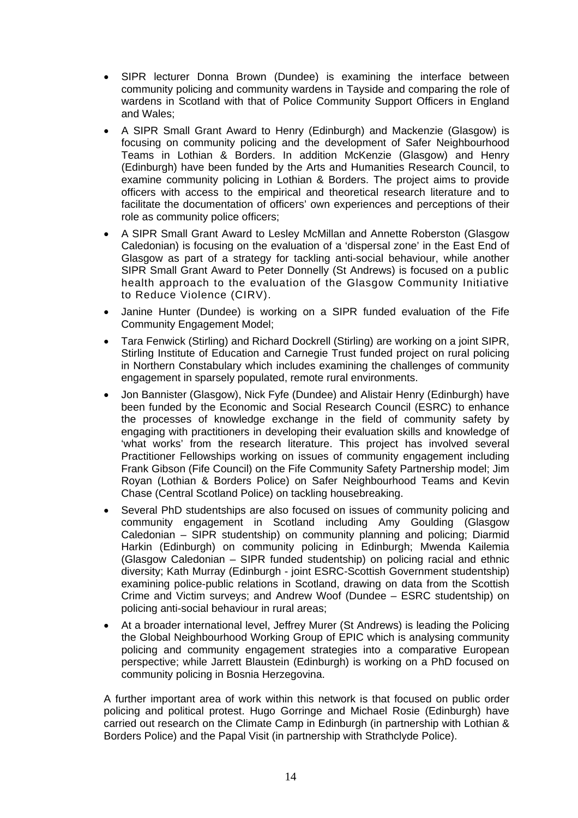- SIPR lecturer Donna Brown (Dundee) is examining the interface between community policing and community wardens in Tayside and comparing the role of wardens in Scotland with that of Police Community Support Officers in England and Wales;
- A SIPR Small Grant Award to Henry (Edinburgh) and Mackenzie (Glasgow) is focusing on community policing and the development of Safer Neighbourhood Teams in Lothian & Borders. In addition McKenzie (Glasgow) and Henry (Edinburgh) have been funded by the Arts and Humanities Research Council, to examine community policing in Lothian & Borders. The project aims to provide officers with access to the empirical and theoretical research literature and to facilitate the documentation of officers' own experiences and perceptions of their role as community police officers;
- A SIPR Small Grant Award to Lesley McMillan and Annette Roberston (Glasgow Caledonian) is focusing on the evaluation of a 'dispersal zone' in the East End of Glasgow as part of a strategy for tackling anti-social behaviour, while another SIPR Small Grant Award to Peter Donnelly (St Andrews) is focused on a public health approach to the evaluation of the Glasgow Community Initiative to Reduce Violence (CIRV).
- Janine Hunter (Dundee) is working on a SIPR funded evaluation of the Fife Community Engagement Model;
- Tara Fenwick (Stirling) and Richard Dockrell (Stirling) are working on a joint SIPR, Stirling Institute of Education and Carnegie Trust funded project on rural policing in Northern Constabulary which includes examining the challenges of community engagement in sparsely populated, remote rural environments.
- Jon Bannister (Glasgow), Nick Fyfe (Dundee) and Alistair Henry (Edinburgh) have been funded by the Economic and Social Research Council (ESRC) to enhance the processes of knowledge exchange in the field of community safety by engaging with practitioners in developing their evaluation skills and knowledge of 'what works' from the research literature. This project has involved several Practitioner Fellowships working on issues of community engagement including Frank Gibson (Fife Council) on the Fife Community Safety Partnership model; Jim Royan (Lothian & Borders Police) on Safer Neighbourhood Teams and Kevin Chase (Central Scotland Police) on tackling housebreaking.
- Several PhD studentships are also focused on issues of community policing and community engagement in Scotland including Amy Goulding (Glasgow Caledonian – SIPR studentship) on community planning and policing; Diarmid Harkin (Edinburgh) on community policing in Edinburgh; Mwenda Kailemia (Glasgow Caledonian – SIPR funded studentship) on policing racial and ethnic diversity; Kath Murray (Edinburgh - joint ESRC-Scottish Government studentship) examining police-public relations in Scotland, drawing on data from the Scottish Crime and Victim surveys; and Andrew Woof (Dundee – ESRC studentship) on policing anti-social behaviour in rural areas;
- At a broader international level, Jeffrey Murer (St Andrews) is leading the Policing the Global Neighbourhood Working Group of EPIC which is analysing community policing and community engagement strategies into a comparative European perspective; while Jarrett Blaustein (Edinburgh) is working on a PhD focused on community policing in Bosnia Herzegovina.

A further important area of work within this network is that focused on public order policing and political protest. Hugo Gorringe and Michael Rosie (Edinburgh) have carried out research on the Climate Camp in Edinburgh (in partnership with Lothian & Borders Police) and the Papal Visit (in partnership with Strathclyde Police).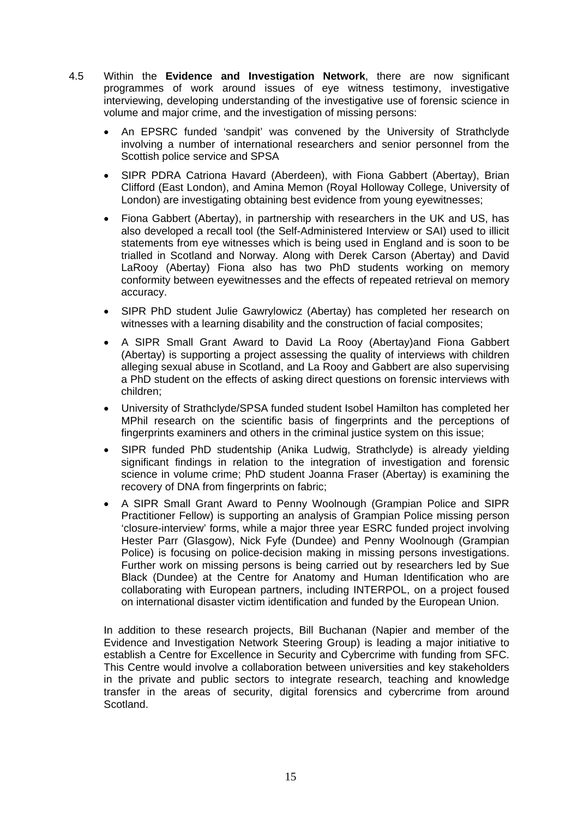- 4.5 Within the **Evidence and Investigation Network**, there are now significant programmes of work around issues of eye witness testimony, investigative interviewing, developing understanding of the investigative use of forensic science in volume and major crime, and the investigation of missing persons:
	- An EPSRC funded 'sandpit' was convened by the University of Strathclyde involving a number of international researchers and senior personnel from the Scottish police service and SPSA
	- SIPR PDRA Catriona Havard (Aberdeen), with Fiona Gabbert (Abertay), Brian Clifford (East London), and Amina Memon (Royal Holloway College, University of London) are investigating obtaining best evidence from young eyewitnesses;
	- Fiona Gabbert (Abertay), in partnership with researchers in the UK and US, has also developed a recall tool (the Self-Administered Interview or SAI) used to illicit statements from eye witnesses which is being used in England and is soon to be trialled in Scotland and Norway. Along with Derek Carson (Abertay) and David LaRooy (Abertay) Fiona also has two PhD students working on memory conformity between eyewitnesses and the effects of repeated retrieval on memory accuracy.
	- SIPR PhD student Julie Gawrylowicz (Abertay) has completed her research on witnesses with a learning disability and the construction of facial composites;
	- A SIPR Small Grant Award to David La Rooy (Abertay)and Fiona Gabbert (Abertay) is supporting a project assessing the quality of interviews with children alleging sexual abuse in Scotland, and La Rooy and Gabbert are also supervising a PhD student on the effects of asking direct questions on forensic interviews with children;
	- University of Strathclyde/SPSA funded student Isobel Hamilton has completed her MPhil research on the scientific basis of fingerprints and the perceptions of fingerprints examiners and others in the criminal justice system on this issue;
	- SIPR funded PhD studentship (Anika Ludwig, Strathclyde) is already yielding significant findings in relation to the integration of investigation and forensic science in volume crime; PhD student Joanna Fraser (Abertay) is examining the recovery of DNA from fingerprints on fabric;
	- A SIPR Small Grant Award to Penny Woolnough (Grampian Police and SIPR Practitioner Fellow) is supporting an analysis of Grampian Police missing person 'closure-interview' forms, while a major three year ESRC funded project involving Hester Parr (Glasgow), Nick Fyfe (Dundee) and Penny Woolnough (Grampian Police) is focusing on police-decision making in missing persons investigations. Further work on missing persons is being carried out by researchers led by Sue Black (Dundee) at the Centre for Anatomy and Human Identification who are collaborating with European partners, including INTERPOL, on a project foused on international disaster victim identification and funded by the European Union.

In addition to these research projects, Bill Buchanan (Napier and member of the Evidence and Investigation Network Steering Group) is leading a major initiative to establish a Centre for Excellence in Security and Cybercrime with funding from SFC. This Centre would involve a collaboration between universities and key stakeholders in the private and public sectors to integrate research, teaching and knowledge transfer in the areas of security, digital forensics and cybercrime from around Scotland.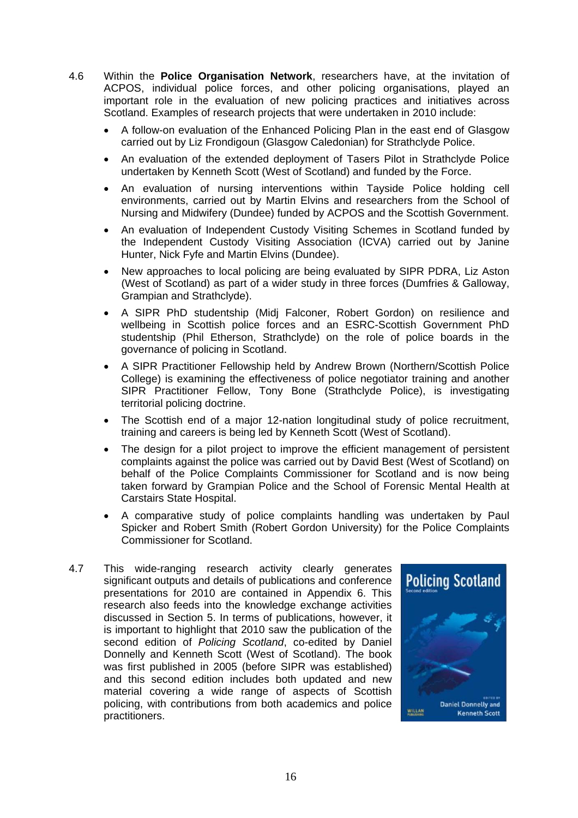- 4.6 Within the **Police Organisation Network**, researchers have, at the invitation of ACPOS, individual police forces, and other policing organisations, played an important role in the evaluation of new policing practices and initiatives across Scotland. Examples of research projects that were undertaken in 2010 include:
	- A follow-on evaluation of the Enhanced Policing Plan in the east end of Glasgow carried out by Liz Frondigoun (Glasgow Caledonian) for Strathclyde Police.
	- An evaluation of the extended deployment of Tasers Pilot in Strathclyde Police undertaken by Kenneth Scott (West of Scotland) and funded by the Force.
	- An evaluation of nursing interventions within Tayside Police holding cell environments, carried out by Martin Elvins and researchers from the School of Nursing and Midwifery (Dundee) funded by ACPOS and the Scottish Government.
	- An evaluation of Independent Custody Visiting Schemes in Scotland funded by the Independent Custody Visiting Association (ICVA) carried out by Janine Hunter, Nick Fyfe and Martin Elvins (Dundee).
	- New approaches to local policing are being evaluated by SIPR PDRA, Liz Aston (West of Scotland) as part of a wider study in three forces (Dumfries & Galloway, Grampian and Strathclyde).
	- A SIPR PhD studentship (Midj Falconer, Robert Gordon) on resilience and wellbeing in Scottish police forces and an ESRC-Scottish Government PhD studentship (Phil Etherson, Strathclyde) on the role of police boards in the governance of policing in Scotland.
	- A SIPR Practitioner Fellowship held by Andrew Brown (Northern/Scottish Police College) is examining the effectiveness of police negotiator training and another SIPR Practitioner Fellow, Tony Bone (Strathclyde Police), is investigating territorial policing doctrine.
	- The Scottish end of a major 12-nation longitudinal study of police recruitment, training and careers is being led by Kenneth Scott (West of Scotland).
	- The design for a pilot project to improve the efficient management of persistent complaints against the police was carried out by David Best (West of Scotland) on behalf of the Police Complaints Commissioner for Scotland and is now being taken forward by Grampian Police and the School of Forensic Mental Health at Carstairs State Hospital.
	- A comparative study of police complaints handling was undertaken by Paul Spicker and Robert Smith (Robert Gordon University) for the Police Complaints Commissioner for Scotland.
- 4.7 This wide-ranging research activity clearly generates significant outputs and details of publications and conference presentations for 2010 are contained in Appendix 6. This research also feeds into the knowledge exchange activities discussed in Section 5. In terms of publications, however, it is important to highlight that 2010 saw the publication of the second edition of *Policing Scotland*, co-edited by Daniel Donnelly and Kenneth Scott (West of Scotland). The book was first published in 2005 (before SIPR was established) and this second edition includes both updated and new material covering a wide range of aspects of Scottish policing, with contributions from both academics and police practitioners.

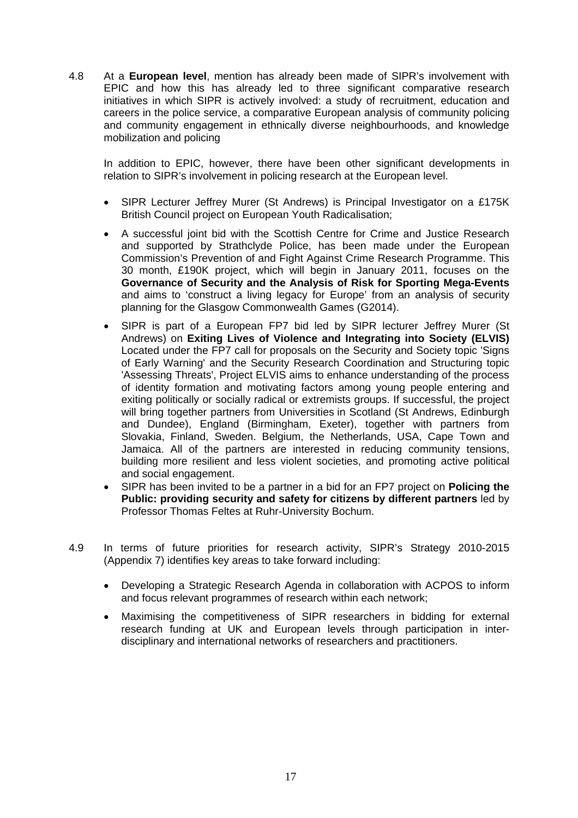4.8 At a **European level**, mention has already been made of SIPR's involvement with EPIC and how this has already led to three significant comparative research initiatives in which SIPR is actively involved: a study of recruitment, education and careers in the police service, a comparative European analysis of community policing and community engagement in ethnically diverse neighbourhoods, and knowledge mobilization and policing

In addition to EPIC, however, there have been other significant developments in relation to SIPR's involvement in policing research at the European level.

- SIPR Lecturer Jeffrey Murer (St Andrews) is Principal Investigator on a £175K British Council project on European Youth Radicalisation;
- A successful joint bid with the Scottish Centre for Crime and Justice Research and supported by Strathclyde Police, has been made under the European Commission's Prevention of and Fight Against Crime Research Programme. This 30 month, £190K project, which will begin in January 2011, focuses on the **Governance of Security and the Analysis of Risk for Sporting Mega-Events** and aims to 'construct a living legacy for Europe' from an analysis of security planning for the Glasgow Commonwealth Games (G2014).
- SIPR is part of a European FP7 bid led by SIPR lecturer Jeffrey Murer (St Andrews) on **Exiting Lives of Violence and Integrating into Society (ELVIS)** Located under the FP7 call for proposals on the Security and Society topic 'Signs of Early Warning' and the Security Research Coordination and Structuring topic 'Assessing Threats', Project ELVIS aims to enhance understanding of the process of identity formation and motivating factors among young people entering and exiting politically or socially radical or extremists groups. If successful, the project will bring together partners from Universities in Scotland (St Andrews, Edinburgh and Dundee), England (Birmingham, Exeter), together with partners from Slovakia, Finland, Sweden. Belgium, the Netherlands, USA, Cape Town and Jamaica. All of the partners are interested in reducing community tensions, building more resilient and less violent societies, and promoting active political and social engagement.
- SIPR has been invited to be a partner in a bid for an FP7 project on **Policing the Public: providing security and safety for citizens by different partners** led by Professor Thomas Feltes at Ruhr-University Bochum.
- 4.9 In terms of future priorities for research activity, SIPR's Strategy 2010-2015 (Appendix 7) identifies key areas to take forward including:
	- Developing a Strategic Research Agenda in collaboration with ACPOS to inform and focus relevant programmes of research within each network;
	- Maximising the competitiveness of SIPR researchers in bidding for external research funding at UK and European levels through participation in interdisciplinary and international networks of researchers and practitioners.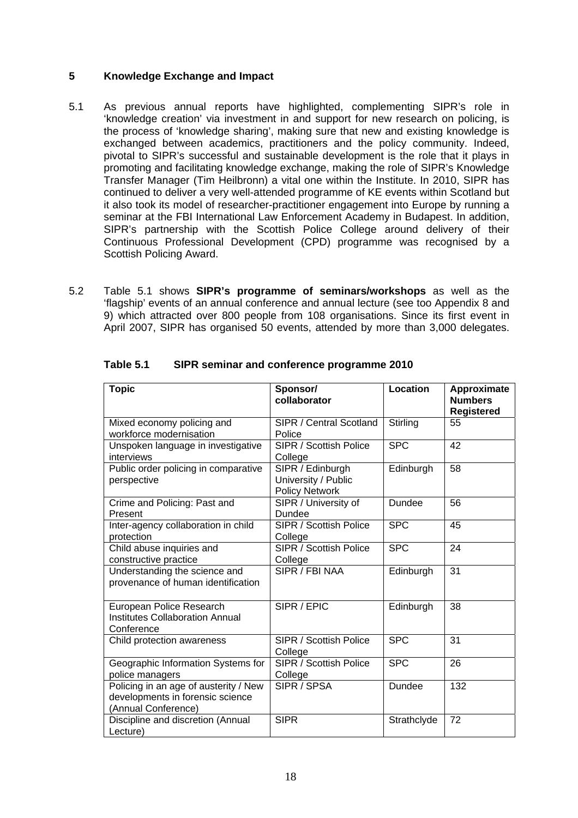#### **5 Knowledge Exchange and Impact**

- 5.1 As previous annual reports have highlighted, complementing SIPR's role in 'knowledge creation' via investment in and support for new research on policing, is the process of 'knowledge sharing', making sure that new and existing knowledge is exchanged between academics, practitioners and the policy community. Indeed, pivotal to SIPR's successful and sustainable development is the role that it plays in promoting and facilitating knowledge exchange, making the role of SIPR's Knowledge Transfer Manager (Tim Heilbronn) a vital one within the Institute. In 2010, SIPR has continued to deliver a very well-attended programme of KE events within Scotland but it also took its model of researcher-practitioner engagement into Europe by running a seminar at the FBI International Law Enforcement Academy in Budapest. In addition, SIPR's partnership with the Scottish Police College around delivery of their Continuous Professional Development (CPD) programme was recognised by a Scottish Policing Award.
- 5.2 Table 5.1 shows **SIPR's programme of seminars/workshops** as well as the 'flagship' events of an annual conference and annual lecture (see too Appendix 8 and 9) which attracted over 800 people from 108 organisations. Since its first event in April 2007, SIPR has organised 50 events, attended by more than 3,000 delegates.

| <b>Topic</b>                                                                                     | Sponsor/<br>collaborator                                         | Location    | Approximate<br><b>Numbers</b><br><b>Registered</b> |
|--------------------------------------------------------------------------------------------------|------------------------------------------------------------------|-------------|----------------------------------------------------|
| Mixed economy policing and<br>workforce modernisation                                            | SIPR / Central Scotland<br>Police                                | Stirling    | 55                                                 |
| Unspoken language in investigative<br>interviews                                                 | SIPR / Scottish Police<br>College                                | <b>SPC</b>  | 42                                                 |
| Public order policing in comparative<br>perspective                                              | SIPR / Edinburgh<br>University / Public<br><b>Policy Network</b> | Edinburgh   | 58                                                 |
| Crime and Policing: Past and<br>Present                                                          | SIPR / University of<br>Dundee                                   | Dundee      | 56                                                 |
| Inter-agency collaboration in child<br>protection                                                | SIPR / Scottish Police<br>College                                | <b>SPC</b>  | 45                                                 |
| Child abuse inquiries and<br>constructive practice                                               | <b>SIPR / Scottish Police</b><br>College                         | <b>SPC</b>  | 24                                                 |
| Understanding the science and<br>provenance of human identification                              | SIPR / FBI NAA                                                   | Edinburgh   | 31                                                 |
| European Police Research<br><b>Institutes Collaboration Annual</b><br>Conference                 | SIPR/EPIC                                                        | Edinburgh   | 38                                                 |
| Child protection awareness                                                                       | SIPR / Scottish Police<br>College                                | <b>SPC</b>  | 31                                                 |
| Geographic Information Systems for<br>police managers                                            | <b>SIPR / Scottish Police</b><br>College                         | <b>SPC</b>  | 26                                                 |
| Policing in an age of austerity / New<br>developments in forensic science<br>(Annual Conference) | SIPR / SPSA                                                      | Dundee      | 132                                                |
| Discipline and discretion (Annual<br>Lecture)                                                    | <b>SIPR</b>                                                      | Strathclyde | 72                                                 |

#### **Table 5.1 SIPR seminar and conference programme 2010**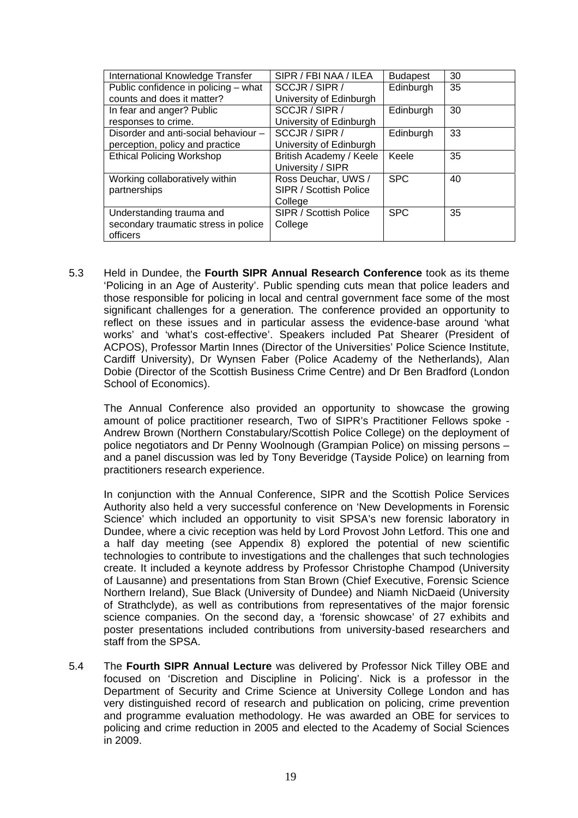| International Knowledge Transfer     | SIPR / FBI NAA / ILEA<br><b>Budapest</b> |            | 30 |
|--------------------------------------|------------------------------------------|------------|----|
| Public confidence in policing - what | SCCJR / SIPR /                           | Edinburgh  | 35 |
| counts and does it matter?           | University of Edinburgh                  |            |    |
| In fear and anger? Public            | SCCJR / SIPR /                           | Edinburgh  | 30 |
| responses to crime.                  | University of Edinburgh                  |            |    |
| Disorder and anti-social behaviour - | SCCJR / SIPR /                           | Edinburgh  | 33 |
| perception, policy and practice      | University of Edinburgh                  |            |    |
| <b>Ethical Policing Workshop</b>     | British Academy / Keele                  | Keele      | 35 |
|                                      | University / SIPR                        |            |    |
| Working collaboratively within       | Ross Deuchar, UWS /                      | <b>SPC</b> | 40 |
| partnerships                         | SIPR / Scottish Police                   |            |    |
|                                      | College                                  |            |    |
| Understanding trauma and             | SIPR / Scottish Police                   | <b>SPC</b> | 35 |
| secondary traumatic stress in police | College                                  |            |    |
| officers                             |                                          |            |    |

5.3 Held in Dundee, the **Fourth SIPR Annual Research Conference** took as its theme 'Policing in an Age of Austerity'. Public spending cuts mean that police leaders and those responsible for policing in local and central government face some of the most significant challenges for a generation. The conference provided an opportunity to reflect on these issues and in particular assess the evidence-base around 'what works' and 'what's cost-effective'. Speakers included Pat Shearer (President of ACPOS), Professor Martin Innes (Director of the Universities' Police Science Institute, Cardiff University), Dr Wynsen Faber (Police Academy of the Netherlands), Alan Dobie (Director of the Scottish Business Crime Centre) and Dr Ben Bradford (London School of Economics).

 The Annual Conference also provided an opportunity to showcase the growing amount of police practitioner research, Two of SIPR's Practitioner Fellows spoke - Andrew Brown (Northern Constabulary/Scottish Police College) on the deployment of police negotiators and Dr Penny Woolnough (Grampian Police) on missing persons – and a panel discussion was led by Tony Beveridge (Tayside Police) on learning from practitioners research experience.

 In conjunction with the Annual Conference, SIPR and the Scottish Police Services Authority also held a very successful conference on 'New Developments in Forensic Science' which included an opportunity to visit SPSA's new forensic laboratory in Dundee, where a civic reception was held by Lord Provost John Letford. This one and a half day meeting (see Appendix 8) explored the potential of new scientific technologies to contribute to investigations and the challenges that such technologies create. It included a keynote address by Professor Christophe Champod (University of Lausanne) and presentations from Stan Brown (Chief Executive, Forensic Science Northern Ireland), Sue Black (University of Dundee) and Niamh NicDaeid (University of Strathclyde), as well as contributions from representatives of the major forensic science companies. On the second day, a 'forensic showcase' of 27 exhibits and poster presentations included contributions from university-based researchers and staff from the SPSA.

5.4 The **Fourth SIPR Annual Lecture** was delivered by Professor Nick Tilley OBE and focused on 'Discretion and Discipline in Policing'. Nick is a professor in the Department of Security and Crime Science at University College London and has very distinguished record of research and publication on policing, crime prevention and programme evaluation methodology. He was awarded an OBE for services to policing and crime reduction in 2005 and elected to the Academy of Social Sciences in 2009.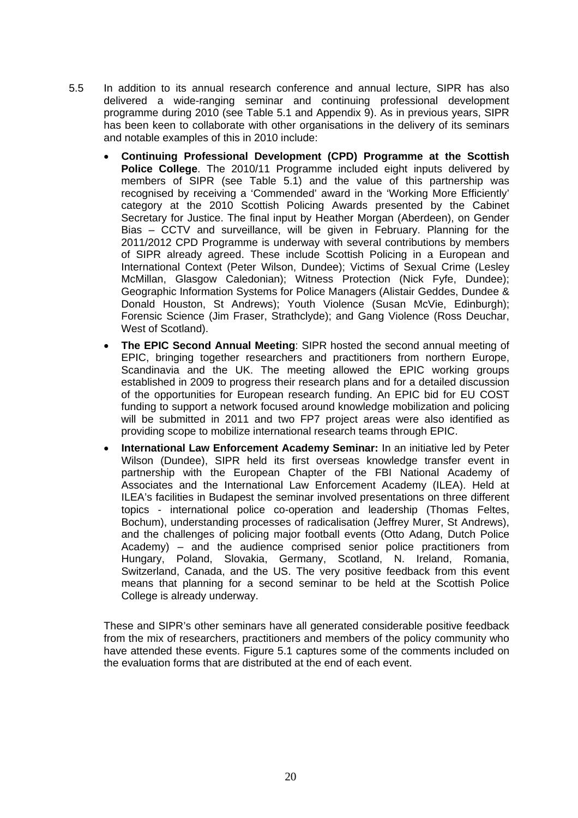- 5.5 In addition to its annual research conference and annual lecture, SIPR has also delivered a wide-ranging seminar and continuing professional development programme during 2010 (see Table 5.1 and Appendix 9). As in previous years, SIPR has been keen to collaborate with other organisations in the delivery of its seminars and notable examples of this in 2010 include:
	- **Continuing Professional Development (CPD) Programme at the Scottish Police College**. The 2010/11 Programme included eight inputs delivered by members of SIPR (see Table 5.1) and the value of this partnership was recognised by receiving a 'Commended' award in the 'Working More Efficiently' category at the 2010 Scottish Policing Awards presented by the Cabinet Secretary for Justice. The final input by Heather Morgan (Aberdeen), on Gender Bias – CCTV and surveillance, will be given in February. Planning for the 2011/2012 CPD Programme is underway with several contributions by members of SIPR already agreed. These include Scottish Policing in a European and International Context (Peter Wilson, Dundee); Victims of Sexual Crime (Lesley McMillan, Glasgow Caledonian); Witness Protection (Nick Fyfe, Dundee); Geographic Information Systems for Police Managers (Alistair Geddes, Dundee & Donald Houston, St Andrews); Youth Violence (Susan McVie, Edinburgh); Forensic Science (Jim Fraser, Strathclyde); and Gang Violence (Ross Deuchar, West of Scotland).
	- **The EPIC Second Annual Meeting**: SIPR hosted the second annual meeting of EPIC, bringing together researchers and practitioners from northern Europe, Scandinavia and the UK. The meeting allowed the EPIC working groups established in 2009 to progress their research plans and for a detailed discussion of the opportunities for European research funding. An EPIC bid for EU COST funding to support a network focused around knowledge mobilization and policing will be submitted in 2011 and two FP7 project areas were also identified as providing scope to mobilize international research teams through EPIC.
	- **International Law Enforcement Academy Seminar:** In an initiative led by Peter Wilson (Dundee), SIPR held its first overseas knowledge transfer event in partnership with the European Chapter of the FBI National Academy of Associates and the International Law Enforcement Academy (ILEA). Held at ILEA's facilities in Budapest the seminar involved presentations on three different topics - international police co-operation and leadership (Thomas Feltes, Bochum), understanding processes of radicalisation (Jeffrey Murer, St Andrews), and the challenges of policing major football events (Otto Adang, Dutch Police Academy) – and the audience comprised senior police practitioners from Hungary, Poland, Slovakia, Germany, Scotland, N. Ireland, Romania, Switzerland, Canada, and the US. The very positive feedback from this event means that planning for a second seminar to be held at the Scottish Police College is already underway.

 These and SIPR's other seminars have all generated considerable positive feedback from the mix of researchers, practitioners and members of the policy community who have attended these events. Figure 5.1 captures some of the comments included on the evaluation forms that are distributed at the end of each event.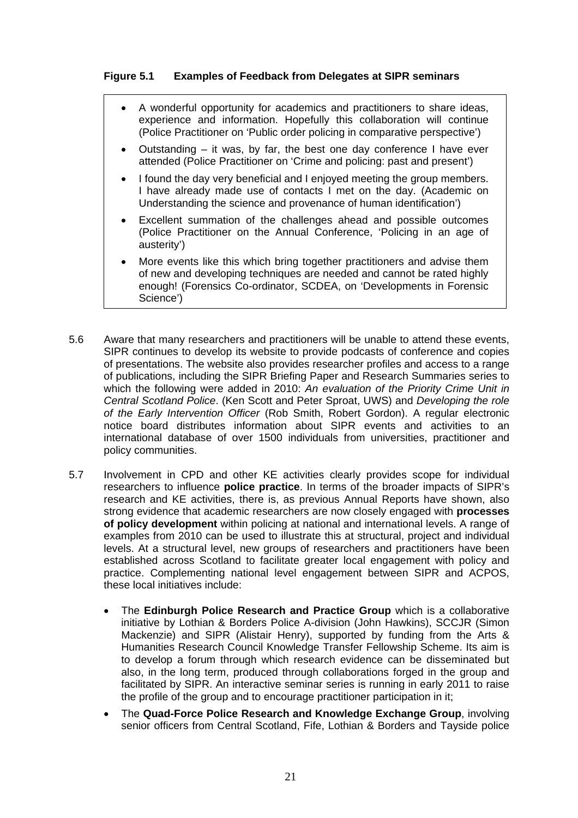#### **Figure 5.1 Examples of Feedback from Delegates at SIPR seminars**

- A wonderful opportunity for academics and practitioners to share ideas, experience and information. Hopefully this collaboration will continue (Police Practitioner on 'Public order policing in comparative perspective')
- Outstanding  $-$  it was, by far, the best one day conference I have ever attended (Police Practitioner on 'Crime and policing: past and present')
- I found the day very beneficial and I enjoyed meeting the group members. I have already made use of contacts I met on the day. (Academic on Understanding the science and provenance of human identification')
- Excellent summation of the challenges ahead and possible outcomes (Police Practitioner on the Annual Conference, 'Policing in an age of austerity')
- More events like this which bring together practitioners and advise them of new and developing techniques are needed and cannot be rated highly enough! (Forensics Co-ordinator, SCDEA, on 'Developments in Forensic Science')
- 5.6 Aware that many researchers and practitioners will be unable to attend these events, SIPR continues to develop its website to provide podcasts of conference and copies of presentations. The website also provides researcher profiles and access to a range of publications, including the SIPR Briefing Paper and Research Summaries series to which the following were added in 2010: *An evaluation of the Priority Crime Unit in Central Scotland Police*. (Ken Scott and Peter Sproat, UWS) and *Developing the role of the Early Intervention Officer* (Rob Smith, Robert Gordon). A regular electronic notice board distributes information about SIPR events and activities to an international database of over 1500 individuals from universities, practitioner and policy communities.
- 5.7 Involvement in CPD and other KE activities clearly provides scope for individual researchers to influence **police practice**. In terms of the broader impacts of SIPR's research and KE activities, there is, as previous Annual Reports have shown, also strong evidence that academic researchers are now closely engaged with **processes of policy development** within policing at national and international levels. A range of examples from 2010 can be used to illustrate this at structural, project and individual levels. At a structural level, new groups of researchers and practitioners have been established across Scotland to facilitate greater local engagement with policy and practice. Complementing national level engagement between SIPR and ACPOS, these local initiatives include:
	- The **Edinburgh Police Research and Practice Group** which is a collaborative initiative by Lothian & Borders Police A-division (John Hawkins), SCCJR (Simon Mackenzie) and SIPR (Alistair Henry), supported by funding from the Arts & Humanities Research Council Knowledge Transfer Fellowship Scheme. Its aim is to develop a forum through which research evidence can be disseminated but also, in the long term, produced through collaborations forged in the group and facilitated by SIPR. An interactive seminar series is running in early 2011 to raise the profile of the group and to encourage practitioner participation in it;
	- The **Quad-Force Police Research and Knowledge Exchange Group**, involving senior officers from Central Scotland, Fife, Lothian & Borders and Tayside police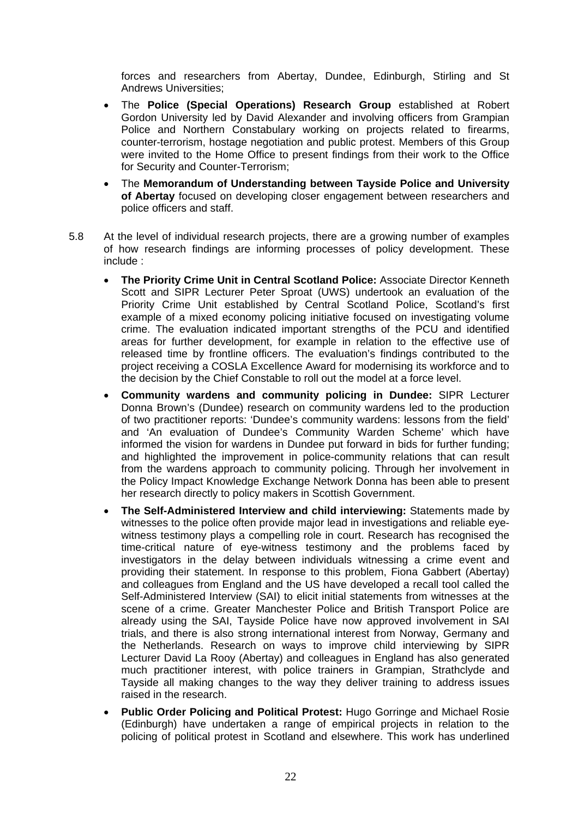forces and researchers from Abertay, Dundee, Edinburgh, Stirling and St Andrews Universities;

- The **Police (Special Operations) Research Group** established at Robert Gordon University led by David Alexander and involving officers from Grampian Police and Northern Constabulary working on projects related to firearms, counter-terrorism, hostage negotiation and public protest. Members of this Group were invited to the Home Office to present findings from their work to the Office for Security and Counter-Terrorism;
- The **Memorandum of Understanding between Tayside Police and University of Abertay** focused on developing closer engagement between researchers and police officers and staff.
- 5.8 At the level of individual research projects, there are a growing number of examples of how research findings are informing processes of policy development. These include :
	- **The Priority Crime Unit in Central Scotland Police:** Associate Director Kenneth Scott and SIPR Lecturer Peter Sproat (UWS) undertook an evaluation of the Priority Crime Unit established by Central Scotland Police, Scotland's first example of a mixed economy policing initiative focused on investigating volume crime. The evaluation indicated important strengths of the PCU and identified areas for further development, for example in relation to the effective use of released time by frontline officers. The evaluation's findings contributed to the project receiving a COSLA Excellence Award for modernising its workforce and to the decision by the Chief Constable to roll out the model at a force level.
	- **Community wardens and community policing in Dundee:** SIPR Lecturer Donna Brown's (Dundee) research on community wardens led to the production of two practitioner reports: 'Dundee's community wardens: lessons from the field' and 'An evaluation of Dundee's Community Warden Scheme' which have informed the vision for wardens in Dundee put forward in bids for further funding; and highlighted the improvement in police-community relations that can result from the wardens approach to community policing. Through her involvement in the Policy Impact Knowledge Exchange Network Donna has been able to present her research directly to policy makers in Scottish Government.
	- **The Self-Administered Interview and child interviewing:** Statements made by witnesses to the police often provide major lead in investigations and reliable eyewitness testimony plays a compelling role in court. Research has recognised the time-critical nature of eye-witness testimony and the problems faced by investigators in the delay between individuals witnessing a crime event and providing their statement. In response to this problem, Fiona Gabbert (Abertay) and colleagues from England and the US have developed a recall tool called the Self-Administered Interview (SAI) to elicit initial statements from witnesses at the scene of a crime. Greater Manchester Police and British Transport Police are already using the SAI, Tayside Police have now approved involvement in SAI trials, and there is also strong international interest from Norway, Germany and the Netherlands. Research on ways to improve child interviewing by SIPR Lecturer David La Rooy (Abertay) and colleagues in England has also generated much practitioner interest, with police trainers in Grampian, Strathclyde and Tayside all making changes to the way they deliver training to address issues raised in the research.
	- **Public Order Policing and Political Protest:** Hugo Gorringe and Michael Rosie (Edinburgh) have undertaken a range of empirical projects in relation to the policing of political protest in Scotland and elsewhere. This work has underlined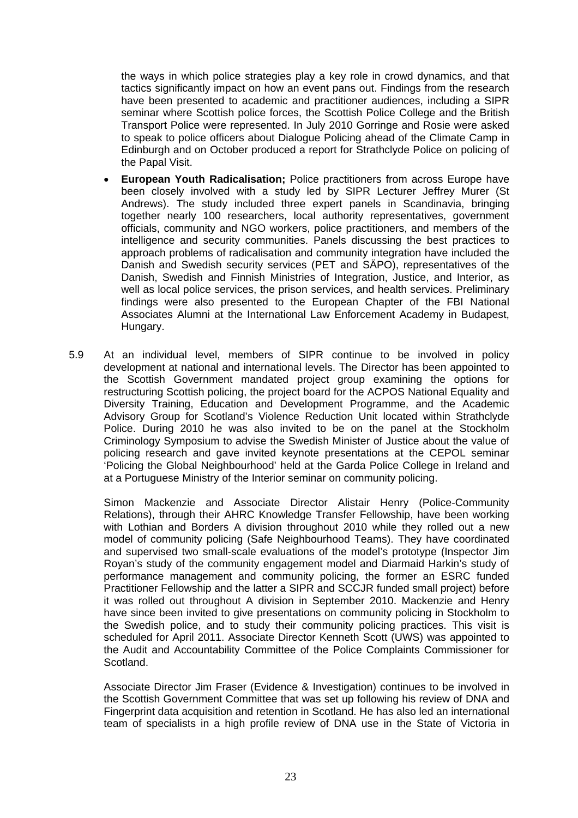the ways in which police strategies play a key role in crowd dynamics, and that tactics significantly impact on how an event pans out. Findings from the research have been presented to academic and practitioner audiences, including a SIPR seminar where Scottish police forces, the Scottish Police College and the British Transport Police were represented. In July 2010 Gorringe and Rosie were asked to speak to police officers about Dialogue Policing ahead of the Climate Camp in Edinburgh and on October produced a report for Strathclyde Police on policing of the Papal Visit.

- **European Youth Radicalisation;** Police practitioners from across Europe have been closely involved with a study led by SIPR Lecturer Jeffrey Murer (St Andrews). The study included three expert panels in Scandinavia, bringing together nearly 100 researchers, local authority representatives, government officials, community and NGO workers, police practitioners, and members of the intelligence and security communities. Panels discussing the best practices to approach problems of radicalisation and community integration have included the Danish and Swedish security services (PET and SÄPO), representatives of the Danish, Swedish and Finnish Ministries of Integration, Justice, and Interior, as well as local police services, the prison services, and health services. Preliminary findings were also presented to the European Chapter of the FBI National Associates Alumni at the International Law Enforcement Academy in Budapest, Hungary.
- 5.9 At an individual level, members of SIPR continue to be involved in policy development at national and international levels. The Director has been appointed to the Scottish Government mandated project group examining the options for restructuring Scottish policing, the project board for the ACPOS National Equality and Diversity Training, Education and Development Programme, and the Academic Advisory Group for Scotland's Violence Reduction Unit located within Strathclyde Police. During 2010 he was also invited to be on the panel at the Stockholm Criminology Symposium to advise the Swedish Minister of Justice about the value of policing research and gave invited keynote presentations at the CEPOL seminar 'Policing the Global Neighbourhood' held at the Garda Police College in Ireland and at a Portuguese Ministry of the Interior seminar on community policing.

Simon Mackenzie and Associate Director Alistair Henry (Police-Community Relations), through their AHRC Knowledge Transfer Fellowship, have been working with Lothian and Borders A division throughout 2010 while they rolled out a new model of community policing (Safe Neighbourhood Teams). They have coordinated and supervised two small-scale evaluations of the model's prototype (Inspector Jim Royan's study of the community engagement model and Diarmaid Harkin's study of performance management and community policing, the former an ESRC funded Practitioner Fellowship and the latter a SIPR and SCCJR funded small project) before it was rolled out throughout A division in September 2010. Mackenzie and Henry have since been invited to give presentations on community policing in Stockholm to the Swedish police, and to study their community policing practices. This visit is scheduled for April 2011. Associate Director Kenneth Scott (UWS) was appointed to the Audit and Accountability Committee of the Police Complaints Commissioner for Scotland.

Associate Director Jim Fraser (Evidence & Investigation) continues to be involved in the Scottish Government Committee that was set up following his review of DNA and Fingerprint data acquisition and retention in Scotland. He has also led an international team of specialists in a high profile review of DNA use in the State of Victoria in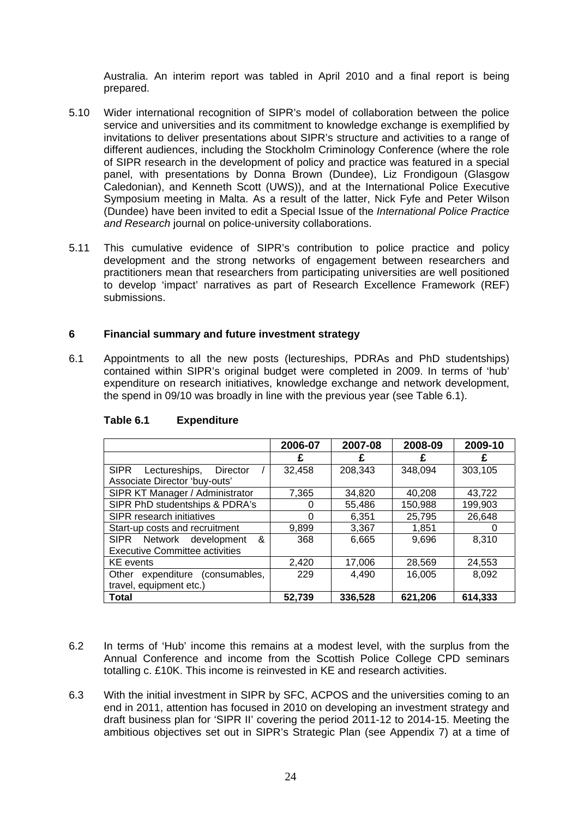Australia. An interim report was tabled in April 2010 and a final report is being prepared.

- 5.10 Wider international recognition of SIPR's model of collaboration between the police service and universities and its commitment to knowledge exchange is exemplified by invitations to deliver presentations about SIPR's structure and activities to a range of different audiences, including the Stockholm Criminology Conference (where the role of SIPR research in the development of policy and practice was featured in a special panel, with presentations by Donna Brown (Dundee), Liz Frondigoun (Glasgow Caledonian), and Kenneth Scott (UWS)), and at the International Police Executive Symposium meeting in Malta. As a result of the latter, Nick Fyfe and Peter Wilson (Dundee) have been invited to edit a Special Issue of the *International Police Practice and Research* journal on police-university collaborations.
- 5.11 This cumulative evidence of SIPR's contribution to police practice and policy development and the strong networks of engagement between researchers and practitioners mean that researchers from participating universities are well positioned to develop 'impact' narratives as part of Research Excellence Framework (REF) submissions.

#### **6 Financial summary and future investment strategy**

6.1 Appointments to all the new posts (lectureships, PDRAs and PhD studentships) contained within SIPR's original budget were completed in 2009. In terms of 'hub' expenditure on research initiatives, knowledge exchange and network development, the spend in 09/10 was broadly in line with the previous year (see Table 6.1).

|                                          | 2006-07 | 2007-08 | 2008-09 | 2009-10 |
|------------------------------------------|---------|---------|---------|---------|
|                                          |         |         |         |         |
| <b>SIPR</b><br>Lectureships,<br>Director | 32,458  | 208,343 | 348,094 | 303,105 |
| Associate Director 'buy-outs'            |         |         |         |         |
| SIPR KT Manager / Administrator          | 7,365   | 34,820  | 40.208  | 43,722  |
| SIPR PhD studentships & PDRA's           |         | 55,486  | 150,988 | 199,903 |
| SIPR research initiatives                | O       | 6.351   | 25,795  | 26,648  |
| Start-up costs and recruitment           | 9,899   | 3,367   | 1,851   |         |
| &<br><b>SIPR</b><br>Network development  | 368     | 6,665   | 9,696   | 8,310   |
| <b>Executive Committee activities</b>    |         |         |         |         |
| <b>KE</b> events                         | 2,420   | 17,006  | 28,569  | 24,553  |
| expenditure (consumables,<br>Other       | 229     | 4,490   | 16,005  | 8,092   |
| travel, equipment etc.)                  |         |         |         |         |
| <b>Total</b>                             | 52,739  | 336,528 | 621,206 | 614,333 |

#### **Table 6.1 Expenditure**

- 6.2 In terms of 'Hub' income this remains at a modest level, with the surplus from the Annual Conference and income from the Scottish Police College CPD seminars totalling c. £10K. This income is reinvested in KE and research activities.
- 6.3 With the initial investment in SIPR by SFC, ACPOS and the universities coming to an end in 2011, attention has focused in 2010 on developing an investment strategy and draft business plan for 'SIPR II' covering the period 2011-12 to 2014-15. Meeting the ambitious objectives set out in SIPR's Strategic Plan (see Appendix 7) at a time of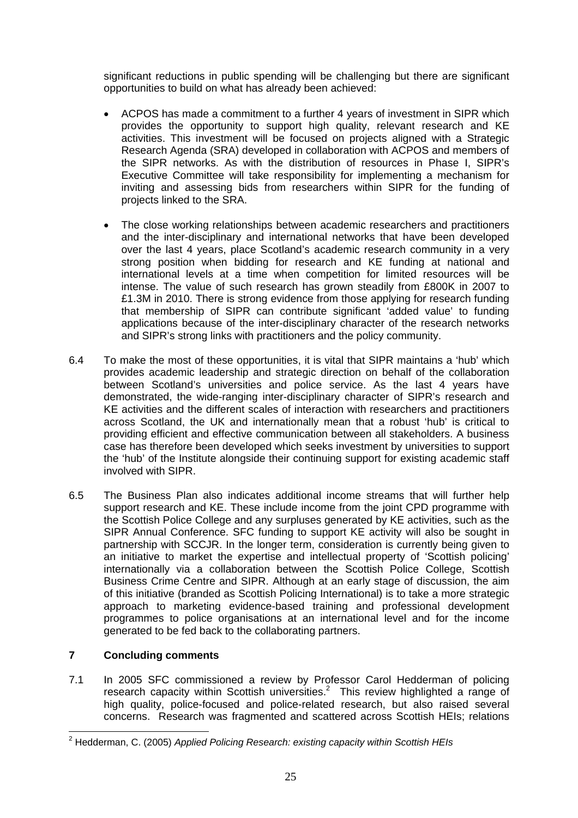significant reductions in public spending will be challenging but there are significant opportunities to build on what has already been achieved:

- ACPOS has made a commitment to a further 4 years of investment in SIPR which provides the opportunity to support high quality, relevant research and KE activities. This investment will be focused on projects aligned with a Strategic Research Agenda (SRA) developed in collaboration with ACPOS and members of the SIPR networks. As with the distribution of resources in Phase I, SIPR's Executive Committee will take responsibility for implementing a mechanism for inviting and assessing bids from researchers within SIPR for the funding of projects linked to the SRA.
- The close working relationships between academic researchers and practitioners and the inter-disciplinary and international networks that have been developed over the last 4 years, place Scotland's academic research community in a very strong position when bidding for research and KE funding at national and international levels at a time when competition for limited resources will be intense. The value of such research has grown steadily from £800K in 2007 to £1.3M in 2010. There is strong evidence from those applying for research funding that membership of SIPR can contribute significant 'added value' to funding applications because of the inter-disciplinary character of the research networks and SIPR's strong links with practitioners and the policy community.
- 6.4 To make the most of these opportunities, it is vital that SIPR maintains a 'hub' which provides academic leadership and strategic direction on behalf of the collaboration between Scotland's universities and police service. As the last 4 years have demonstrated, the wide-ranging inter-disciplinary character of SIPR's research and KE activities and the different scales of interaction with researchers and practitioners across Scotland, the UK and internationally mean that a robust 'hub' is critical to providing efficient and effective communication between all stakeholders. A business case has therefore been developed which seeks investment by universities to support the 'hub' of the Institute alongside their continuing support for existing academic staff involved with SIPR.
- 6.5 The Business Plan also indicates additional income streams that will further help support research and KE. These include income from the joint CPD programme with the Scottish Police College and any surpluses generated by KE activities, such as the SIPR Annual Conference. SFC funding to support KE activity will also be sought in partnership with SCCJR. In the longer term, consideration is currently being given to an initiative to market the expertise and intellectual property of 'Scottish policing' internationally via a collaboration between the Scottish Police College, Scottish Business Crime Centre and SIPR. Although at an early stage of discussion, the aim of this initiative (branded as Scottish Policing International) is to take a more strategic approach to marketing evidence-based training and professional development programmes to police organisations at an international level and for the income generated to be fed back to the collaborating partners.

#### **7 Concluding comments**

7.1 In 2005 SFC commissioned a review by Professor Carol Hedderman of policing research capacity within Scottish universities.<sup>2</sup> This review highlighted a range of high quality, police-focused and police-related research, but also raised several concerns. Research was fragmented and scattered across Scottish HEIs; relations

 2 Hedderman, C. (2005) *Applied Policing Research: existing capacity within Scottish HEIs*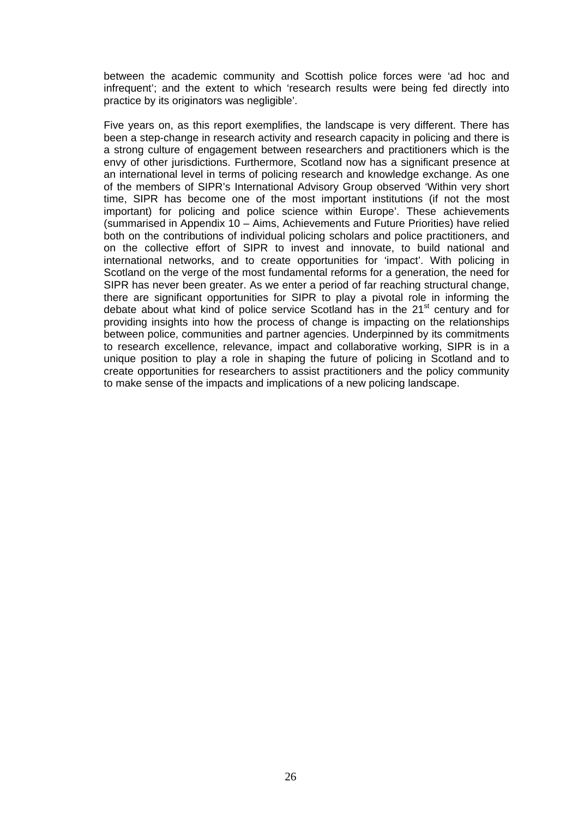between the academic community and Scottish police forces were 'ad hoc and infrequent'; and the extent to which 'research results were being fed directly into practice by its originators was negligible'.

Five years on, as this report exemplifies, the landscape is very different. There has been a step-change in research activity and research capacity in policing and there is a strong culture of engagement between researchers and practitioners which is the envy of other jurisdictions. Furthermore, Scotland now has a significant presence at an international level in terms of policing research and knowledge exchange. As one of the members of SIPR's International Advisory Group observed 'Within very short time, SIPR has become one of the most important institutions (if not the most important) for policing and police science within Europe'. These achievements (summarised in Appendix 10 – Aims, Achievements and Future Priorities) have relied both on the contributions of individual policing scholars and police practitioners, and on the collective effort of SIPR to invest and innovate, to build national and international networks, and to create opportunities for 'impact'. With policing in Scotland on the verge of the most fundamental reforms for a generation, the need for SIPR has never been greater. As we enter a period of far reaching structural change, there are significant opportunities for SIPR to play a pivotal role in informing the debate about what kind of police service Scotland has in the 21<sup>st</sup> century and for providing insights into how the process of change is impacting on the relationships between police, communities and partner agencies. Underpinned by its commitments to research excellence, relevance, impact and collaborative working, SIPR is in a unique position to play a role in shaping the future of policing in Scotland and to create opportunities for researchers to assist practitioners and the policy community to make sense of the impacts and implications of a new policing landscape.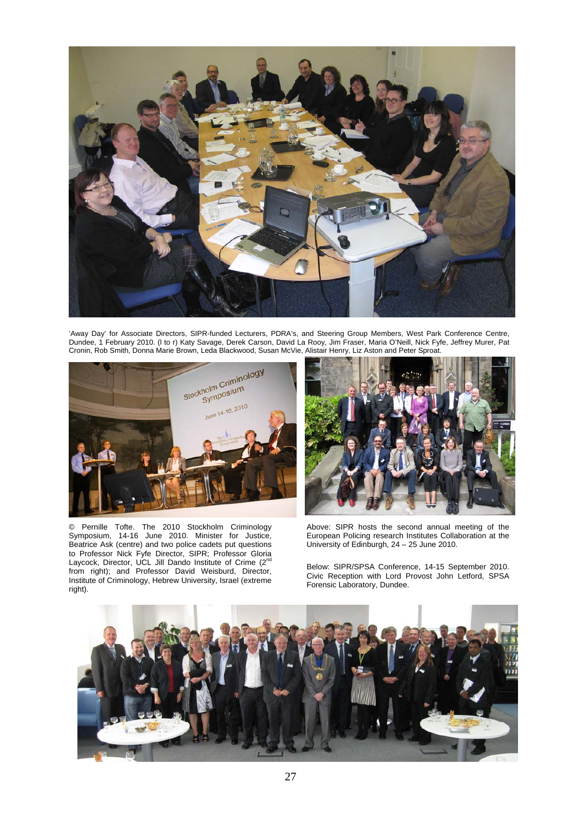

'Away Day' for Associate Directors, SIPR-funded Lecturers, PDRA's, and Steering Group Members, West Park Conference Centre, Dundee, 1 February 2010. (l to r) Katy Savage, Derek Carson, David La Rooy, Jim Fraser, Maria O'Neill, Nick Fyfe, Jeffrey Murer, Pat Cronin, Rob Smith, Donna Marie Brown, Leda Blackwood, Susan McVie, Alistair Henry, Liz Aston and Peter Sproat.



© Pernille Tofte. The 2010 Stockholm Criminology Symposium, 14-16 June 2010. Minister for Justice, Beatrice Ask (centre) and two police cadets put questions to Professor Nick Fyfe Director, SIPR; Professor Gloria Laycock, Director, UCL Jill Dando Institute of Crime (2<sup>nd</sup> from right); and Professor David Weisburd, Director, Institute of Criminology, Hebrew University, Israel (extreme right).



Above: SIPR hosts the second annual meeting of the European Policing research Institutes Collaboration at the University of Edinburgh, 24 – 25 June 2010.

Below: SIPR/SPSA Conference, 14-15 September 2010. Civic Reception with Lord Provost John Letford, SPSA Forensic Laboratory, Dundee.

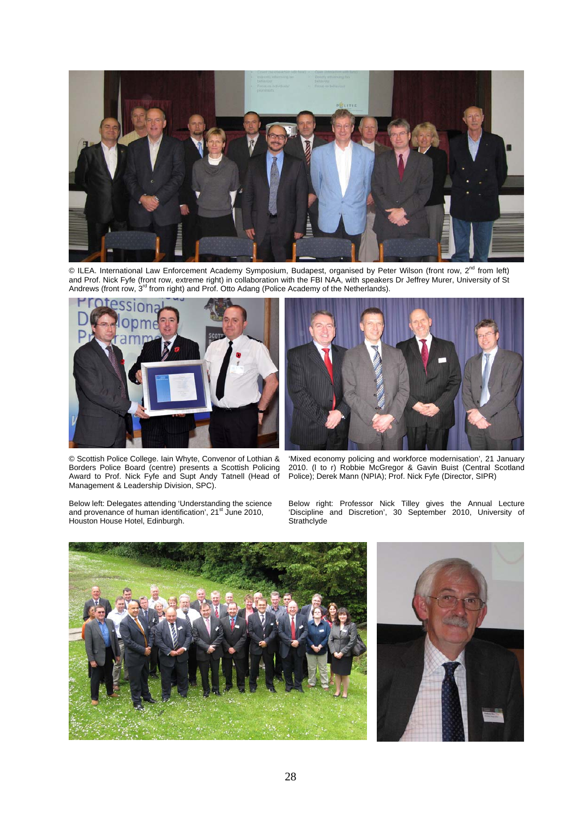

 $\odot$  ILEA. International Law Enforcement Academy Symposium, Budapest, organised by Peter Wilson (front row, 2<sup>nd</sup> from left) and Prof. Nick Fyfe (front row, extreme right) in collaboration with the FBI NAA, with speakers Dr Jeffrey Murer, University of St<br>Andrews (front row, 3<sup>rd</sup> from right) and Prof. Otto Adang (Police Academy of the Netherlan



© Scottish Police College. Iain Whyte, Convenor of Lothian & Borders Police Board (centre) presents a Scottish Policing Award to Prof. Nick Fyfe and Supt Andy Tatnell (Head of Management & Leadership Division, SPC).

Below left: Delegates attending 'Understanding the science<br>and provenance of human identification', 21<sup>st</sup> June 2010, Houston House Hotel, Edinburgh.



'Mixed economy policing and workforce modernisation', 21 January 2010. (l to r) Robbie McGregor & Gavin Buist (Central Scotland Police); Derek Mann (NPIA); Prof. Nick Fyfe (Director, SIPR)

Below right: Professor Nick Tilley gives the Annual Lecture 'Discipline and Discretion', 30 September 2010, University of **Strathclyde** 

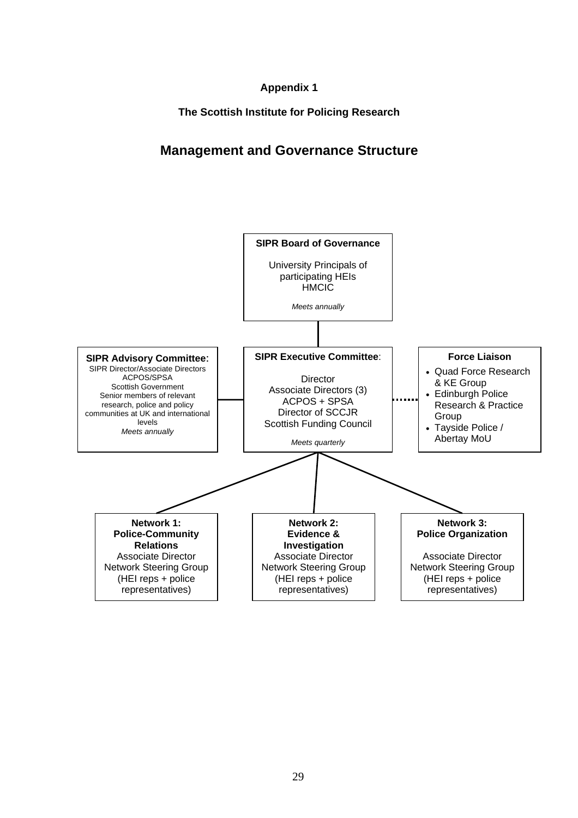### **Appendix 1**

**The Scottish Institute for Policing Research** 

# **Management and Governance Structure**

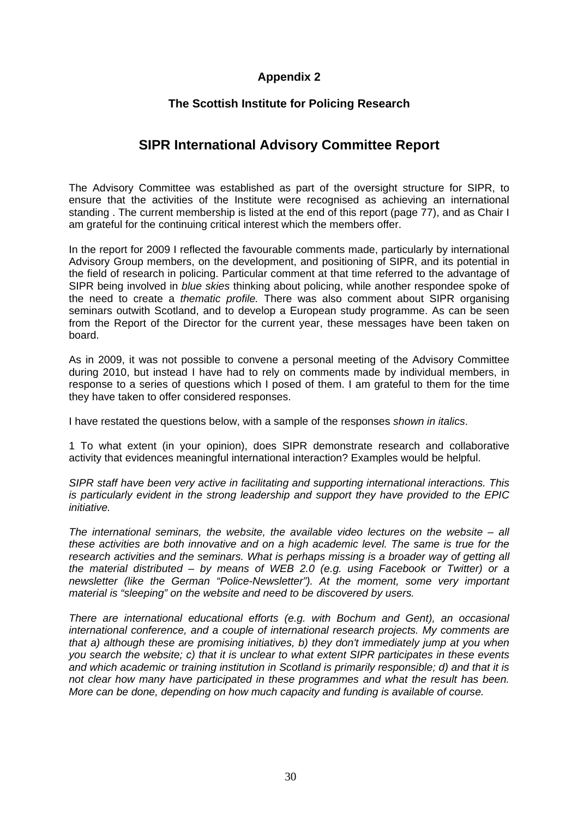### **Appendix 2**

#### **The Scottish Institute for Policing Research**

## **SIPR International Advisory Committee Report**

The Advisory Committee was established as part of the oversight structure for SIPR, to ensure that the activities of the Institute were recognised as achieving an international standing . The current membership is listed at the end of this report (page 77), and as Chair I am grateful for the continuing critical interest which the members offer.

In the report for 2009 I reflected the favourable comments made, particularly by international Advisory Group members, on the development, and positioning of SIPR, and its potential in the field of research in policing. Particular comment at that time referred to the advantage of SIPR being involved in *blue skies* thinking about policing, while another respondee spoke of the need to create a *thematic profile.* There was also comment about SIPR organising seminars outwith Scotland, and to develop a European study programme. As can be seen from the Report of the Director for the current year, these messages have been taken on board.

As in 2009, it was not possible to convene a personal meeting of the Advisory Committee during 2010, but instead I have had to rely on comments made by individual members, in response to a series of questions which I posed of them. I am grateful to them for the time they have taken to offer considered responses.

I have restated the questions below, with a sample of the responses *shown in italics*.

1 To what extent (in your opinion), does SIPR demonstrate research and collaborative activity that evidences meaningful international interaction? Examples would be helpful.

*SIPR staff have been very active in facilitating and supporting international interactions. This is particularly evident in the strong leadership and support they have provided to the EPIC initiative.* 

*The international seminars, the website, the available video lectures on the website – all these activities are both innovative and on a high academic level. The same is true for the*  research activities and the seminars. What is perhaps missing is a broader way of getting all *the material distributed – by means of WEB 2.0 (e.g. using Facebook or Twitter) or a newsletter (like the German "Police-Newsletter"). At the moment, some very important material is "sleeping" on the website and need to be discovered by users.*

*There are international educational efforts (e.g. with Bochum and Gent), an occasional international conference, and a couple of international research projects. My comments are that a) although these are promising initiatives, b) they don't immediately jump at you when you search the website; c) that it is unclear to what extent SIPR participates in these events and which academic or training institution in Scotland is primarily responsible; d) and that it is not clear how many have participated in these programmes and what the result has been. More can be done, depending on how much capacity and funding is available of course.*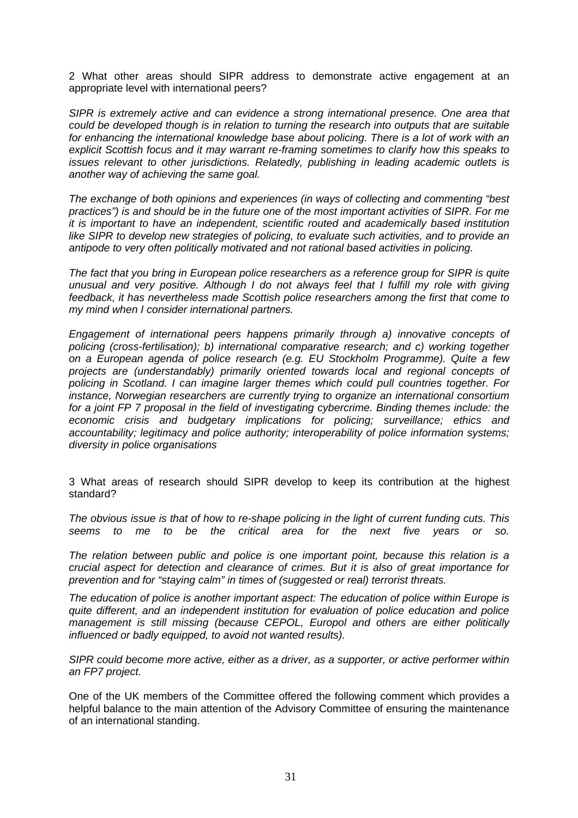2 What other areas should SIPR address to demonstrate active engagement at an appropriate level with international peers?

*SIPR is extremely active and can evidence a strong international presence. One area that could be developed though is in relation to turning the research into outputs that are suitable*  for enhancing the international knowledge base about policing. There is a lot of work with an *explicit Scottish focus and it may warrant re-framing sometimes to clarify how this speaks to issues relevant to other jurisdictions. Relatedly, publishing in leading academic outlets is another way of achieving the same goal.* 

*The exchange of both opinions and experiences (in ways of collecting and commenting "best practices") is and should be in the future one of the most important activities of SIPR. For me it is important to have an independent, scientific routed and academically based institution*  like SIPR to develop new strategies of policing, to evaluate such activities, and to provide an *antipode to very often politically motivated and not rational based activities in policing.* 

*The fact that you bring in European police researchers as a reference group for SIPR is quite unusual and very positive. Although I do not always feel that I fulfill my role with giving feedback, it has nevertheless made Scottish police researchers among the first that come to my mind when I consider international partners.* 

*Engagement of international peers happens primarily through a) innovative concepts of policing (cross-fertilisation); b) international comparative research; and c) working together on a European agenda of police research (e.g. EU Stockholm Programme). Quite a few projects are (understandably) primarily oriented towards local and regional concepts of policing in Scotland. I can imagine larger themes which could pull countries together. For instance, Norwegian researchers are currently trying to organize an international consortium*  for a joint FP 7 proposal in the field of investigating cybercrime. Binding themes include: the *economic crisis and budgetary implications for policing; surveillance; ethics and accountability; legitimacy and police authority; interoperability of police information systems; diversity in police organisations* 

3 What areas of research should SIPR develop to keep its contribution at the highest standard?

*The obvious issue is that of how to re-shape policing in the light of current funding cuts. This seems to me to be the critical area for the next five years or so.* 

*The relation between public and police is one important point, because this relation is a crucial aspect for detection and clearance of crimes. But it is also of great importance for prevention and for "staying calm" in times of (suggested or real) terrorist threats.* 

*The education of police is another important aspect: The education of police within Europe is quite different, and an independent institution for evaluation of police education and police management is still missing (because CEPOL, Europol and others are either politically influenced or badly equipped, to avoid not wanted results).* 

*SIPR could become more active, either as a driver, as a supporter, or active performer within an FP7 project.* 

One of the UK members of the Committee offered the following comment which provides a helpful balance to the main attention of the Advisory Committee of ensuring the maintenance of an international standing.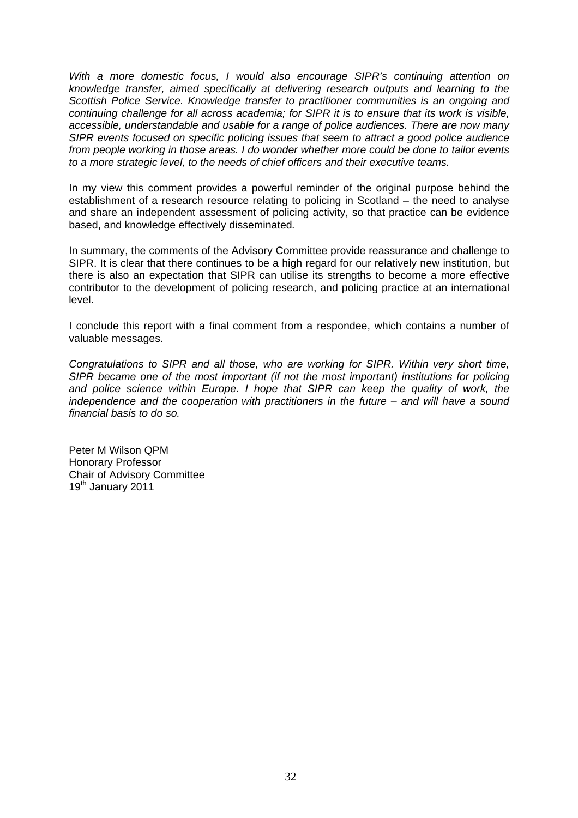*With a more domestic focus, I would also encourage SIPR's continuing attention on knowledge transfer, aimed specifically at delivering research outputs and learning to the Scottish Police Service. Knowledge transfer to practitioner communities is an ongoing and continuing challenge for all across academia; for SIPR it is to ensure that its work is visible, accessible, understandable and usable for a range of police audiences. There are now many SIPR events focused on specific policing issues that seem to attract a good police audience from people working in those areas. I do wonder whether more could be done to tailor events to a more strategic level, to the needs of chief officers and their executive teams.* 

In my view this comment provides a powerful reminder of the original purpose behind the establishment of a research resource relating to policing in Scotland – the need to analyse and share an independent assessment of policing activity, so that practice can be evidence based, and knowledge effectively disseminated*.* 

In summary, the comments of the Advisory Committee provide reassurance and challenge to SIPR. It is clear that there continues to be a high regard for our relatively new institution, but there is also an expectation that SIPR can utilise its strengths to become a more effective contributor to the development of policing research, and policing practice at an international level.

I conclude this report with a final comment from a respondee, which contains a number of valuable messages.

*Congratulations to SIPR and all those, who are working for SIPR. Within very short time, SIPR became one of the most important (if not the most important) institutions for policing* and police science within Europe. I hope that SIPR can keep the quality of work, the *independence and the cooperation with practitioners in the future – and will have a sound financial basis to do so.*

Peter M Wilson QPM Honorary Professor Chair of Advisory Committee 19<sup>th</sup> January 2011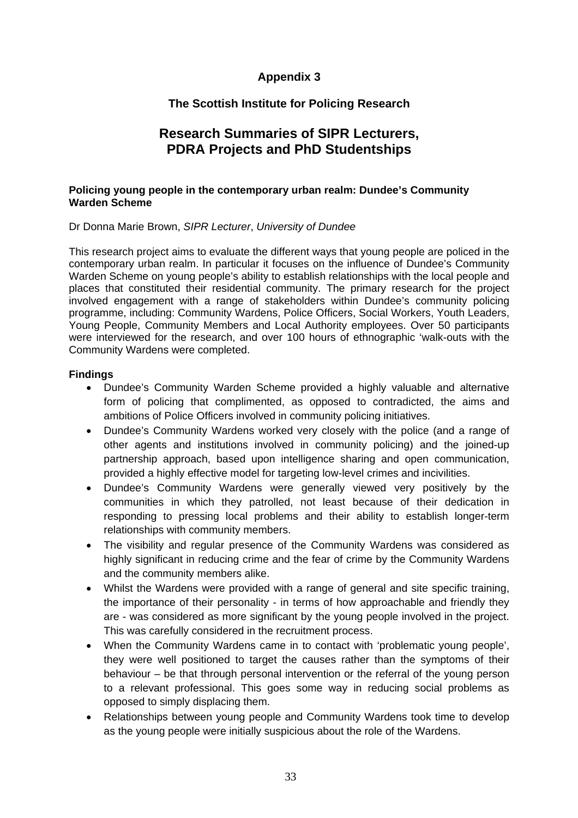# **Appendix 3**

# **The Scottish Institute for Policing Research**

# **Research Summaries of SIPR Lecturers, PDRA Projects and PhD Studentships**

### **Policing young people in the contemporary urban realm: Dundee's Community Warden Scheme**

Dr Donna Marie Brown, *SIPR Lecturer*, *University of Dundee*

This research project aims to evaluate the different ways that young people are policed in the contemporary urban realm. In particular it focuses on the influence of Dundee's Community Warden Scheme on young people's ability to establish relationships with the local people and places that constituted their residential community. The primary research for the project involved engagement with a range of stakeholders within Dundee's community policing programme, including: Community Wardens, Police Officers, Social Workers, Youth Leaders, Young People, Community Members and Local Authority employees. Over 50 participants were interviewed for the research, and over 100 hours of ethnographic 'walk-outs with the Community Wardens were completed.

#### **Findings**

- Dundee's Community Warden Scheme provided a highly valuable and alternative form of policing that complimented, as opposed to contradicted, the aims and ambitions of Police Officers involved in community policing initiatives.
- Dundee's Community Wardens worked very closely with the police (and a range of other agents and institutions involved in community policing) and the joined-up partnership approach, based upon intelligence sharing and open communication, provided a highly effective model for targeting low-level crimes and incivilities.
- Dundee's Community Wardens were generally viewed very positively by the communities in which they patrolled, not least because of their dedication in responding to pressing local problems and their ability to establish longer-term relationships with community members.
- The visibility and regular presence of the Community Wardens was considered as highly significant in reducing crime and the fear of crime by the Community Wardens and the community members alike.
- Whilst the Wardens were provided with a range of general and site specific training, the importance of their personality - in terms of how approachable and friendly they are - was considered as more significant by the young people involved in the project. This was carefully considered in the recruitment process.
- When the Community Wardens came in to contact with 'problematic young people', they were well positioned to target the causes rather than the symptoms of their behaviour – be that through personal intervention or the referral of the young person to a relevant professional. This goes some way in reducing social problems as opposed to simply displacing them.
- Relationships between young people and Community Wardens took time to develop as the young people were initially suspicious about the role of the Wardens.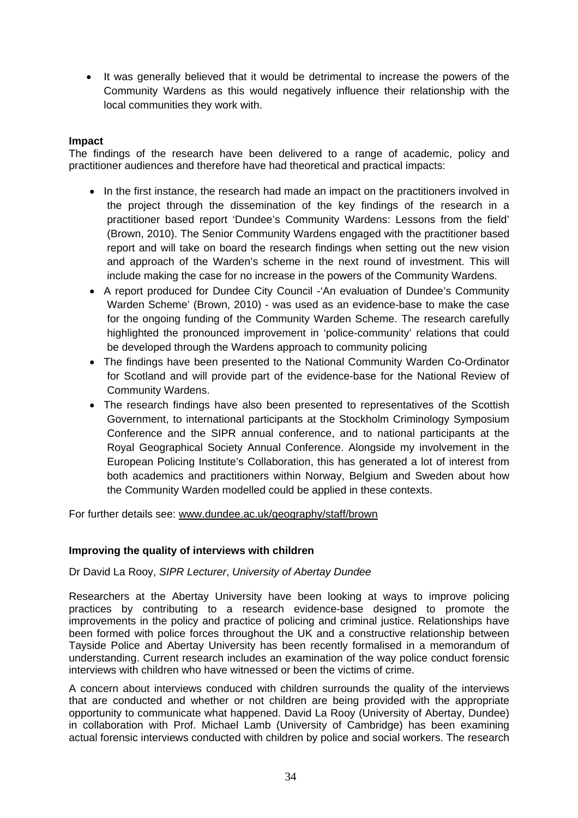• It was generally believed that it would be detrimental to increase the powers of the Community Wardens as this would negatively influence their relationship with the local communities they work with.

## **Impact**

The findings of the research have been delivered to a range of academic, policy and practitioner audiences and therefore have had theoretical and practical impacts:

- In the first instance, the research had made an impact on the practitioners involved in the project through the dissemination of the key findings of the research in a practitioner based report 'Dundee's Community Wardens: Lessons from the field' (Brown, 2010). The Senior Community Wardens engaged with the practitioner based report and will take on board the research findings when setting out the new vision and approach of the Warden's scheme in the next round of investment. This will include making the case for no increase in the powers of the Community Wardens.
- A report produced for Dundee City Council -'An evaluation of Dundee's Community Warden Scheme' (Brown, 2010) - was used as an evidence-base to make the case for the ongoing funding of the Community Warden Scheme. The research carefully highlighted the pronounced improvement in 'police-community' relations that could be developed through the Wardens approach to community policing
- The findings have been presented to the National Community Warden Co-Ordinator for Scotland and will provide part of the evidence-base for the National Review of Community Wardens.
- The research findings have also been presented to representatives of the Scottish Government, to international participants at the Stockholm Criminology Symposium Conference and the SIPR annual conference, and to national participants at the Royal Geographical Society Annual Conference. Alongside my involvement in the European Policing Institute's Collaboration, this has generated a lot of interest from both academics and practitioners within Norway, Belgium and Sweden about how the Community Warden modelled could be applied in these contexts.

For further details see: www.dundee.ac.uk/geography/staff/brown

## **Improving the quality of interviews with children**

Dr David La Rooy, *SIPR Lecturer*, *University of Abertay Dundee* 

Researchers at the Abertay University have been looking at ways to improve policing practices by contributing to a research evidence-base designed to promote the improvements in the policy and practice of policing and criminal justice. Relationships have been formed with police forces throughout the UK and a constructive relationship between Tayside Police and Abertay University has been recently formalised in a memorandum of understanding. Current research includes an examination of the way police conduct forensic interviews with children who have witnessed or been the victims of crime.

A concern about interviews conduced with children surrounds the quality of the interviews that are conducted and whether or not children are being provided with the appropriate opportunity to communicate what happened. David La Rooy (University of Abertay, Dundee) in collaboration with Prof. Michael Lamb (University of Cambridge) has been examining actual forensic interviews conducted with children by police and social workers. The research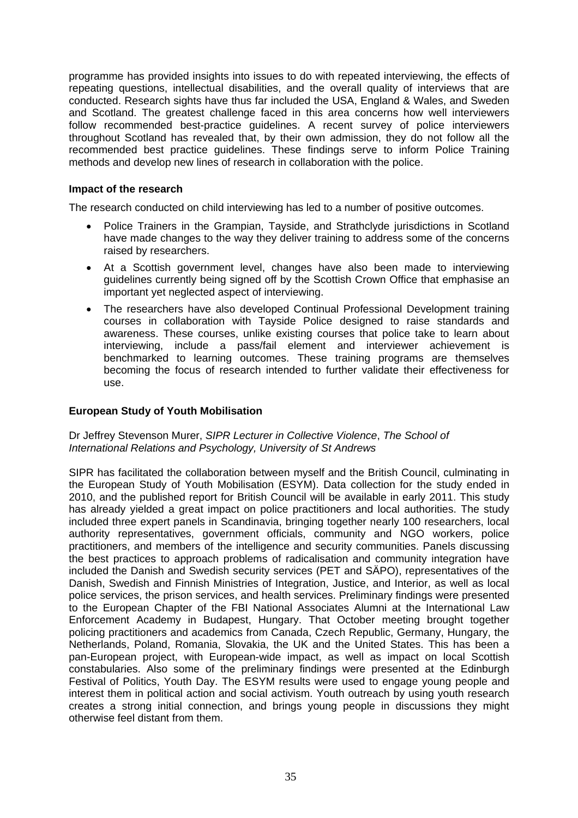programme has provided insights into issues to do with repeated interviewing, the effects of repeating questions, intellectual disabilities, and the overall quality of interviews that are conducted. Research sights have thus far included the USA, England & Wales, and Sweden and Scotland. The greatest challenge faced in this area concerns how well interviewers follow recommended best-practice guidelines. A recent survey of police interviewers throughout Scotland has revealed that, by their own admission, they do not follow all the recommended best practice guidelines. These findings serve to inform Police Training methods and develop new lines of research in collaboration with the police.

### **Impact of the research**

The research conducted on child interviewing has led to a number of positive outcomes.

- Police Trainers in the Grampian, Tayside, and Strathclyde jurisdictions in Scotland have made changes to the way they deliver training to address some of the concerns raised by researchers.
- At a Scottish government level, changes have also been made to interviewing guidelines currently being signed off by the Scottish Crown Office that emphasise an important yet neglected aspect of interviewing.
- The researchers have also developed Continual Professional Development training courses in collaboration with Tayside Police designed to raise standards and awareness. These courses, unlike existing courses that police take to learn about interviewing, include a pass/fail element and interviewer achievement is benchmarked to learning outcomes. These training programs are themselves becoming the focus of research intended to further validate their effectiveness for use.

## **European Study of Youth Mobilisation**

#### Dr Jeffrey Stevenson Murer, *SIPR Lecturer in Collective Violence*, *The School of International Relations and Psychology, University of St Andrews*

SIPR has facilitated the collaboration between myself and the British Council, culminating in the European Study of Youth Mobilisation (ESYM). Data collection for the study ended in 2010, and the published report for British Council will be available in early 2011. This study has already yielded a great impact on police practitioners and local authorities. The study included three expert panels in Scandinavia, bringing together nearly 100 researchers, local authority representatives, government officials, community and NGO workers, police practitioners, and members of the intelligence and security communities. Panels discussing the best practices to approach problems of radicalisation and community integration have included the Danish and Swedish security services (PET and SÄPO), representatives of the Danish, Swedish and Finnish Ministries of Integration, Justice, and Interior, as well as local police services, the prison services, and health services. Preliminary findings were presented to the European Chapter of the FBI National Associates Alumni at the International Law Enforcement Academy in Budapest, Hungary. That October meeting brought together policing practitioners and academics from Canada, Czech Republic, Germany, Hungary, the Netherlands, Poland, Romania, Slovakia, the UK and the United States. This has been a pan-European project, with European-wide impact, as well as impact on local Scottish constabularies. Also some of the preliminary findings were presented at the Edinburgh Festival of Politics, Youth Day. The ESYM results were used to engage young people and interest them in political action and social activism. Youth outreach by using youth research creates a strong initial connection, and brings young people in discussions they might otherwise feel distant from them.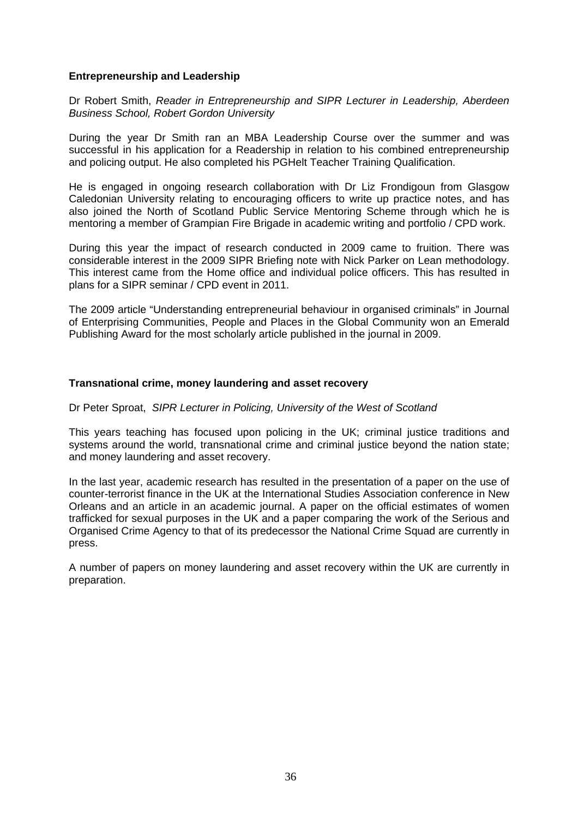#### **Entrepreneurship and Leadership**

Dr Robert Smith, *Reader in Entrepreneurship and SIPR Lecturer in Leadership, Aberdeen Business School, Robert Gordon University* 

During the year Dr Smith ran an MBA Leadership Course over the summer and was successful in his application for a Readership in relation to his combined entrepreneurship and policing output. He also completed his PGHelt Teacher Training Qualification.

He is engaged in ongoing research collaboration with Dr Liz Frondigoun from Glasgow Caledonian University relating to encouraging officers to write up practice notes, and has also joined the North of Scotland Public Service Mentoring Scheme through which he is mentoring a member of Grampian Fire Brigade in academic writing and portfolio / CPD work.

During this year the impact of research conducted in 2009 came to fruition. There was considerable interest in the 2009 SIPR Briefing note with Nick Parker on Lean methodology. This interest came from the Home office and individual police officers. This has resulted in plans for a SIPR seminar / CPD event in 2011.

The 2009 article "Understanding entrepreneurial behaviour in organised criminals" in Journal of Enterprising Communities, People and Places in the Global Community won an Emerald Publishing Award for the most scholarly article published in the journal in 2009.

#### **Transnational crime, money laundering and asset recovery**

#### Dr Peter Sproat, *SIPR Lecturer in Policing, University of the West of Scotland*

This years teaching has focused upon policing in the UK; criminal justice traditions and systems around the world, transnational crime and criminal justice beyond the nation state; and money laundering and asset recovery.

In the last year, academic research has resulted in the presentation of a paper on the use of counter-terrorist finance in the UK at the International Studies Association conference in New Orleans and an article in an academic journal. A paper on the official estimates of women trafficked for sexual purposes in the UK and a paper comparing the work of the Serious and Organised Crime Agency to that of its predecessor the National Crime Squad are currently in press.

A number of papers on money laundering and asset recovery within the UK are currently in preparation.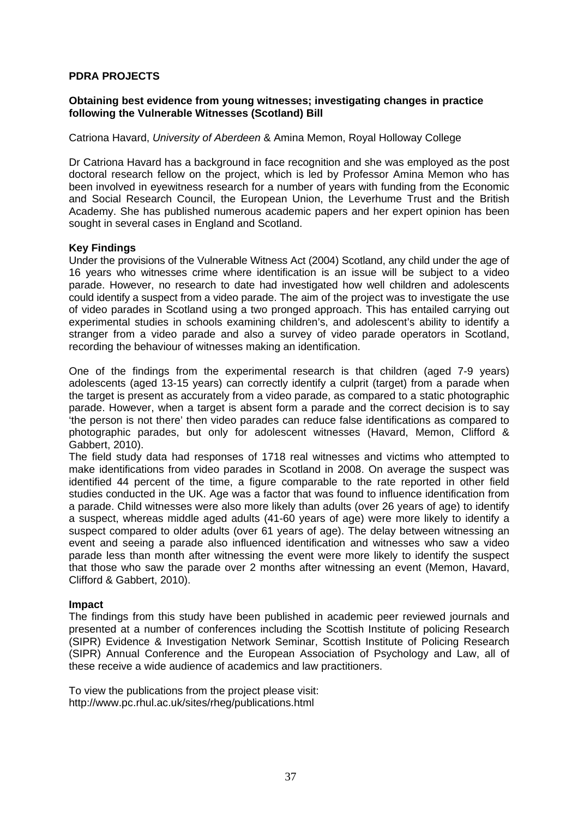### **PDRA PROJECTS**

### **Obtaining best evidence from young witnesses; investigating changes in practice following the Vulnerable Witnesses (Scotland) Bill**

#### Catriona Havard, *University of Aberdeen* & Amina Memon, Royal Holloway College

Dr Catriona Havard has a background in face recognition and she was employed as the post doctoral research fellow on the project, which is led by Professor Amina Memon who has been involved in eyewitness research for a number of years with funding from the Economic and Social Research Council, the European Union, the Leverhume Trust and the British Academy. She has published numerous academic papers and her expert opinion has been sought in several cases in England and Scotland.

#### **Key Findings**

Under the provisions of the Vulnerable Witness Act (2004) Scotland, any child under the age of 16 years who witnesses crime where identification is an issue will be subject to a video parade. However, no research to date had investigated how well children and adolescents could identify a suspect from a video parade. The aim of the project was to investigate the use of video parades in Scotland using a two pronged approach. This has entailed carrying out experimental studies in schools examining children's, and adolescent's ability to identify a stranger from a video parade and also a survey of video parade operators in Scotland, recording the behaviour of witnesses making an identification.

One of the findings from the experimental research is that children (aged 7-9 years) adolescents (aged 13-15 years) can correctly identify a culprit (target) from a parade when the target is present as accurately from a video parade, as compared to a static photographic parade. However, when a target is absent form a parade and the correct decision is to say 'the person is not there' then video parades can reduce false identifications as compared to photographic parades, but only for adolescent witnesses (Havard, Memon, Clifford & Gabbert, 2010).

The field study data had responses of 1718 real witnesses and victims who attempted to make identifications from video parades in Scotland in 2008. On average the suspect was identified 44 percent of the time, a figure comparable to the rate reported in other field studies conducted in the UK. Age was a factor that was found to influence identification from a parade. Child witnesses were also more likely than adults (over 26 years of age) to identify a suspect, whereas middle aged adults (41-60 years of age) were more likely to identify a suspect compared to older adults (over 61 years of age). The delay between witnessing an event and seeing a parade also influenced identification and witnesses who saw a video parade less than month after witnessing the event were more likely to identify the suspect that those who saw the parade over 2 months after witnessing an event (Memon, Havard, Clifford & Gabbert, 2010).

#### **Impact**

The findings from this study have been published in academic peer reviewed journals and presented at a number of conferences including the Scottish Institute of policing Research (SIPR) Evidence & Investigation Network Seminar, Scottish Institute of Policing Research (SIPR) Annual Conference and the European Association of Psychology and Law, all of these receive a wide audience of academics and law practitioners.

To view the publications from the project please visit: http://www.pc.rhul.ac.uk/sites/rheg/publications.html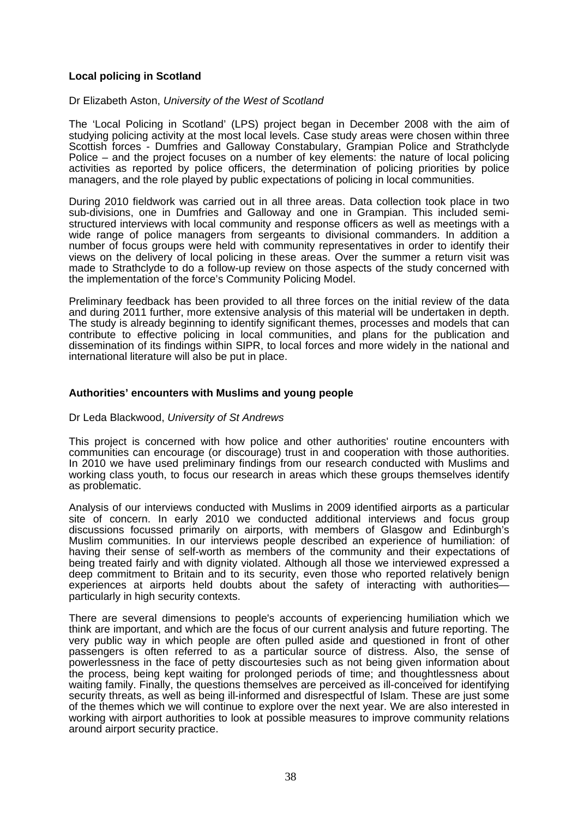#### **Local policing in Scotland**

Dr Elizabeth Aston, *University of the West of Scotland*

The 'Local Policing in Scotland' (LPS) project began in December 2008 with the aim of studying policing activity at the most local levels. Case study areas were chosen within three Scottish forces - Dumfries and Galloway Constabulary, Grampian Police and Strathclyde Police – and the project focuses on a number of key elements: the nature of local policing activities as reported by police officers, the determination of policing priorities by police managers, and the role played by public expectations of policing in local communities.

During 2010 fieldwork was carried out in all three areas. Data collection took place in two sub-divisions, one in Dumfries and Galloway and one in Grampian. This included semistructured interviews with local community and response officers as well as meetings with a wide range of police managers from sergeants to divisional commanders. In addition a number of focus groups were held with community representatives in order to identify their views on the delivery of local policing in these areas. Over the summer a return visit was made to Strathclyde to do a follow-up review on those aspects of the study concerned with the implementation of the force's Community Policing Model.

Preliminary feedback has been provided to all three forces on the initial review of the data and during 2011 further, more extensive analysis of this material will be undertaken in depth. The study is already beginning to identify significant themes, processes and models that can contribute to effective policing in local communities, and plans for the publication and dissemination of its findings within SIPR, to local forces and more widely in the national and international literature will also be put in place.

#### **Authorities' encounters with Muslims and young people**

#### Dr Leda Blackwood, *University of St Andrews*

This project is concerned with how police and other authorities' routine encounters with communities can encourage (or discourage) trust in and cooperation with those authorities. In 2010 we have used preliminary findings from our research conducted with Muslims and working class youth, to focus our research in areas which these groups themselves identify as problematic.

Analysis of our interviews conducted with Muslims in 2009 identified airports as a particular site of concern. In early 2010 we conducted additional interviews and focus group discussions focussed primarily on airports, with members of Glasgow and Edinburgh's Muslim communities. In our interviews people described an experience of humiliation: of having their sense of self-worth as members of the community and their expectations of being treated fairly and with dignity violated. Although all those we interviewed expressed a deep commitment to Britain and to its security, even those who reported relatively benign experiences at airports held doubts about the safety of interacting with authorities particularly in high security contexts.

There are several dimensions to people's accounts of experiencing humiliation which we think are important, and which are the focus of our current analysis and future reporting. The very public way in which people are often pulled aside and questioned in front of other passengers is often referred to as a particular source of distress. Also, the sense of powerlessness in the face of petty discourtesies such as not being given information about the process, being kept waiting for prolonged periods of time; and thoughtlessness about waiting family. Finally, the questions themselves are perceived as ill-conceived for identifying security threats, as well as being ill-informed and disrespectful of Islam. These are just some of the themes which we will continue to explore over the next year. We are also interested in working with airport authorities to look at possible measures to improve community relations around airport security practice.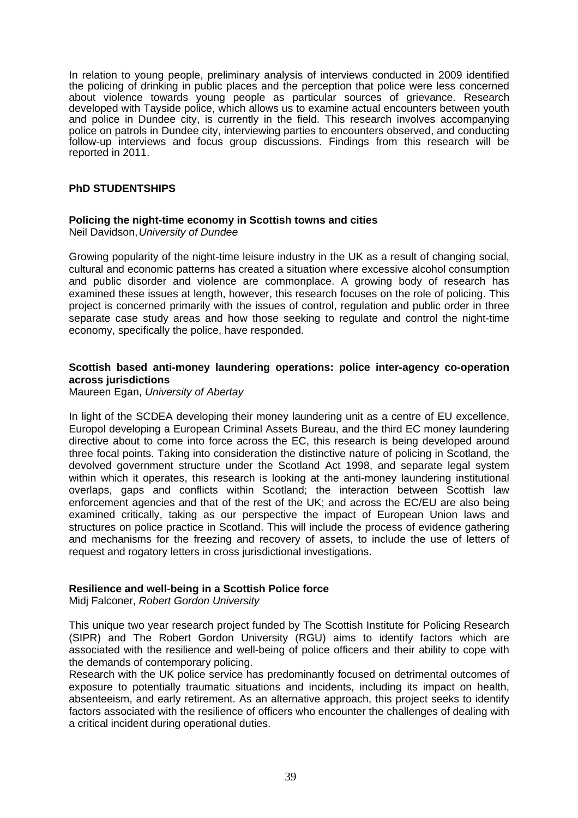In relation to young people, preliminary analysis of interviews conducted in 2009 identified the policing of drinking in public places and the perception that police were less concerned about violence towards young people as particular sources of grievance. Research developed with Tayside police, which allows us to examine actual encounters between youth and police in Dundee city, is currently in the field. This research involves accompanying police on patrols in Dundee city, interviewing parties to encounters observed, and conducting follow-up interviews and focus group discussions. Findings from this research will be reported in 2011.

## **PhD STUDENTSHIPS**

## **Policing the night-time economy in Scottish towns and cities**

Neil Davidson, *University of Dundee* 

Growing popularity of the night-time leisure industry in the UK as a result of changing social, cultural and economic patterns has created a situation where excessive alcohol consumption and public disorder and violence are commonplace. A growing body of research has examined these issues at length, however, this research focuses on the role of policing. This project is concerned primarily with the issues of control, regulation and public order in three separate case study areas and how those seeking to regulate and control the night-time economy, specifically the police, have responded.

### **Scottish based anti-money laundering operations: police inter-agency co-operation across jurisdictions**

Maureen Egan, *University of Abertay*

In light of the SCDEA developing their money laundering unit as a centre of EU excellence, Europol developing a European Criminal Assets Bureau, and the third EC money laundering directive about to come into force across the EC, this research is being developed around three focal points. Taking into consideration the distinctive nature of policing in Scotland, the devolved government structure under the Scotland Act 1998, and separate legal system within which it operates, this research is looking at the anti-money laundering institutional overlaps, gaps and conflicts within Scotland; the interaction between Scottish law enforcement agencies and that of the rest of the UK; and across the EC/EU are also being examined critically, taking as our perspective the impact of European Union laws and structures on police practice in Scotland. This will include the process of evidence gathering and mechanisms for the freezing and recovery of assets, to include the use of letters of request and rogatory letters in cross jurisdictional investigations.

## **Resilience and well-being in a Scottish Police force**

Midj Falconer, *Robert Gordon University*

This unique two year research project funded by The Scottish Institute for Policing Research (SIPR) and The Robert Gordon University (RGU) aims to identify factors which are associated with the resilience and well-being of police officers and their ability to cope with the demands of contemporary policing.

Research with the UK police service has predominantly focused on detrimental outcomes of exposure to potentially traumatic situations and incidents, including its impact on health, absenteeism, and early retirement. As an alternative approach, this project seeks to identify factors associated with the resilience of officers who encounter the challenges of dealing with a critical incident during operational duties.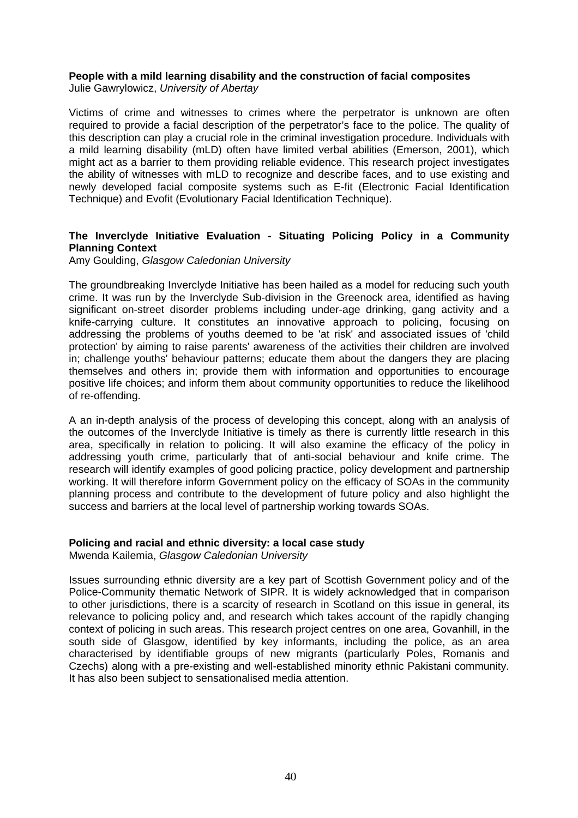## **People with a mild learning disability and the construction of facial composites**

Julie Gawrylowicz, *University of Abertay*

Victims of crime and witnesses to crimes where the perpetrator is unknown are often required to provide a facial description of the perpetrator's face to the police. The quality of this description can play a crucial role in the criminal investigation procedure. Individuals with a mild learning disability (mLD) often have limited verbal abilities (Emerson, 2001), which might act as a barrier to them providing reliable evidence. This research project investigates the ability of witnesses with mLD to recognize and describe faces, and to use existing and newly developed facial composite systems such as E-fit (Electronic Facial Identification Technique) and Evofit (Evolutionary Facial Identification Technique).

## **The Inverclyde Initiative Evaluation - Situating Policing Policy in a Community Planning Context**

Amy Goulding, *Glasgow Caledonian University*

The groundbreaking Inverclyde Initiative has been hailed as a model for reducing such youth crime. It was run by the Inverclyde Sub-division in the Greenock area, identified as having significant on-street disorder problems including under-age drinking, gang activity and a knife-carrying culture. It constitutes an innovative approach to policing, focusing on addressing the problems of youths deemed to be 'at risk' and associated issues of 'child protection' by aiming to raise parents' awareness of the activities their children are involved in; challenge youths' behaviour patterns; educate them about the dangers they are placing themselves and others in; provide them with information and opportunities to encourage positive life choices; and inform them about community opportunities to reduce the likelihood of re-offending.

A an in-depth analysis of the process of developing this concept, along with an analysis of the outcomes of the Inverclyde Initiative is timely as there is currently little research in this area, specifically in relation to policing. It will also examine the efficacy of the policy in addressing youth crime, particularly that of anti-social behaviour and knife crime. The research will identify examples of good policing practice, policy development and partnership working. It will therefore inform Government policy on the efficacy of SOAs in the community planning process and contribute to the development of future policy and also highlight the success and barriers at the local level of partnership working towards SOAs.

## **Policing and racial and ethnic diversity: a local case study**

Mwenda Kailemia, *Glasgow Caledonian University*

Issues surrounding ethnic diversity are a key part of Scottish Government policy and of the Police-Community thematic Network of SIPR. It is widely acknowledged that in comparison to other jurisdictions, there is a scarcity of research in Scotland on this issue in general, its relevance to policing policy and, and research which takes account of the rapidly changing context of policing in such areas. This research project centres on one area, Govanhill, in the south side of Glasgow, identified by key informants, including the police, as an area characterised by identifiable groups of new migrants (particularly Poles, Romanis and Czechs) along with a pre-existing and well-established minority ethnic Pakistani community. It has also been subject to sensationalised media attention.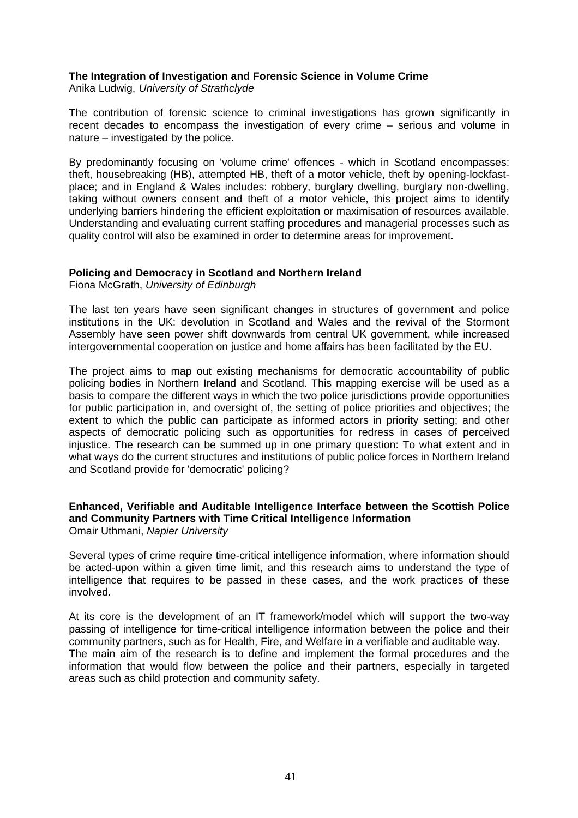## **The Integration of Investigation and Forensic Science in Volume Crime**

Anika Ludwig, *University of Strathclyde*

The contribution of forensic science to criminal investigations has grown significantly in recent decades to encompass the investigation of every crime – serious and volume in nature – investigated by the police.

By predominantly focusing on 'volume crime' offences - which in Scotland encompasses: theft, housebreaking (HB), attempted HB, theft of a motor vehicle, theft by opening-lockfastplace; and in England & Wales includes: robbery, burglary dwelling, burglary non-dwelling, taking without owners consent and theft of a motor vehicle, this project aims to identify underlying barriers hindering the efficient exploitation or maximisation of resources available. Understanding and evaluating current staffing procedures and managerial processes such as quality control will also be examined in order to determine areas for improvement.

## **Policing and Democracy in Scotland and Northern Ireland**

Fiona McGrath, *University of Edinburgh*

The last ten years have seen significant changes in structures of government and police institutions in the UK: devolution in Scotland and Wales and the revival of the Stormont Assembly have seen power shift downwards from central UK government, while increased intergovernmental cooperation on justice and home affairs has been facilitated by the EU.

The project aims to map out existing mechanisms for democratic accountability of public policing bodies in Northern Ireland and Scotland. This mapping exercise will be used as a basis to compare the different ways in which the two police jurisdictions provide opportunities for public participation in, and oversight of, the setting of police priorities and objectives; the extent to which the public can participate as informed actors in priority setting; and other aspects of democratic policing such as opportunities for redress in cases of perceived injustice. The research can be summed up in one primary question: To what extent and in what ways do the current structures and institutions of public police forces in Northern Ireland and Scotland provide for 'democratic' policing?

#### **Enhanced, Verifiable and Auditable Intelligence Interface between the Scottish Police and Community Partners with Time Critical Intelligence Information**  Omair Uthmani, *Napier University*

Several types of crime require time-critical intelligence information, where information should be acted-upon within a given time limit, and this research aims to understand the type of intelligence that requires to be passed in these cases, and the work practices of these involved.

At its core is the development of an IT framework/model which will support the two-way passing of intelligence for time-critical intelligence information between the police and their community partners, such as for Health, Fire, and Welfare in a verifiable and auditable way. The main aim of the research is to define and implement the formal procedures and the information that would flow between the police and their partners, especially in targeted areas such as child protection and community safety.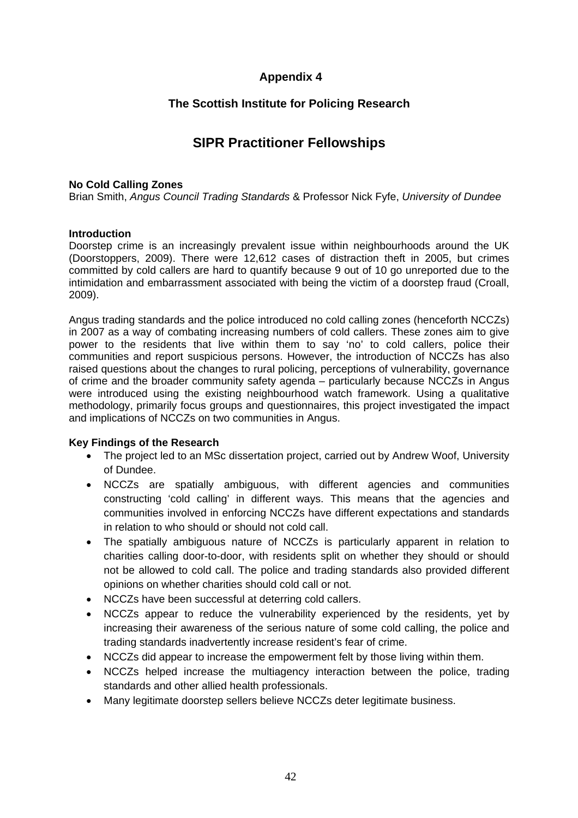# **Appendix 4**

## **The Scottish Institute for Policing Research**

# **SIPR Practitioner Fellowships**

### **No Cold Calling Zones**

Brian Smith, *Angus Council Trading Standards* & Professor Nick Fyfe, *University of Dundee*

## **Introduction**

Doorstep crime is an increasingly prevalent issue within neighbourhoods around the UK (Doorstoppers, 2009). There were 12,612 cases of distraction theft in 2005, but crimes committed by cold callers are hard to quantify because 9 out of 10 go unreported due to the intimidation and embarrassment associated with being the victim of a doorstep fraud (Croall, 2009).

Angus trading standards and the police introduced no cold calling zones (henceforth NCCZs) in 2007 as a way of combating increasing numbers of cold callers. These zones aim to give power to the residents that live within them to say 'no' to cold callers, police their communities and report suspicious persons. However, the introduction of NCCZs has also raised questions about the changes to rural policing, perceptions of vulnerability, governance of crime and the broader community safety agenda - particularly because NCCZs in Angus were introduced using the existing neighbourhood watch framework. Using a qualitative methodology, primarily focus groups and questionnaires, this project investigated the impact and implications of NCCZs on two communities in Angus.

## **Key Findings of the Research**

- The project led to an MSc dissertation project, carried out by Andrew Woof, University of Dundee.
- NCCZs are spatially ambiguous, with different agencies and communities constructing 'cold calling' in different ways. This means that the agencies and communities involved in enforcing NCCZs have different expectations and standards in relation to who should or should not cold call.
- The spatially ambiguous nature of NCCZs is particularly apparent in relation to charities calling door-to-door, with residents split on whether they should or should not be allowed to cold call. The police and trading standards also provided different opinions on whether charities should cold call or not.
- NCCZs have been successful at deterring cold callers.
- NCCZs appear to reduce the vulnerability experienced by the residents, yet by increasing their awareness of the serious nature of some cold calling, the police and trading standards inadvertently increase resident's fear of crime.
- NCCZs did appear to increase the empowerment felt by those living within them.
- NCCZs helped increase the multiagency interaction between the police, trading standards and other allied health professionals.
- Many legitimate doorstep sellers believe NCCZs deter legitimate business.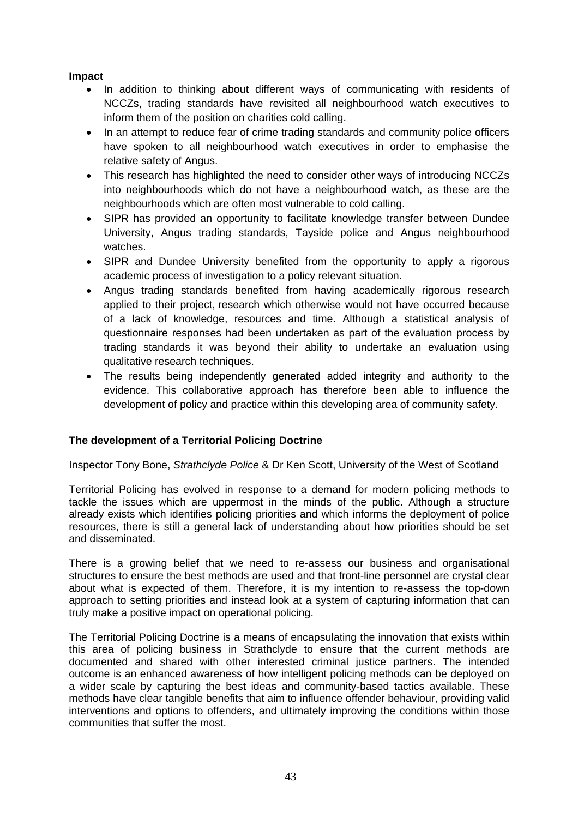## **Impact**

- In addition to thinking about different ways of communicating with residents of NCCZs, trading standards have revisited all neighbourhood watch executives to inform them of the position on charities cold calling.
- In an attempt to reduce fear of crime trading standards and community police officers have spoken to all neighbourhood watch executives in order to emphasise the relative safety of Angus.
- This research has highlighted the need to consider other ways of introducing NCCZs into neighbourhoods which do not have a neighbourhood watch, as these are the neighbourhoods which are often most vulnerable to cold calling.
- SIPR has provided an opportunity to facilitate knowledge transfer between Dundee University, Angus trading standards, Tayside police and Angus neighbourhood watches.
- SIPR and Dundee University benefited from the opportunity to apply a rigorous academic process of investigation to a policy relevant situation.
- Angus trading standards benefited from having academically rigorous research applied to their project, research which otherwise would not have occurred because of a lack of knowledge, resources and time. Although a statistical analysis of questionnaire responses had been undertaken as part of the evaluation process by trading standards it was beyond their ability to undertake an evaluation using qualitative research techniques.
- The results being independently generated added integrity and authority to the evidence. This collaborative approach has therefore been able to influence the development of policy and practice within this developing area of community safety.

## **The development of a Territorial Policing Doctrine**

Inspector Tony Bone, *Strathclyde Police* & Dr Ken Scott, University of the West of Scotland

Territorial Policing has evolved in response to a demand for modern policing methods to tackle the issues which are uppermost in the minds of the public. Although a structure already exists which identifies policing priorities and which informs the deployment of police resources, there is still a general lack of understanding about how priorities should be set and disseminated.

There is a growing belief that we need to re-assess our business and organisational structures to ensure the best methods are used and that front-line personnel are crystal clear about what is expected of them. Therefore, it is my intention to re-assess the top-down approach to setting priorities and instead look at a system of capturing information that can truly make a positive impact on operational policing.

The Territorial Policing Doctrine is a means of encapsulating the innovation that exists within this area of policing business in Strathclyde to ensure that the current methods are documented and shared with other interested criminal justice partners. The intended outcome is an enhanced awareness of how intelligent policing methods can be deployed on a wider scale by capturing the best ideas and community-based tactics available. These methods have clear tangible benefits that aim to influence offender behaviour, providing valid interventions and options to offenders, and ultimately improving the conditions within those communities that suffer the most.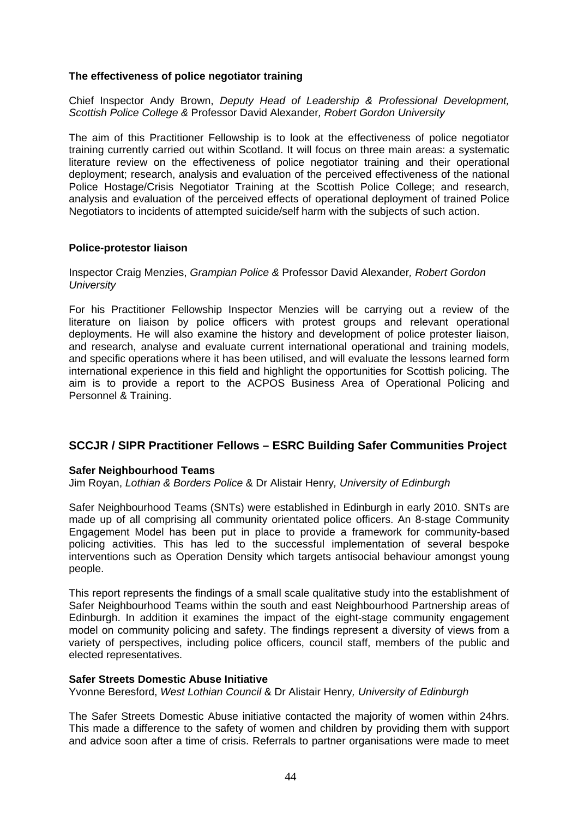### **The effectiveness of police negotiator training**

Chief Inspector Andy Brown, *Deputy Head of Leadership & Professional Development, Scottish Police College &* Professor David Alexander*, Robert Gordon University* 

The aim of this Practitioner Fellowship is to look at the effectiveness of police negotiator training currently carried out within Scotland. It will focus on three main areas: a systematic literature review on the effectiveness of police negotiator training and their operational deployment; research, analysis and evaluation of the perceived effectiveness of the national Police Hostage/Crisis Negotiator Training at the Scottish Police College; and research, analysis and evaluation of the perceived effects of operational deployment of trained Police Negotiators to incidents of attempted suicide/self harm with the subjects of such action.

#### **Police-protestor liaison**

Inspector Craig Menzies, *Grampian Police &* Professor David Alexander*, Robert Gordon University*

For his Practitioner Fellowship Inspector Menzies will be carrying out a review of the literature on liaison by police officers with protest groups and relevant operational deployments. He will also examine the history and development of police protester liaison, and research, analyse and evaluate current international operational and training models, and specific operations where it has been utilised, and will evaluate the lessons learned form international experience in this field and highlight the opportunities for Scottish policing. The aim is to provide a report to the ACPOS Business Area of Operational Policing and Personnel & Training.

## **SCCJR / SIPR Practitioner Fellows – ESRC Building Safer Communities Project**

#### **Safer Neighbourhood Teams**

Jim Royan, *Lothian & Borders Police* & Dr Alistair Henry*, University of Edinburgh* 

Safer Neighbourhood Teams (SNTs) were established in Edinburgh in early 2010. SNTs are made up of all comprising all community orientated police officers. An 8-stage Community Engagement Model has been put in place to provide a framework for community-based policing activities. This has led to the successful implementation of several bespoke interventions such as Operation Density which targets antisocial behaviour amongst young people.

This report represents the findings of a small scale qualitative study into the establishment of Safer Neighbourhood Teams within the south and east Neighbourhood Partnership areas of Edinburgh. In addition it examines the impact of the eight-stage community engagement model on community policing and safety. The findings represent a diversity of views from a variety of perspectives, including police officers, council staff, members of the public and elected representatives.

#### **Safer Streets Domestic Abuse Initiative**

Yvonne Beresford, *West Lothian Council* & Dr Alistair Henry*, University of Edinburgh*

The Safer Streets Domestic Abuse initiative contacted the majority of women within 24hrs. This made a difference to the safety of women and children by providing them with support and advice soon after a time of crisis. Referrals to partner organisations were made to meet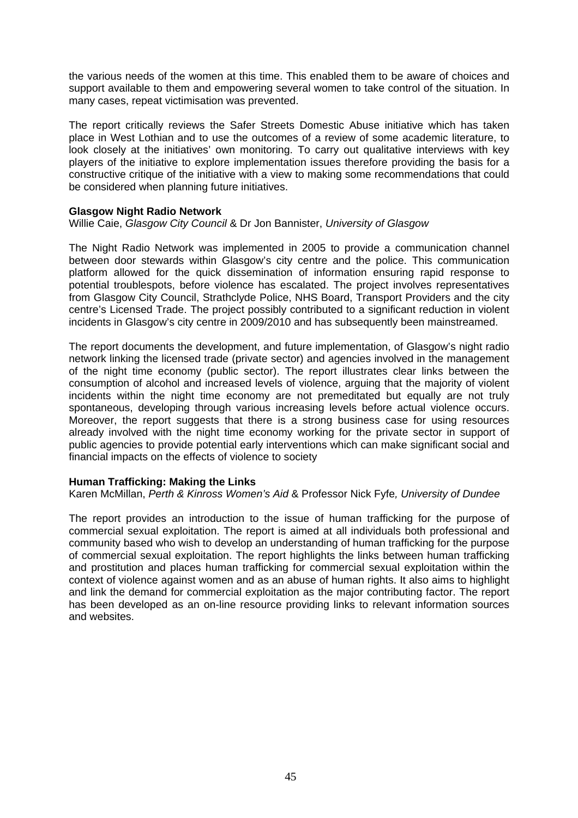the various needs of the women at this time. This enabled them to be aware of choices and support available to them and empowering several women to take control of the situation. In many cases, repeat victimisation was prevented.

The report critically reviews the Safer Streets Domestic Abuse initiative which has taken place in West Lothian and to use the outcomes of a review of some academic literature, to look closely at the initiatives' own monitoring. To carry out qualitative interviews with key players of the initiative to explore implementation issues therefore providing the basis for a constructive critique of the initiative with a view to making some recommendations that could be considered when planning future initiatives.

### **Glasgow Night Radio Network**

Willie Caie, *Glasgow City Council* & Dr Jon Bannister, *University of Glasgow*

The Night Radio Network was implemented in 2005 to provide a communication channel between door stewards within Glasgow's city centre and the police. This communication platform allowed for the quick dissemination of information ensuring rapid response to potential troublespots, before violence has escalated. The project involves representatives from Glasgow City Council, Strathclyde Police, NHS Board, Transport Providers and the city centre's Licensed Trade. The project possibly contributed to a significant reduction in violent incidents in Glasgow's city centre in 2009/2010 and has subsequently been mainstreamed.

The report documents the development, and future implementation, of Glasgow's night radio network linking the licensed trade (private sector) and agencies involved in the management of the night time economy (public sector). The report illustrates clear links between the consumption of alcohol and increased levels of violence, arguing that the majority of violent incidents within the night time economy are not premeditated but equally are not truly spontaneous, developing through various increasing levels before actual violence occurs. Moreover, the report suggests that there is a strong business case for using resources already involved with the night time economy working for the private sector in support of public agencies to provide potential early interventions which can make significant social and financial impacts on the effects of violence to society

#### **Human Trafficking: Making the Links**

Karen McMillan, *Perth & Kinross Women's Aid* & Professor Nick Fyfe*, University of Dundee*

The report provides an introduction to the issue of human trafficking for the purpose of commercial sexual exploitation. The report is aimed at all individuals both professional and community based who wish to develop an understanding of human trafficking for the purpose of commercial sexual exploitation. The report highlights the links between human trafficking and prostitution and places human trafficking for commercial sexual exploitation within the context of violence against women and as an abuse of human rights. It also aims to highlight and link the demand for commercial exploitation as the major contributing factor. The report has been developed as an on-line resource providing links to relevant information sources and websites.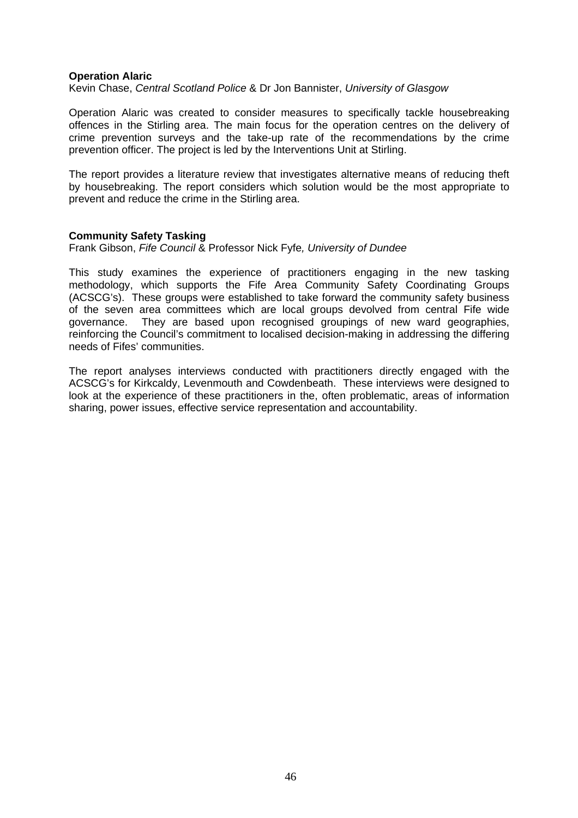#### **Operation Alaric**

Kevin Chase, *Central Scotland Police* & Dr Jon Bannister, *University of Glasgow*

Operation Alaric was created to consider measures to specifically tackle housebreaking offences in the Stirling area. The main focus for the operation centres on the delivery of crime prevention surveys and the take-up rate of the recommendations by the crime prevention officer. The project is led by the Interventions Unit at Stirling.

The report provides a literature review that investigates alternative means of reducing theft by housebreaking. The report considers which solution would be the most appropriate to prevent and reduce the crime in the Stirling area.

#### **Community Safety Tasking**

Frank Gibson, *Fife Council* & Professor Nick Fyfe*, University of Dundee* 

This study examines the experience of practitioners engaging in the new tasking methodology, which supports the Fife Area Community Safety Coordinating Groups (ACSCG's). These groups were established to take forward the community safety business of the seven area committees which are local groups devolved from central Fife wide governance. They are based upon recognised groupings of new ward geographies, reinforcing the Council's commitment to localised decision-making in addressing the differing needs of Fifes' communities.

The report analyses interviews conducted with practitioners directly engaged with the ACSCG's for Kirkcaldy, Levenmouth and Cowdenbeath. These interviews were designed to look at the experience of these practitioners in the, often problematic, areas of information sharing, power issues, effective service representation and accountability.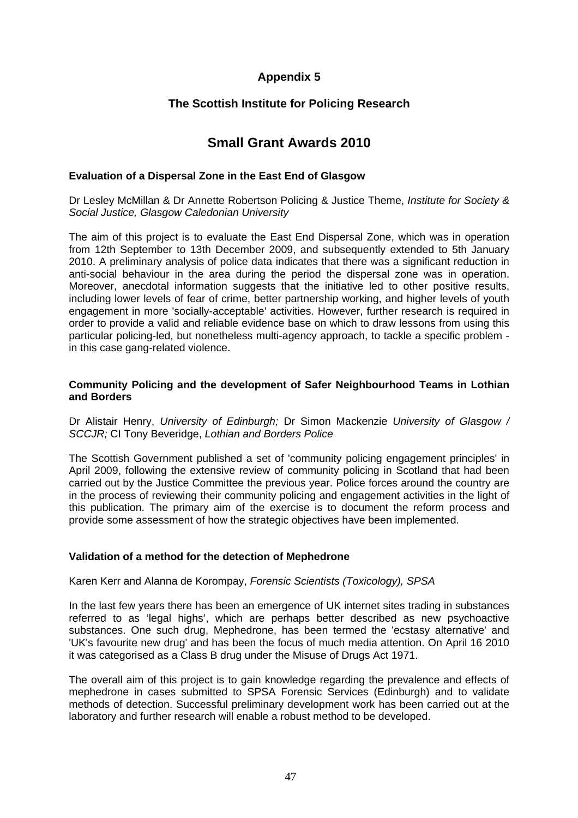# **Appendix 5**

## **The Scottish Institute for Policing Research**

# **Small Grant Awards 2010**

#### **Evaluation of a Dispersal Zone in the East End of Glasgow**

Dr Lesley McMillan & Dr Annette Robertson Policing & Justice Theme, *Institute for Society & Social Justice, Glasgow Caledonian University* 

The aim of this project is to evaluate the East End Dispersal Zone, which was in operation from 12th September to 13th December 2009, and subsequently extended to 5th January 2010. A preliminary analysis of police data indicates that there was a significant reduction in anti-social behaviour in the area during the period the dispersal zone was in operation. Moreover, anecdotal information suggests that the initiative led to other positive results, including lower levels of fear of crime, better partnership working, and higher levels of youth engagement in more 'socially-acceptable' activities. However, further research is required in order to provide a valid and reliable evidence base on which to draw lessons from using this particular policing-led, but nonetheless multi-agency approach, to tackle a specific problem in this case gang-related violence.

### **Community Policing and the development of Safer Neighbourhood Teams in Lothian and Borders**

Dr Alistair Henry, *University of Edinburgh;* Dr Simon Mackenzie *University of Glasgow / SCCJR;* CI Tony Beveridge, *Lothian and Borders Police* 

The Scottish Government published a set of 'community policing engagement principles' in April 2009, following the extensive review of community policing in Scotland that had been carried out by the Justice Committee the previous year. Police forces around the country are in the process of reviewing their community policing and engagement activities in the light of this publication. The primary aim of the exercise is to document the reform process and provide some assessment of how the strategic objectives have been implemented.

## **Validation of a method for the detection of Mephedrone**

Karen Kerr and Alanna de Korompay, *Forensic Scientists (Toxicology), SPSA*

In the last few years there has been an emergence of UK internet sites trading in substances referred to as 'legal highs', which are perhaps better described as new psychoactive substances. One such drug, Mephedrone, has been termed the 'ecstasy alternative' and 'UK's favourite new drug' and has been the focus of much media attention. On April 16 2010 it was categorised as a Class B drug under the Misuse of Drugs Act 1971.

The overall aim of this project is to gain knowledge regarding the prevalence and effects of mephedrone in cases submitted to SPSA Forensic Services (Edinburgh) and to validate methods of detection. Successful preliminary development work has been carried out at the laboratory and further research will enable a robust method to be developed.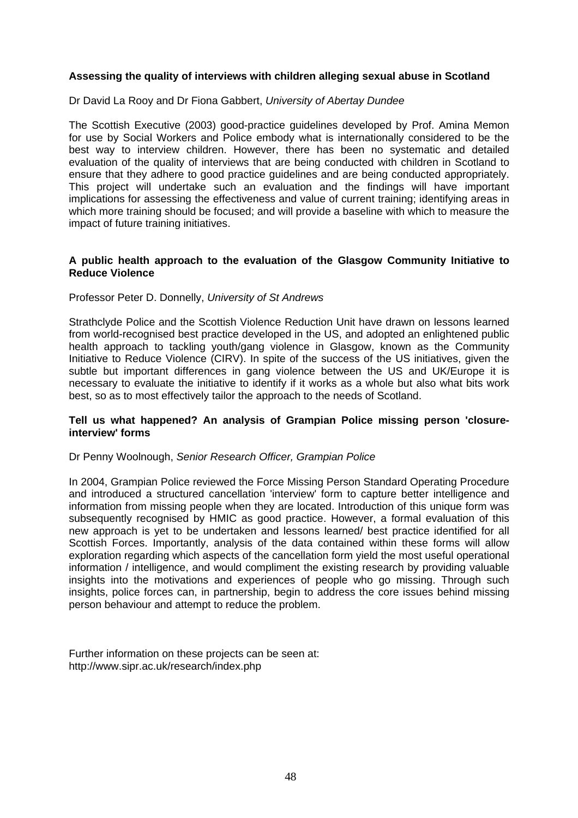## **Assessing the quality of interviews with children alleging sexual abuse in Scotland**

#### Dr David La Rooy and Dr Fiona Gabbert, *University of Abertay Dundee*

The Scottish Executive (2003) good-practice guidelines developed by Prof. Amina Memon for use by Social Workers and Police embody what is internationally considered to be the best way to interview children. However, there has been no systematic and detailed evaluation of the quality of interviews that are being conducted with children in Scotland to ensure that they adhere to good practice guidelines and are being conducted appropriately. This project will undertake such an evaluation and the findings will have important implications for assessing the effectiveness and value of current training; identifying areas in which more training should be focused; and will provide a baseline with which to measure the impact of future training initiatives.

#### **A public health approach to the evaluation of the Glasgow Community Initiative to Reduce Violence**

#### Professor Peter D. Donnelly, *University of St Andrews*

Strathclyde Police and the Scottish Violence Reduction Unit have drawn on lessons learned from world-recognised best practice developed in the US, and adopted an enlightened public health approach to tackling youth/gang violence in Glasgow, known as the Community Initiative to Reduce Violence (CIRV). In spite of the success of the US initiatives, given the subtle but important differences in gang violence between the US and UK/Europe it is necessary to evaluate the initiative to identify if it works as a whole but also what bits work best, so as to most effectively tailor the approach to the needs of Scotland.

#### **Tell us what happened? An analysis of Grampian Police missing person 'closureinterview' forms**

#### Dr Penny Woolnough, *Senior Research Officer, Grampian Police*

In 2004, Grampian Police reviewed the Force Missing Person Standard Operating Procedure and introduced a structured cancellation 'interview' form to capture better intelligence and information from missing people when they are located. Introduction of this unique form was subsequently recognised by HMIC as good practice. However, a formal evaluation of this new approach is yet to be undertaken and lessons learned/ best practice identified for all Scottish Forces. Importantly, analysis of the data contained within these forms will allow exploration regarding which aspects of the cancellation form yield the most useful operational information / intelligence, and would compliment the existing research by providing valuable insights into the motivations and experiences of people who go missing. Through such insights, police forces can, in partnership, begin to address the core issues behind missing person behaviour and attempt to reduce the problem.

Further information on these projects can be seen at: http://www.sipr.ac.uk/research/index.php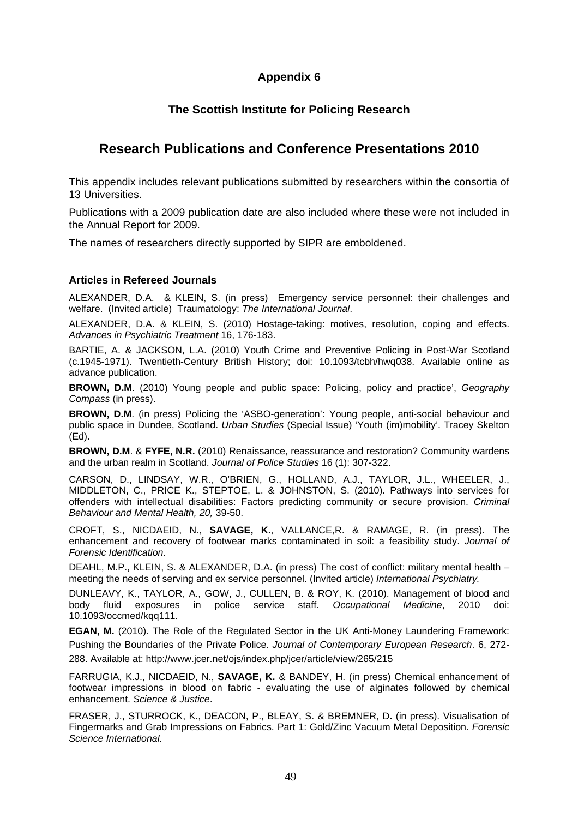# **Appendix 6**

# **The Scottish Institute for Policing Research**

# **Research Publications and Conference Presentations 2010**

This appendix includes relevant publications submitted by researchers within the consortia of 13 Universities.

Publications with a 2009 publication date are also included where these were not included in the Annual Report for 2009.

The names of researchers directly supported by SIPR are emboldened.

## **Articles in Refereed Journals**

ALEXANDER, D.A. & KLEIN, S. (in press) Emergency service personnel: their challenges and welfare. (Invited article) Traumatology: *The International Journal*.

ALEXANDER, D.A. & KLEIN, S. (2010) Hostage-taking: motives, resolution, coping and effects. *Advances in Psychiatric Treatment* 16, 176-183.

BARTIE, A. & JACKSON, L.A. (2010) Youth Crime and Preventive Policing in Post-War Scotland (c.1945-1971). Twentieth-Century British History; doi: 10.1093/tcbh/hwq038. Available online as advance publication.

**BROWN, D.M**. (2010) Young people and public space: Policing, policy and practice', *Geography Compass* (in press).

**BROWN, D.M**. (in press) Policing the 'ASBO-generation': Young people, anti-social behaviour and public space in Dundee, Scotland. *Urban Studies* (Special Issue) 'Youth (im)mobility'. Tracey Skelton (Ed).

**BROWN, D.M**. & **FYFE, N.R.** (2010) Renaissance, reassurance and restoration? Community wardens and the urban realm in Scotland. *Journal of Police Studies* 16 (1): 307-322.

CARSON, D., LINDSAY, W.R., O'BRIEN, G., HOLLAND, A.J., TAYLOR, J.L., WHEELER, J., MIDDLETON, C., PRICE K., STEPTOE, L. & JOHNSTON, S. (2010). Pathways into services for offenders with intellectual disabilities: Factors predicting community or secure provision. *Criminal Behaviour and Mental Health, 20,* 39-50.

CROFT, S., NICDAEID, N., **SAVAGE, K.**, VALLANCE,R. & RAMAGE, R. (in press). The enhancement and recovery of footwear marks contaminated in soil: a feasibility study. *Journal of Forensic Identification.* 

DEAHL, M.P., KLEIN, S. & ALEXANDER, D.A. (in press) The cost of conflict: military mental health – meeting the needs of serving and ex service personnel. (Invited article) *International Psychiatry.* 

DUNLEAVY, K., TAYLOR, A., GOW, J., CULLEN, B. & ROY, K. (2010). Management of blood and body fluid exposures in police service staff. Occupational Medicine, 2010 doi: police service staff. Occupational Medicine, 2010 doi: 10.1093/occmed/kqq111.

**EGAN, M.** (2010). The Role of the Regulated Sector in the UK Anti-Money Laundering Framework: Pushing the Boundaries of the Private Police. *Journal of Contemporary European Research*. 6, 272- 288. Available at: http://www.jcer.net/ojs/index.php/jcer/article/view/265/215

FARRUGIA, K.J., NICDAEID, N., **SAVAGE, K.** & BANDEY, H. (in press) Chemical enhancement of footwear impressions in blood on fabric - evaluating the use of alginates followed by chemical enhancement. *Science & Justice*.

FRASER, J., STURROCK, K., DEACON, P., BLEAY, S. & BREMNER, D**.** (in press). Visualisation of Fingermarks and Grab Impressions on Fabrics. Part 1: Gold/Zinc Vacuum Metal Deposition. *Forensic Science International.*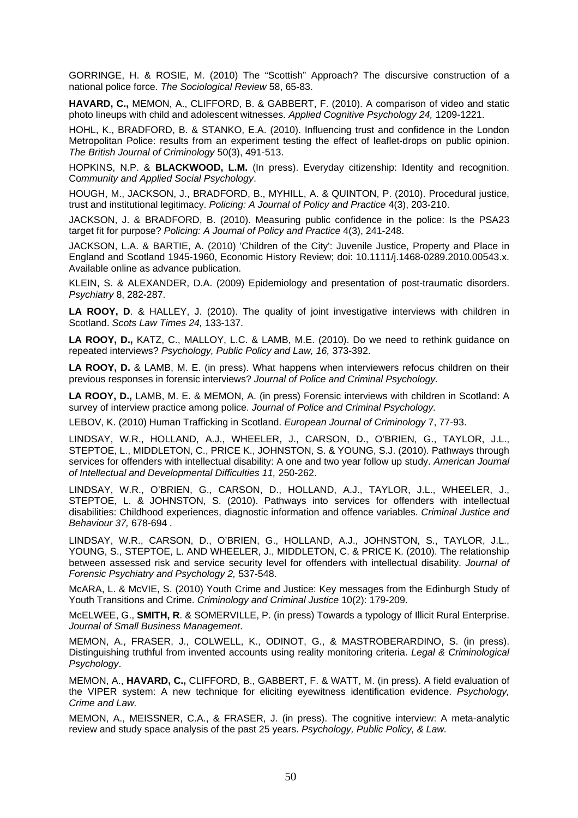GORRINGE, H. & ROSIE, M. (2010) The "Scottish" Approach? The discursive construction of a national police force. *The Sociological Review* 58, 65-83.

**HAVARD, C.,** MEMON, A., CLIFFORD, B. & GABBERT, F. (2010). A comparison of video and static photo lineups with child and adolescent witnesses. *Applied Cognitive Psychology 24,* 1209-1221.

HOHL, K., BRADFORD, B. & STANKO, E.A. (2010). Influencing trust and confidence in the London Metropolitan Police: results from an experiment testing the effect of leaflet-drops on public opinion. *The British Journal of Criminology* 50(3), 491-513.

HOPKINS, N.P. & **BLACKWOOD, L.M.** (In press). Everyday citizenship: Identity and recognition. Co*mmunity and Applied Social Psychology*.

HOUGH, M., JACKSON, J., BRADFORD, B., MYHILL, A. & QUINTON, P. (2010). Procedural justice, trust and institutional legitimacy. *Policing: A Journal of Policy and Practice* 4(3), 203-210.

JACKSON, J. & BRADFORD, B. (2010). Measuring public confidence in the police: Is the PSA23 target fit for purpose? *Policing: A Journal of Policy and Practice* 4(3), 241-248.

JACKSON, L.A. & BARTIE, A. (2010) 'Children of the City': Juvenile Justice, Property and Place in England and Scotland 1945-1960, Economic History Review; doi: 10.1111/j.1468-0289.2010.00543.x. Available online as advance publication.

KLEIN, S. & ALEXANDER, D.A. (2009) Epidemiology and presentation of post-traumatic disorders. *Psychiatry* 8, 282-287.

**LA ROOY, D**. & HALLEY, J. (2010). The quality of joint investigative interviews with children in Scotland. *Scots Law Times 24,* 133-137.

**LA ROOY, D.,** KATZ, C., MALLOY, L.C. & LAMB, M.E. (2010). Do we need to rethink guidance on repeated interviews? *Psychology, Public Policy and Law, 16,* 373-392.

**LA ROOY, D.** & LAMB, M. E. (in press). What happens when interviewers refocus children on their previous responses in forensic interviews? *Journal of Police and Criminal Psychology.* 

**LA ROOY, D.,** LAMB, M. E. & MEMON, A. (in press) Forensic interviews with children in Scotland: A survey of interview practice among police. *Journal of Police and Criminal Psychology.* 

LEBOV, K. (2010) Human Trafficking in Scotland. *European Journal of Criminology* 7, 77-93.

LINDSAY, W.R., HOLLAND, A.J., WHEELER, J., CARSON, D., O'BRIEN, G., TAYLOR, J.L., STEPTOE, L., MIDDLETON, C., PRICE K., JOHNSTON, S. & YOUNG, S.J. (2010). Pathways through services for offenders with intellectual disability: A one and two year follow up study. *American Journal of Intellectual and Developmental Difficulties 11,* 250-262.

LINDSAY, W.R., O'BRIEN, G., CARSON, D., HOLLAND, A.J., TAYLOR, J.L., WHEELER, J., STEPTOE, L. & JOHNSTON, S. (2010). Pathways into services for offenders with intellectual disabilities: Childhood experiences, diagnostic information and offence variables. *Criminal Justice and Behaviour 37,* 678-694 *.* 

LINDSAY, W.R., CARSON, D., O'BRIEN, G., HOLLAND, A.J., JOHNSTON, S., TAYLOR, J.L., YOUNG, S., STEPTOE, L. AND WHEELER, J., MIDDLETON, C. & PRICE K. (2010). The relationship between assessed risk and service security level for offenders with intellectual disability. *Journal of Forensic Psychiatry and Psychology 2,* 537-548.

McARA, L. & McVIE, S. (2010) Youth Crime and Justice: Key messages from the Edinburgh Study of Youth Transitions and Crime. *Criminology and Criminal Justice* 10(2): 179-209.

McELWEE, G., **SMITH, R**. & SOMERVILLE, P. (in press) Towards a typology of Illicit Rural Enterprise. *Journal of Small Business Management*.

MEMON, A., FRASER, J., COLWELL, K., ODINOT, G., & MASTROBERARDINO, S. (in press). Distinguishing truthful from invented accounts using reality monitoring criteria. *Legal & Criminological Psychology*.

MEMON, A., **HAVARD, C.,** CLIFFORD, B., GABBERT, F. & WATT, M. (in press). A field evaluation of the VIPER system: A new technique for eliciting eyewitness identification evidence. *Psychology, Crime and Law.* 

MEMON, A., MEISSNER, C.A., & FRASER, J. (in press). The cognitive interview: A meta-analytic review and study space analysis of the past 25 years. *Psychology, Public Policy, & Law.*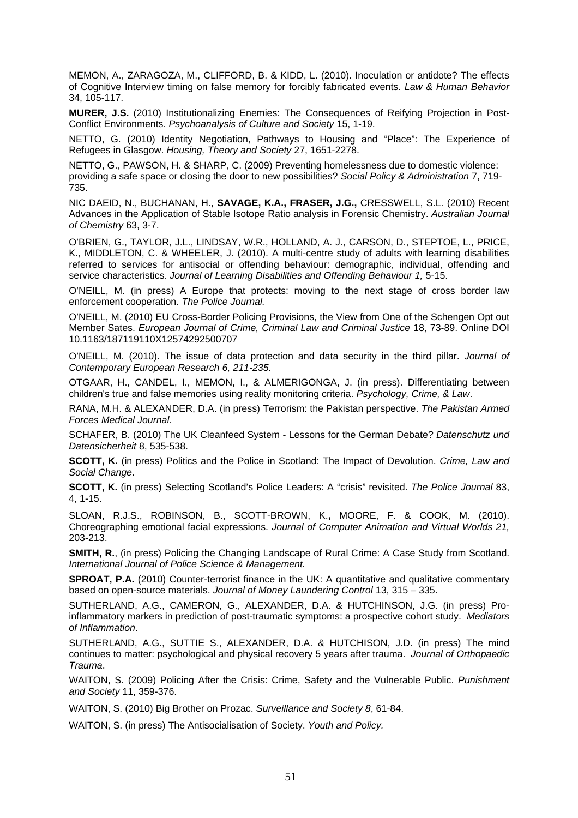MEMON, A., ZARAGOZA, M., CLIFFORD, B. & KIDD, L. (2010). Inoculation or antidote? The effects of Cognitive Interview timing on false memory for forcibly fabricated events. *Law & Human Behavior* 34, 105-117.

**MURER, J.S.** (2010) Institutionalizing Enemies: The Consequences of Reifying Projection in Post-Conflict Environments. *Psychoanalysis of Culture and Society* 15, 1-19.

NETTO, G. (2010) Identity Negotiation, Pathways to Housing and "Place": The Experience of Refugees in Glasgow. *Housing, Theory and Society* 27, 1651-2278.

NETTO, G., PAWSON, H. & SHARP, C. (2009) Preventing homelessness due to domestic violence: providing a safe space or closing the door to new possibilities? *Social Policy & Administration* 7, 719- 735.

NIC DAEID, N., BUCHANAN, H., **SAVAGE, K.A., FRASER, J.G.,** CRESSWELL, S.L. (2010) Recent Advances in the Application of Stable Isotope Ratio analysis in Forensic Chemistry. *Australian Journal of Chemistry* 63, 3-7.

O'BRIEN, G., TAYLOR, J.L., LINDSAY, W.R., HOLLAND, A. J., CARSON, D., STEPTOE, L., PRICE, K., MIDDLETON, C. & WHEELER, J. (2010). A multi-centre study of adults with learning disabilities referred to services for antisocial or offending behaviour: demographic, individual, offending and service characteristics. *Journal of Learning Disabilities and Offending Behaviour 1,* 5-15.

O'NEILL, M. (in press) A Europe that protects: moving to the next stage of cross border law enforcement cooperation. *The Police Journal.*

O'NEILL, M. (2010) EU Cross-Border Policing Provisions, the View from One of the Schengen Opt out Member Sates. *European Journal of Crime, Criminal Law and Criminal Justice* 18, 73-89. Online DOI 10.1163/187119110X12574292500707

O'NEILL, M. (2010). The issue of data protection and data security in the third pillar. *Journal of Contemporary European Research 6, 211-235.* 

OTGAAR, H., CANDEL, I., MEMON, I., & ALMERIGONGA, J. (in press). Differentiating between children's true and false memories using reality monitoring criteria. *Psychology, Crime, & Law*.

RANA, M.H. & ALEXANDER, D.A. (in press) Terrorism: the Pakistan perspective. *The Pakistan Armed Forces Medical Journal*.

SCHAFER, B. (2010) The UK Cleanfeed System - Lessons for the German Debate? *Datenschutz und Datensicherheit* 8, 535-538.

**SCOTT, K.** (in press) Politics and the Police in Scotland: The Impact of Devolution. *Crime, Law and Social Change*.

**SCOTT, K.** (in press) Selecting Scotland's Police Leaders: A "crisis" revisited. *The Police Journal* 83, 4, 1-15.

SLOAN, R.J.S., ROBINSON, B., SCOTT-BROWN, K.**,** MOORE, F. & COOK, M. (2010). Choreographing emotional facial expressions. *Journal of Computer Animation and Virtual Worlds 21,*  203-213.

**SMITH, R.**, (in press) Policing the Changing Landscape of Rural Crime: A Case Study from Scotland. *International Journal of Police Science & Management.* 

**SPROAT, P.A.** (2010) Counter-terrorist finance in the UK: A quantitative and qualitative commentary based on open-source materials. *Journal of Money Laundering Control* 13, 315 – 335.

SUTHERLAND, A.G., CAMERON, G., ALEXANDER, D.A. & HUTCHINSON, J.G. (in press) Proinflammatory markers in prediction of post-traumatic symptoms: a prospective cohort study. *Mediators of Inflammation*.

SUTHERLAND, A.G., SUTTIE S., ALEXANDER, D.A. & HUTCHISON, J.D. (in press) The mind continues to matter: psychological and physical recovery 5 years after trauma. *Journal of Orthopaedic Trauma*.

WAITON, S. (2009) Policing After the Crisis: Crime, Safety and the Vulnerable Public. *Punishment and Society* 11, 359-376.

WAITON, S. (2010) Big Brother on Prozac. *Surveillance and Society 8*, 61-84.

WAITON, S. (in press) The Antisocialisation of Society. *Youth and Policy.*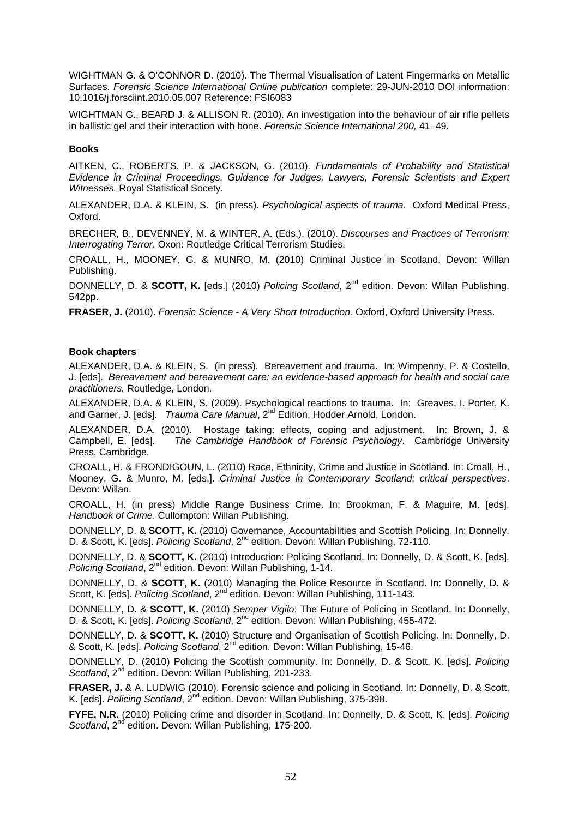WIGHTMAN G. & O'CONNOR D. (2010). The Thermal Visualisation of Latent Fingermarks on Metallic Surfaces. *Forensic Science International Online publication* complete: 29-JUN-2010 DOI information: 10.1016/j.forsciint.2010.05.007 Reference: FSI6083

WIGHTMAN G., BEARD J. & ALLISON R. (2010). An investigation into the behaviour of air rifle pellets in ballistic gel and their interaction with bone. *Forensic Science International 200,* 41–49.

#### **Books**

AITKEN, C., ROBERTS, P. & JACKSON, G. (2010). *Fundamentals of Probability and Statistical Evidence in Criminal Proceedings. Guidance for Judges, Lawyers, Forensic Scientists and Expert Witnesses.* Royal Statistical Socety.

ALEXANDER, D.A. & KLEIN, S. (in press). *Psychological aspects of trauma*. Oxford Medical Press, Oxford.

BRECHER, B., DEVENNEY, M. & WINTER, A. (Eds.). (2010). *Discourses and Practices of Terrorism: Interrogating Terror*. Oxon: Routledge Critical Terrorism Studies.

CROALL, H., MOONEY, G. & MUNRO, M. (2010) Criminal Justice in Scotland. Devon: Willan Publishing.

DONNELLY, D. & **SCOTT, K.** [eds.] (2010) *Policing Scotland*, 2<sup>nd</sup> edition. Devon: Willan Publishing. 542pp.

**FRASER, J.** (2010). *Forensic Science - A Very Short Introduction.* Oxford, Oxford University Press.

#### **Book chapters**

ALEXANDER, D.A. & KLEIN, S. (in press). Bereavement and trauma. In: Wimpenny, P. & Costello, J. [eds]. *Bereavement and bereavement care: an evidence-based approach for health and social care practitioners.* Routledge, London.

ALEXANDER, D.A. & KLEIN, S. (2009). Psychological reactions to trauma. In: Greaves, I. Porter, K. and Garner, J. [eds]. *Trauma Care Manual*, 2<sup>nd</sup> Edition, Hodder Arnold, London.

ALEXANDER, D.A. (2010). Hostage taking: effects, coping and adjustment. In: Brown, J. & Campbell, E. [eds]. The Cambridge Handbook of Forensic Psychology. Cambridge University The Cambridge Handbook of Forensic Psychology. Cambridge University Press, Cambridge.

CROALL, H. & FRONDIGOUN, L. (2010) Race, Ethnicity, Crime and Justice in Scotland. In: Croall, H., Mooney, G. & Munro, M. [eds.]. *Criminal Justice in Contemporary Scotland: critical perspectives*. Devon: Willan.

CROALL, H. (in press) Middle Range Business Crime. In: Brookman, F. & Maguire, M. [eds]. *Handbook of Crime*. Cullompton: Willan Publishing.

DONNELLY, D. & **SCOTT, K.** (2010) Governance, Accountabilities and Scottish Policing. In: Donnelly, D. & Scott, K. [eds]. *Policing Scotland*, 2<sup>nd</sup> edition. Devon: Willan Publishing, 72-110.

DONNELLY, D. & **SCOTT, K.** (2010) Introduction: Policing Scotland. In: Donnelly, D. & Scott, K. [eds]. *Policing Scotland*, 2<sup>nd</sup> edition. Devon: Willan Publishing, 1-14.

DONNELLY, D. & **SCOTT, K.** (2010) Managing the Police Resource in Scotland. In: Donnelly, D. & Scott, K. *Jedsl. Policing Scotland.* 2<sup>nd</sup> edition. Devon: Willan Publishing, 111-143.

DONNELLY, D. & **SCOTT, K.** (2010) *Semper Vigilo*: The Future of Policing in Scotland. In: Donnelly, D. & Scott, K. [eds]. *Policing Scotland*, 2nd edition. Devon: Willan Publishing, 455-472.

DONNELLY, D. & **SCOTT, K.** (2010) Structure and Organisation of Scottish Policing. In: Donnelly, D. & Scott, K. [eds]. *Policing Scotland*, 2nd edition. Devon: Willan Publishing, 15-46.

DONNELLY, D. (2010) Policing the Scottish community. In: Donnelly, D. & Scott, K. [eds]. *Policing*  Scotland, 2<sup>nd</sup> edition. Devon: Willan Publishing, 201-233.

**FRASER, J. & A. LUDWIG (2010). Forensic science and policing in Scotland. In: Donnelly, D. & Scott,** K. [eds]. *Policing Scotland*, 2<sup>nd</sup> edition. Devon: Willan Publishing, 375-398.

**FYFE, N.R.** (2010) Policing crime and disorder in Scotland. In: Donnelly, D. & Scott, K. [eds]. *Policing Scotland*, 2<sup>nd</sup> edition. Devon: Willan Publishing, 175-200.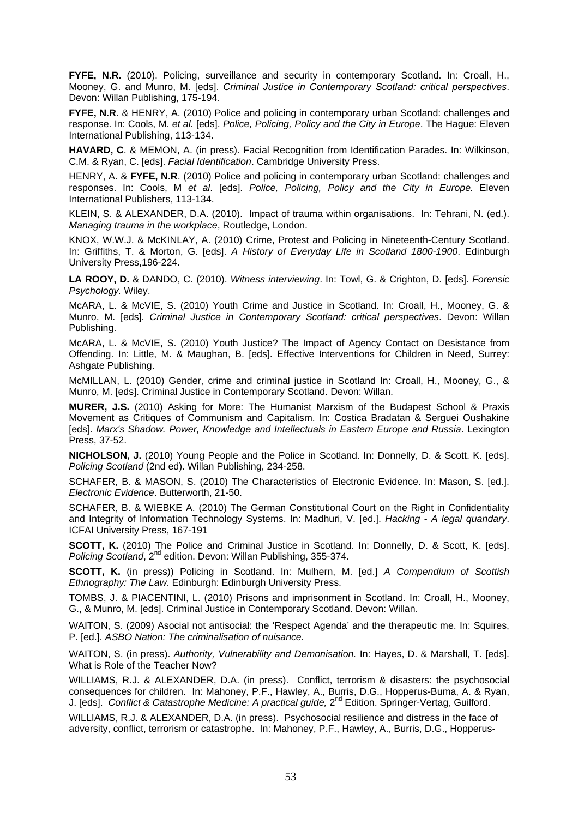**FYFE, N.R.** (2010). Policing, surveillance and security in contemporary Scotland. In: Croall, H., Mooney, G. and Munro, M. [eds]. *Criminal Justice in Contemporary Scotland: critical perspectives*. Devon: Willan Publishing, 175-194.

**FYFE, N.R**. & HENRY, A. (2010) Police and policing in contemporary urban Scotland: challenges and response. In: Cools, M. *et al.* [eds]. *Police, Policing, Policy and the City in Europe*. The Hague: Eleven International Publishing, 113-134.

**HAVARD, C**. & MEMON, A. (in press). Facial Recognition from Identification Parades. In: Wilkinson, C.M. & Ryan, C. [eds]. *Facial Identification*. Cambridge University Press.

HENRY, A. & **FYFE, N.R**. (2010) Police and policing in contemporary urban Scotland: challenges and responses. In: Cools, M *et al*. [eds]. *Police, Policing, Policy and the City in Europe.* Eleven International Publishers, 113-134.

KLEIN, S. & ALEXANDER, D.A. (2010). Impact of trauma within organisations. In: Tehrani, N. (ed.). *Managing trauma in the workplace*, Routledge, London.

KNOX, W.W.J. & McKINLAY, A. (2010) Crime, Protest and Policing in Nineteenth-Century Scotland. In: Griffiths, T. & Morton, G. [eds]. *A History of Everyday Life in Scotland 1800-1900*. Edinburgh University Press,196-224.

**LA ROOY, D.** & DANDO, C. (2010). *Witness interviewing*. In: Towl, G. & Crighton, D. [eds]. *Forensic Psychology.* Wiley.

McARA, L. & McVIE, S. (2010) Youth Crime and Justice in Scotland. In: Croall, H., Mooney, G. & Munro, M. [eds]. *Criminal Justice in Contemporary Scotland: critical perspectives*. Devon: Willan Publishing.

McARA, L. & McVIE, S. (2010) Youth Justice? The Impact of Agency Contact on Desistance from Offending. In: Little, M. & Maughan, B. [eds]. Effective Interventions for Children in Need, Surrey: Ashgate Publishing.

McMILLAN, L. (2010) Gender, crime and criminal justice in Scotland In: Croall, H., Mooney, G., & Munro, M. [eds]. Criminal Justice in Contemporary Scotland. Devon: Willan.

**MURER, J.S.** (2010) Asking for More: The Humanist Marxism of the Budapest School & Praxis Movement as Critiques of Communism and Capitalism. In: Costica Bradatan & Serguei Oushakine [eds]. *Marx's Shadow. Power, Knowledge and Intellectuals in Eastern Europe and Russia*. Lexington Press, 37-52.

**NICHOLSON, J.** (2010) Young People and the Police in Scotland. In: Donnelly, D. & Scott. K. [eds]. *Policing Scotland* (2nd ed). Willan Publishing, 234-258.

SCHAFER, B. & MASON, S. (2010) The Characteristics of Electronic Evidence. In: Mason, S. [ed.]. *Electronic Evidence*. Butterworth, 21-50.

SCHAFER, B. & WIEBKE A. (2010) The German Constitutional Court on the Right in Confidentiality and Integrity of Information Technology Systems. In: Madhuri, V. [ed.]. *Hacking - A legal quandary*. ICFAI University Press, 167-191

**SCOTT, K.** (2010) The Police and Criminal Justice in Scotland. In: Donnelly, D. & Scott, K. [eds]. *Policing Scotland.* 2<sup>nd</sup> edition. Devon: Willan Publishing, 355-374.

**SCOTT, K.** (in press)) Policing in Scotland. In: Mulhern, M. [ed.] *A Compendium of Scottish Ethnography: The Law*. Edinburgh: Edinburgh University Press.

TOMBS, J. & PIACENTINI, L. (2010) Prisons and imprisonment in Scotland. In: Croall, H., Mooney, G., & Munro, M. [eds]. Criminal Justice in Contemporary Scotland. Devon: Willan.

WAITON, S. (2009) Asocial not antisocial: the 'Respect Agenda' and the therapeutic me. In: Squires, P. [ed.]. *ASBO Nation: The criminalisation of nuisance.* 

WAITON, S. (in press). *Authority, Vulnerability and Demonisation.* In: Hayes, D. & Marshall, T. [eds]. What is Role of the Teacher Now?

WILLIAMS, R.J. & ALEXANDER, D.A. (in press). Conflict, terrorism & disasters: the psychosocial consequences for children. In: Mahoney, P.F., Hawley, A., Burris, D.G., Hopperus-Buma, A. & Ryan, J. [eds]. *Conflict & Catastrophe Medicine: A practical guide*, 2<sup>nd</sup> Edition. Springer-Vertag, Guilford.

WILLIAMS, R.J. & ALEXANDER, D.A. (in press). Psychosocial resilience and distress in the face of adversity, conflict, terrorism or catastrophe. In: Mahoney, P.F., Hawley, A., Burris, D.G., Hopperus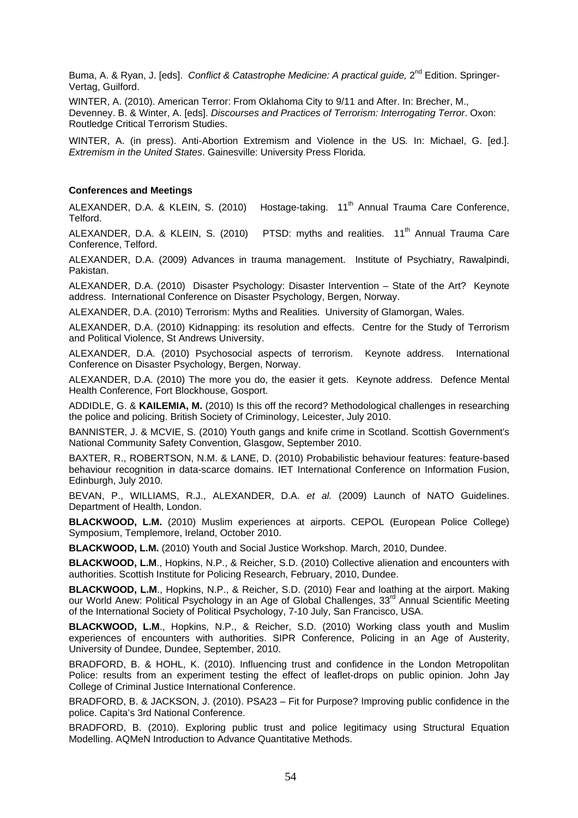Buma, A. & Ryan, J. [eds]. *Conflict & Catastrophe Medicine: A practical quide*, 2<sup>nd</sup> Edition. Springer-Vertag, Guilford.

WINTER, A. (2010). American Terror: From Oklahoma City to 9/11 and After. In: Brecher, M., Devenney. B. & Winter, A. [eds]. *Discourses and Practices of Terrorism: Interrogating Terror*. Oxon: Routledge Critical Terrorism Studies.

WINTER, A. (in press). Anti-Abortion Extremism and Violence in the US*.* In: Michael, G. [ed.]. *Extremism in the United States*. Gainesville: University Press Florida.

#### **Conferences and Meetings**

ALEXANDER, D.A. & KLEIN, S. (2010) Hostage-taking. 11<sup>th</sup> Annual Trauma Care Conference, Telford.

ALEXANDER, D.A. & KLEIN, S. (2010) PTSD: myths and realities. 11<sup>th</sup> Annual Trauma Care Conference, Telford.

ALEXANDER, D.A. (2009) Advances in trauma management. Institute of Psychiatry, Rawalpindi, Pakistan.

ALEXANDER, D.A. (2010) Disaster Psychology: Disaster Intervention – State of the Art? Keynote address. International Conference on Disaster Psychology, Bergen, Norway.

ALEXANDER, D.A. (2010) Terrorism: Myths and Realities. University of Glamorgan, Wales.

ALEXANDER, D.A. (2010) Kidnapping: its resolution and effects. Centre for the Study of Terrorism and Political Violence, St Andrews University.

ALEXANDER, D.A. (2010) Psychosocial aspects of terrorism. Keynote address. International Conference on Disaster Psychology, Bergen, Norway.

ALEXANDER, D.A. (2010) The more you do, the easier it gets. Keynote address. Defence Mental Health Conference, Fort Blockhouse, Gosport.

ADDIDLE, G. & **KAILEMIA, M.** (2010) Is this off the record? Methodological challenges in researching the police and policing. British Society of Criminology, Leicester, July 2010.

BANNISTER, J. & MCVIE, S. (2010) Youth gangs and knife crime in Scotland. Scottish Government's National Community Safety Convention, Glasgow, September 2010.

BAXTER, R., ROBERTSON, N.M. & LANE, D. (2010) Probabilistic behaviour features: feature-based behaviour recognition in data-scarce domains. IET International Conference on Information Fusion, Edinburgh, July 2010.

BEVAN, P., WILLIAMS, R.J., ALEXANDER, D.A. *et al.* (2009) Launch of NATO Guidelines. Department of Health, London.

**BLACKWOOD, L.M.** (2010) Muslim experiences at airports. CEPOL (European Police College) Symposium, Templemore, Ireland, October 2010.

**BLACKWOOD, L.M.** (2010) Youth and Social Justice Workshop. March, 2010, Dundee.

**BLACKWOOD, L.M**., Hopkins, N.P., & Reicher, S.D. (2010) Collective alienation and encounters with authorities. Scottish Institute for Policing Research, February, 2010, Dundee.

**BLACKWOOD, L.M**., Hopkins, N.P., & Reicher, S.D. (2010) Fear and loathing at the airport. Making our World Anew: Political Psychology in an Age of Global Challenges, 33<sup>rd</sup> Annual Scientific Meeting of the International Society of Political Psychology, 7-10 July, San Francisco, USA.

**BLACKWOOD, L.M**., Hopkins, N.P., & Reicher, S.D. (2010) Working class youth and Muslim experiences of encounters with authorities. SIPR Conference, Policing in an Age of Austerity, University of Dundee, Dundee, September, 2010.

BRADFORD, B. & HOHL, K. (2010). Influencing trust and confidence in the London Metropolitan Police: results from an experiment testing the effect of leaflet-drops on public opinion. John Jay College of Criminal Justice International Conference.

BRADFORD, B. & JACKSON, J. (2010). PSA23 – Fit for Purpose? Improving public confidence in the police. Capita's 3rd National Conference.

BRADFORD, B. (2010). Exploring public trust and police legitimacy using Structural Equation Modelling. AQMeN Introduction to Advance Quantitative Methods.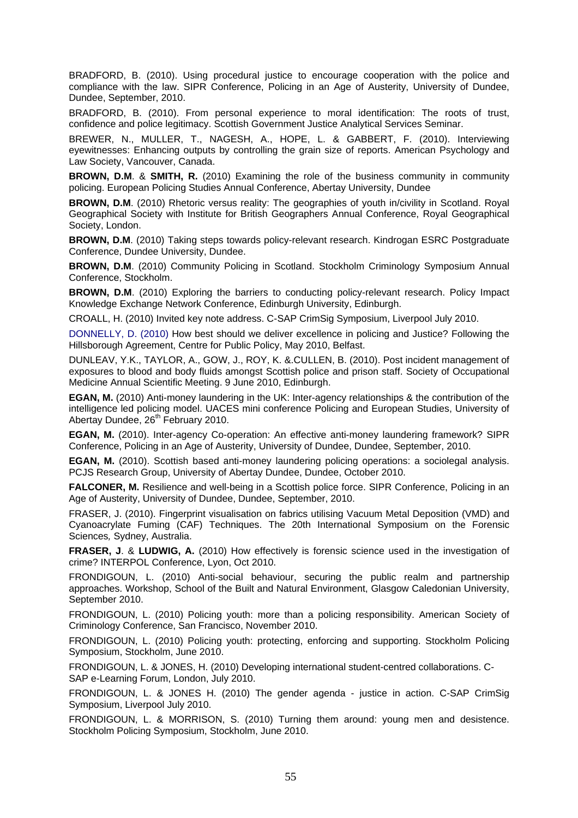BRADFORD, B. (2010). Using procedural justice to encourage cooperation with the police and compliance with the law. SIPR Conference, Policing in an Age of Austerity, University of Dundee, Dundee, September, 2010.

BRADFORD, B. (2010). From personal experience to moral identification: The roots of trust, confidence and police legitimacy. Scottish Government Justice Analytical Services Seminar.

BREWER, N., MULLER, T., NAGESH, A., HOPE, L. & GABBERT, F. (2010). Interviewing eyewitnesses: Enhancing outputs by controlling the grain size of reports. American Psychology and Law Society, Vancouver, Canada.

**BROWN, D.M**. & **SMITH, R.** (2010) Examining the role of the business community in community policing. European Policing Studies Annual Conference, Abertay University, Dundee

**BROWN, D.M**. (2010) Rhetoric versus reality: The geographies of youth in/civility in Scotland. Royal Geographical Society with Institute for British Geographers Annual Conference, Royal Geographical Society, London.

**BROWN, D.M**. (2010) Taking steps towards policy-relevant research. Kindrogan ESRC Postgraduate Conference, Dundee University, Dundee.

**BROWN, D.M**. (2010) Community Policing in Scotland. Stockholm Criminology Symposium Annual Conference, Stockholm.

**BROWN, D.M**. (2010) Exploring the barriers to conducting policy-relevant research. Policy Impact Knowledge Exchange Network Conference, Edinburgh University, Edinburgh.

CROALL, H. (2010) Invited key note address. C-SAP CrimSig Symposium, Liverpool July 2010.

DONNELLY, D. (2010) How best should we deliver excellence in policing and Justice? Following the Hillsborough Agreement, Centre for Public Policy, May 2010, Belfast.

DUNLEAV, Y.K., TAYLOR, A., GOW, J., ROY, K. &.CULLEN, B. (2010). Post incident management of exposures to blood and body fluids amongst Scottish police and prison staff. Society of Occupational Medicine Annual Scientific Meeting. 9 June 2010, Edinburgh.

**EGAN, M.** (2010) Anti-money laundering in the UK: Inter-agency relationships & the contribution of the intelligence led policing model. UACES mini conference Policing and European Studies, University of Abertay Dundee, 26<sup>th</sup> February 2010.

**EGAN, M.** (2010). Inter-agency Co-operation: An effective anti-money laundering framework? SIPR Conference, Policing in an Age of Austerity, University of Dundee, Dundee, September, 2010.

**EGAN, M.** (2010). Scottish based anti-money laundering policing operations: a sociolegal analysis. PCJS Research Group, University of Abertay Dundee, Dundee, October 2010.

**FALCONER, M.** Resilience and well-being in a Scottish police force. SIPR Conference, Policing in an Age of Austerity, University of Dundee, Dundee, September, 2010.

FRASER, J. (2010). Fingerprint visualisation on fabrics utilising Vacuum Metal Deposition (VMD) and Cyanoacrylate Fuming (CAF) Techniques. The 20th International Symposium on the Forensic Sciences*,* Sydney, Australia.

**FRASER, J**. & **LUDWIG, A.** (2010) How effectively is forensic science used in the investigation of crime? INTERPOL Conference, Lyon, Oct 2010.

FRONDIGOUN, L. (2010) Anti-social behaviour, securing the public realm and partnership approaches. Workshop, School of the Built and Natural Environment, Glasgow Caledonian University, September 2010.

FRONDIGOUN, L. (2010) Policing youth: more than a policing responsibility. American Society of Criminology Conference, San Francisco, November 2010.

FRONDIGOUN, L. (2010) Policing youth: protecting, enforcing and supporting. Stockholm Policing Symposium, Stockholm, June 2010.

FRONDIGOUN, L. & JONES, H. (2010) Developing international student-centred collaborations. C-SAP e-Learning Forum, London, July 2010.

FRONDIGOUN, L. & JONES H. (2010) The gender agenda - justice in action. C-SAP CrimSig Symposium, Liverpool July 2010.

FRONDIGOUN, L. & MORRISON, S. (2010) Turning them around: young men and desistence. Stockholm Policing Symposium, Stockholm, June 2010.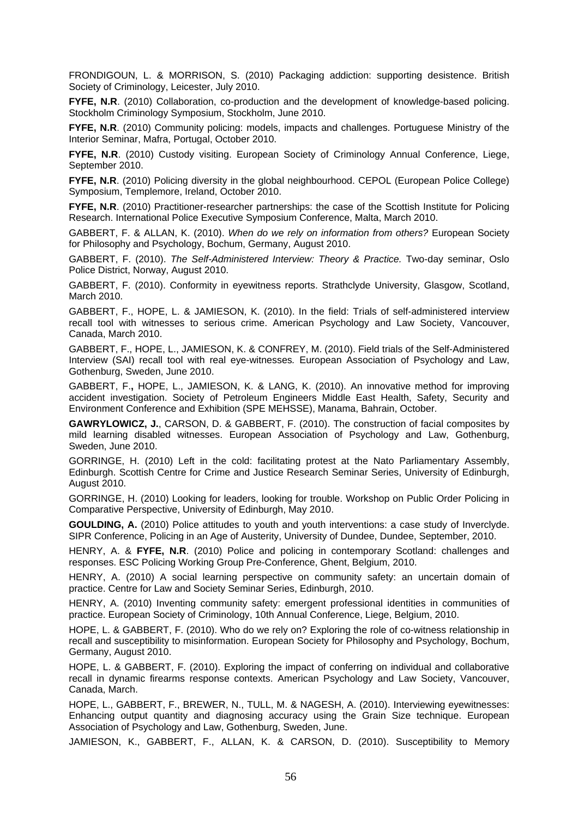FRONDIGOUN, L. & MORRISON, S. (2010) Packaging addiction: supporting desistence. British Society of Criminology, Leicester, July 2010.

**FYFE, N.R**. (2010) Collaboration, co-production and the development of knowledge-based policing. Stockholm Criminology Symposium, Stockholm, June 2010.

**FYFE, N.R**. (2010) Community policing: models, impacts and challenges. Portuguese Ministry of the Interior Seminar, Mafra, Portugal, October 2010.

**FYFE, N.R**. (2010) Custody visiting. European Society of Criminology Annual Conference, Liege, September 2010.

**FYFE, N.R**. (2010) Policing diversity in the global neighbourhood. CEPOL (European Police College) Symposium, Templemore, Ireland, October 2010.

FYFE, N.R. (2010) Practitioner-researcher partnerships: the case of the Scottish Institute for Policing Research. International Police Executive Symposium Conference, Malta, March 2010.

GABBERT, F. & ALLAN, K. (2010). *When do we rely on information from others?* European Society for Philosophy and Psychology, Bochum, Germany, August 2010.

GABBERT, F. (2010). *The Self-Administered Interview: Theory & Practice.* Two-day seminar, Oslo Police District, Norway, August 2010.

GABBERT, F. (2010). Conformity in eyewitness reports. Strathclyde University, Glasgow, Scotland, March 2010.

GABBERT, F., HOPE, L. & JAMIESON, K. (2010). In the field: Trials of self-administered interview recall tool with witnesses to serious crime. American Psychology and Law Society, Vancouver, Canada, March 2010.

GABBERT, F., HOPE, L., JAMIESON, K. & CONFREY, M. (2010). Field trials of the Self-Administered Interview (SAI) recall tool with real eye-witnesses*.* European Association of Psychology and Law, Gothenburg, Sweden, June 2010.

GABBERT, F.**,** HOPE, L., JAMIESON, K. & LANG, K. (2010). An innovative method for improving accident investigation. Society of Petroleum Engineers Middle East Health, Safety, Security and Environment Conference and Exhibition (SPE MEHSSE), Manama, Bahrain, October.

**GAWRYLOWICZ, J.**, CARSON, D. & GABBERT, F. (2010). The construction of facial composites by mild learning disabled witnesses. European Association of Psychology and Law, Gothenburg, Sweden, June 2010.

GORRINGE, H. (2010) Left in the cold: facilitating protest at the Nato Parliamentary Assembly, Edinburgh. Scottish Centre for Crime and Justice Research Seminar Series, University of Edinburgh, August 2010.

GORRINGE, H. (2010) Looking for leaders, looking for trouble. Workshop on Public Order Policing in Comparative Perspective, University of Edinburgh, May 2010.

**GOULDING, A.** (2010) Police attitudes to youth and youth interventions: a case study of Inverclyde. SIPR Conference, Policing in an Age of Austerity, University of Dundee, Dundee, September, 2010.

HENRY, A. & **FYFE, N.R**. (2010) Police and policing in contemporary Scotland: challenges and responses. ESC Policing Working Group Pre-Conference, Ghent, Belgium, 2010.

HENRY, A. (2010) A social learning perspective on community safety: an uncertain domain of practice. Centre for Law and Society Seminar Series, Edinburgh, 2010.

HENRY, A. (2010) Inventing community safety: emergent professional identities in communities of practice. European Society of Criminology, 10th Annual Conference, Liege, Belgium, 2010.

HOPE, L. & GABBERT, F. (2010). Who do we rely on? Exploring the role of co-witness relationship in recall and susceptibility to misinformation. European Society for Philosophy and Psychology, Bochum, Germany, August 2010.

HOPE, L. & GABBERT, F. (2010). Exploring the impact of conferring on individual and collaborative recall in dynamic firearms response contexts. American Psychology and Law Society, Vancouver, Canada, March.

HOPE, L., GABBERT, F., BREWER, N., TULL, M. & NAGESH, A. (2010). Interviewing eyewitnesses: Enhancing output quantity and diagnosing accuracy using the Grain Size technique. European Association of Psychology and Law, Gothenburg, Sweden, June.

JAMIESON, K., GABBERT, F., ALLAN, K. & CARSON, D. (2010). Susceptibility to Memory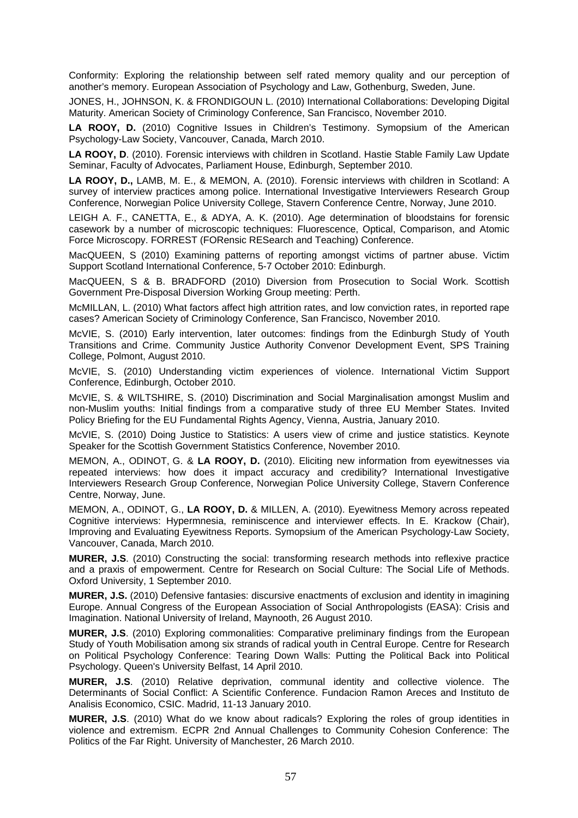Conformity: Exploring the relationship between self rated memory quality and our perception of another's memory. European Association of Psychology and Law, Gothenburg, Sweden, June.

JONES, H., JOHNSON, K. & FRONDIGOUN L. (2010) International Collaborations: Developing Digital Maturity. American Society of Criminology Conference, San Francisco, November 2010.

**LA ROOY, D.** (2010) Cognitive Issues in Children's Testimony. Symopsium of the American Psychology-Law Society, Vancouver, Canada, March 2010.

LA ROOY, D. (2010). Forensic interviews with children in Scotland. Hastie Stable Family Law Update Seminar, Faculty of Advocates, Parliament House, Edinburgh, September 2010.

**LA ROOY, D.,** LAMB, M. E., & MEMON, A. (2010). Forensic interviews with children in Scotland: A survey of interview practices among police. International Investigative Interviewers Research Group Conference, Norwegian Police University College, Stavern Conference Centre, Norway, June 2010.

LEIGH A. F., CANETTA, E., & ADYA, A. K. (2010). Age determination of bloodstains for forensic casework by a number of microscopic techniques: Fluorescence, Optical, Comparison, and Atomic Force Microscopy. FORREST (FORensic RESearch and Teaching) Conference.

MacQUEEN, S (2010) Examining patterns of reporting amongst victims of partner abuse. Victim Support Scotland International Conference, 5-7 October 2010: Edinburgh.

MacQUEEN, S & B. BRADFORD (2010) Diversion from Prosecution to Social Work. Scottish Government Pre-Disposal Diversion Working Group meeting: Perth.

McMILLAN, L. (2010) What factors affect high attrition rates, and low conviction rates, in reported rape cases? American Society of Criminology Conference, San Francisco, November 2010.

McVIE, S. (2010) Early intervention, later outcomes: findings from the Edinburgh Study of Youth Transitions and Crime. Community Justice Authority Convenor Development Event, SPS Training College, Polmont, August 2010.

McVIE, S. (2010) Understanding victim experiences of violence. International Victim Support Conference, Edinburgh, October 2010.

McVIE, S. & WILTSHIRE, S. (2010) Discrimination and Social Marginalisation amongst Muslim and non-Muslim youths: Initial findings from a comparative study of three EU Member States. Invited Policy Briefing for the EU Fundamental Rights Agency, Vienna, Austria, January 2010.

McVIE, S. (2010) Doing Justice to Statistics: A users view of crime and justice statistics. Keynote Speaker for the Scottish Government Statistics Conference, November 2010.

MEMON, A., ODINOT, G. & **LA ROOY, D.** (2010). Eliciting new information from eyewitnesses via repeated interviews: how does it impact accuracy and credibility? International Investigative Interviewers Research Group Conference, Norwegian Police University College, Stavern Conference Centre, Norway, June.

MEMON, A., ODINOT, G., **LA ROOY, D.** & MILLEN, A. (2010). Eyewitness Memory across repeated Cognitive interviews: Hypermnesia, reminiscence and interviewer effects. In E. Krackow (Chair), Improving and Evaluating Eyewitness Reports. Symopsium of the American Psychology-Law Society, Vancouver, Canada, March 2010.

**MURER, J.S**. (2010) Constructing the social: transforming research methods into reflexive practice and a praxis of empowerment. Centre for Research on Social Culture: The Social Life of Methods. Oxford University, 1 September 2010.

**MURER, J.S.** (2010) Defensive fantasies: discursive enactments of exclusion and identity in imagining Europe. Annual Congress of the European Association of Social Anthropologists (EASA): Crisis and Imagination. National University of Ireland, Maynooth, 26 August 2010.

**MURER, J.S**. (2010) Exploring commonalities: Comparative preliminary findings from the European Study of Youth Mobilisation among six strands of radical youth in Central Europe. Centre for Research on Political Psychology Conference: Tearing Down Walls: Putting the Political Back into Political Psychology. Queen's University Belfast, 14 April 2010.

**MURER, J.S**. (2010) Relative deprivation, communal identity and collective violence. The Determinants of Social Conflict: A Scientific Conference. Fundacion Ramon Areces and Instituto de Analisis Economico, CSIC. Madrid, 11-13 January 2010.

**MURER, J.S**. (2010) What do we know about radicals? Exploring the roles of group identities in violence and extremism. ECPR 2nd Annual Challenges to Community Cohesion Conference: The Politics of the Far Right. University of Manchester, 26 March 2010.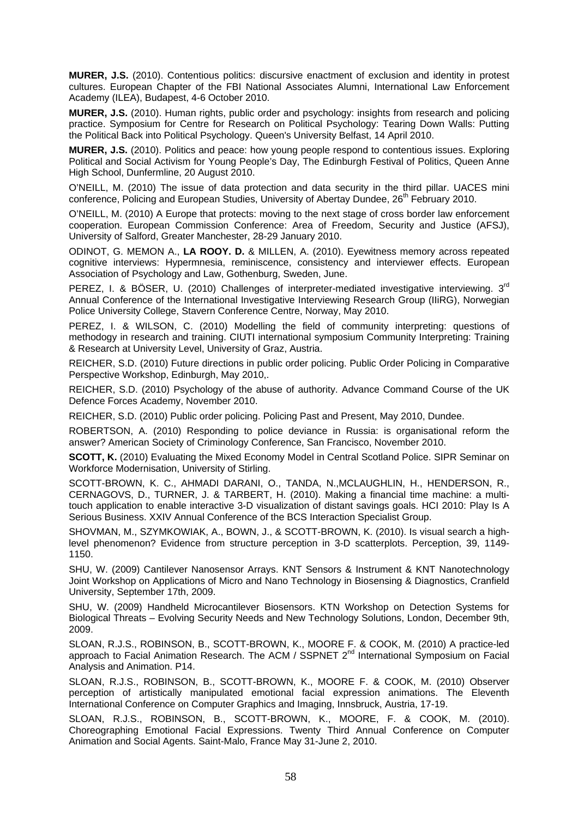**MURER, J.S.** (2010). Contentious politics: discursive enactment of exclusion and identity in protest cultures. European Chapter of the FBI National Associates Alumni, International Law Enforcement Academy (ILEA), Budapest, 4-6 October 2010.

**MURER, J.S.** (2010). Human rights, public order and psychology: insights from research and policing practice. Symposium for Centre for Research on Political Psychology: Tearing Down Walls: Putting the Political Back into Political Psychology. Queen's University Belfast, 14 April 2010.

**MURER, J.S.** (2010). Politics and peace: how young people respond to contentious issues. Exploring Political and Social Activism for Young People's Day, The Edinburgh Festival of Politics, Queen Anne High School, Dunfermline, 20 August 2010.

O'NEILL, M. (2010) The issue of data protection and data security in the third pillar. UACES mini conference, Policing and European Studies, University of Abertay Dundee, 26<sup>th</sup> February 2010.

O'NEILL, M. (2010) A Europe that protects: moving to the next stage of cross border law enforcement cooperation. European Commission Conference: Area of Freedom, Security and Justice (AFSJ), University of Salford, Greater Manchester, 28-29 January 2010.

ODINOT, G. MEMON A., **LA ROOY. D.** & MILLEN, A. (2010). Eyewitness memory across repeated cognitive interviews: Hypermnesia, reminiscence, consistency and interviewer effects. European Association of Psychology and Law, Gothenburg, Sweden, June.

PEREZ, I. & BÖSER, U. (2010) Challenges of interpreter-mediated investigative interviewing. 3<sup>rd</sup> Annual Conference of the International Investigative Interviewing Research Group (IIiRG), Norwegian Police University College, Stavern Conference Centre, Norway, May 2010.

PEREZ, I. & WILSON, C. (2010) Modelling the field of community interpreting: questions of methodogy in research and training. CIUTI international symposium Community Interpreting: Training & Research at University Level, University of Graz, Austria.

REICHER, S.D. (2010) Future directions in public order policing. Public Order Policing in Comparative Perspective Workshop, Edinburgh, May 2010,.

REICHER, S.D. (2010) Psychology of the abuse of authority. Advance Command Course of the UK Defence Forces Academy, November 2010.

REICHER, S.D. (2010) Public order policing. Policing Past and Present, May 2010, Dundee.

ROBERTSON, A. (2010) Responding to police deviance in Russia: is organisational reform the answer? American Society of Criminology Conference, San Francisco, November 2010.

**SCOTT, K.** (2010) Evaluating the Mixed Economy Model in Central Scotland Police. SIPR Seminar on Workforce Modernisation, University of Stirling.

SCOTT-BROWN, K. C., AHMADI DARANI, O., TANDA, N.,MCLAUGHLIN, H., HENDERSON, R., CERNAGOVS, D., TURNER, J. & TARBERT, H. (2010). Making a financial time machine: a multitouch application to enable interactive 3-D visualization of distant savings goals. HCI 2010: Play Is A Serious Business. XXIV Annual Conference of the BCS Interaction Specialist Group.

SHOVMAN, M., SZYMKOWIAK, A., BOWN, J., & SCOTT-BROWN, K. (2010). Is visual search a highlevel phenomenon? Evidence from structure perception in 3-D scatterplots. Perception, 39, 1149- 1150.

SHU, W. (2009) Cantilever Nanosensor Arrays. KNT Sensors & Instrument & KNT Nanotechnology Joint Workshop on Applications of Micro and Nano Technology in Biosensing & Diagnostics, Cranfield University, September 17th, 2009.

SHU, W. (2009) Handheld Microcantilever Biosensors. KTN Workshop on Detection Systems for Biological Threats – Evolving Security Needs and New Technology Solutions, London, December 9th, 2009.

SLOAN, R.J.S., ROBINSON, B., SCOTT-BROWN, K., MOORE F. & COOK, M. (2010) A practice-led approach to Facial Animation Research. The ACM / SSPNET  $2^{nd}$  International Symposium on Facial Analysis and Animation. P14.

SLOAN, R.J.S., ROBINSON, B., SCOTT-BROWN, K., MOORE F. & COOK, M. (2010) Observer perception of artistically manipulated emotional facial expression animations. The Eleventh International Conference on Computer Graphics and Imaging, Innsbruck, Austria, 17-19.

SLOAN, R.J.S., ROBINSON, B., SCOTT-BROWN, K., MOORE, F. & COOK, M. (2010). Choreographing Emotional Facial Expressions. Twenty Third Annual Conference on Computer Animation and Social Agents. Saint-Malo, France May 31-June 2, 2010.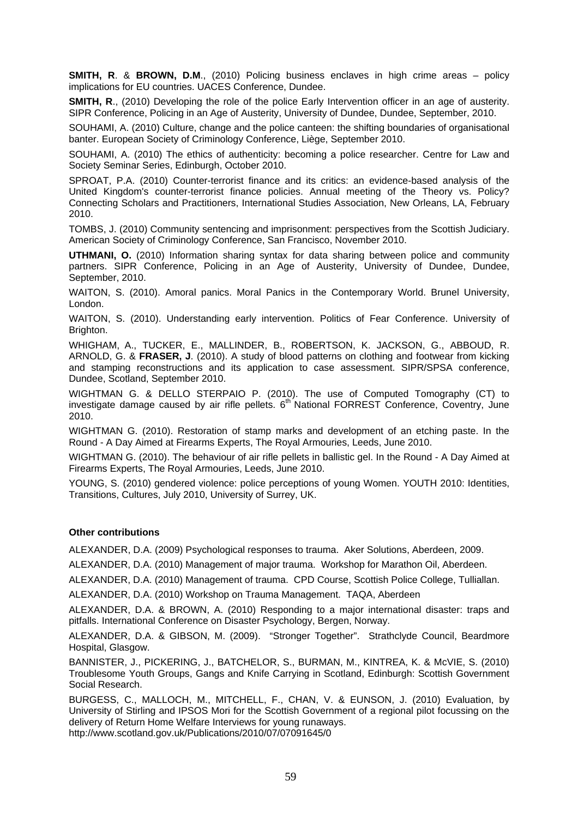**SMITH, R**. & **BROWN, D.M**., (2010) Policing business enclaves in high crime areas – policy implications for EU countries. UACES Conference, Dundee.

**SMITH, R**., (2010) Developing the role of the police Early Intervention officer in an age of austerity. SIPR Conference, Policing in an Age of Austerity, University of Dundee, Dundee, September, 2010.

SOUHAMI, A. (2010) Culture, change and the police canteen: the shifting boundaries of organisational banter. European Society of Criminology Conference, Liège, September 2010.

SOUHAMI, A. (2010) The ethics of authenticity: becoming a police researcher. Centre for Law and Society Seminar Series, Edinburgh, October 2010.

SPROAT, P.A. (2010) Counter-terrorist finance and its critics: an evidence-based analysis of the United Kingdom's counter-terrorist finance policies. Annual meeting of the Theory vs. Policy? Connecting Scholars and Practitioners, International Studies Association, New Orleans, LA, February 2010.

TOMBS, J. (2010) Community sentencing and imprisonment: perspectives from the Scottish Judiciary. American Society of Criminology Conference, San Francisco, November 2010.

**UTHMANI, O.** (2010) Information sharing syntax for data sharing between police and community partners. SIPR Conference, Policing in an Age of Austerity, University of Dundee, Dundee, September, 2010.

WAITON, S. (2010). Amoral panics. Moral Panics in the Contemporary World. Brunel University, London.

WAITON, S. (2010). Understanding early intervention. Politics of Fear Conference. University of Brighton.

WHIGHAM, A., TUCKER, E., MALLINDER, B., ROBERTSON, K. JACKSON, G., ABBOUD, R. ARNOLD, G. & **FRASER, J**. (2010). A study of blood patterns on clothing and footwear from kicking and stamping reconstructions and its application to case assessment. SIPR/SPSA conference, Dundee, Scotland, September 2010.

WIGHTMAN G. & DELLO STERPAIO P. (2010). The use of Computed Tomography (CT) to investigate damage caused by air rifle pellets.  $6<sup>th</sup>$  National FORREST Conference, Coventry, June 2010.

WIGHTMAN G. (2010). Restoration of stamp marks and development of an etching paste. In the Round - A Day Aimed at Firearms Experts, The Royal Armouries, Leeds, June 2010.

WIGHTMAN G. (2010). The behaviour of air rifle pellets in ballistic gel. In the Round - A Day Aimed at Firearms Experts, The Royal Armouries, Leeds, June 2010.

YOUNG, S. (2010) gendered violence: police perceptions of young Women. YOUTH 2010: Identities, Transitions, Cultures, July 2010, University of Surrey, UK.

#### **Other contributions**

ALEXANDER, D.A. (2009) Psychological responses to trauma. Aker Solutions, Aberdeen, 2009.

ALEXANDER, D.A. (2010) Management of major trauma. Workshop for Marathon Oil, Aberdeen.

ALEXANDER, D.A. (2010) Management of trauma. CPD Course, Scottish Police College, Tulliallan.

ALEXANDER, D.A. (2010) Workshop on Trauma Management. TAQA, Aberdeen

ALEXANDER, D.A. & BROWN, A. (2010) Responding to a major international disaster: traps and pitfalls. International Conference on Disaster Psychology, Bergen, Norway.

ALEXANDER, D.A. & GIBSON, M. (2009). "Stronger Together". Strathclyde Council, Beardmore Hospital, Glasgow.

BANNISTER, J., PICKERING, J., BATCHELOR, S., BURMAN, M., KINTREA, K. & McVIE, S. (2010) Troublesome Youth Groups, Gangs and Knife Carrying in Scotland, Edinburgh: Scottish Government Social Research.

BURGESS, C., MALLOCH, M., MITCHELL, F., CHAN, V. & EUNSON, J. (2010) Evaluation, by University of Stirling and IPSOS Mori for the Scottish Government of a regional pilot focussing on the delivery of Return Home Welfare Interviews for young runaways. http://www.scotland.gov.uk/Publications/2010/07/07091645/0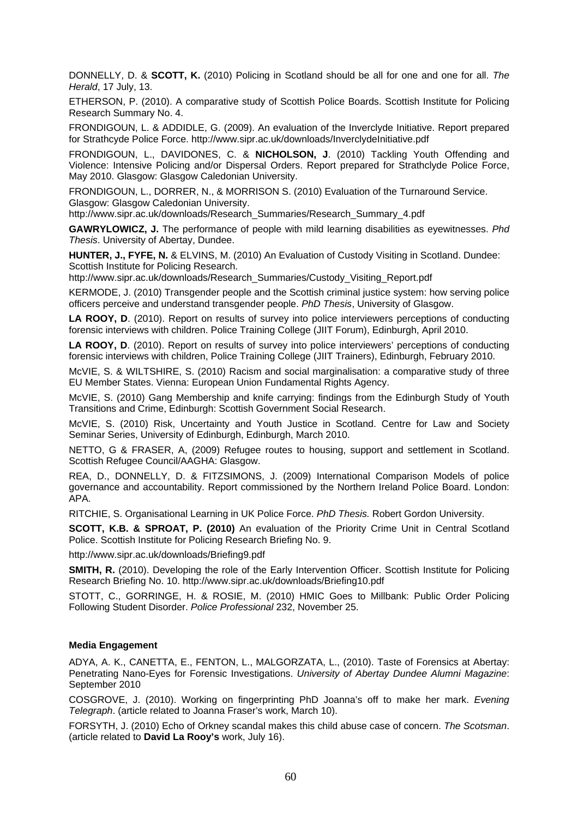DONNELLY, D. & **SCOTT, K.** (2010) Policing in Scotland should be all for one and one for all. *The Herald*, 17 July, 13.

ETHERSON, P. (2010). A comparative study of Scottish Police Boards. Scottish Institute for Policing Research Summary No. 4.

FRONDIGOUN, L. & ADDIDLE, G. (2009). An evaluation of the Inverclyde Initiative. Report prepared for Strathcyde Police Force. http://www.sipr.ac.uk/downloads/InverclydeInitiative.pdf

FRONDIGOUN, L., DAVIDONES, C. & **NICHOLSON, J**. (2010) Tackling Youth Offending and Violence: Intensive Policing and/or Dispersal Orders. Report prepared for Strathclyde Police Force, May 2010. Glasgow: Glasgow Caledonian University.

FRONDIGOUN, L., DORRER, N., & MORRISON S. (2010) Evaluation of the Turnaround Service. Glasgow: Glasgow Caledonian University.

http://www.sipr.ac.uk/downloads/Research\_Summaries/Research\_Summary\_4.pdf

**GAWRYLOWICZ, J.** The performance of people with mild learning disabilities as eyewitnesses. *Phd Thesis*. University of Abertay, Dundee.

**HUNTER, J., FYFE, N.** & ELVINS, M. (2010) An Evaluation of Custody Visiting in Scotland. Dundee: Scottish Institute for Policing Research.

http://www.sipr.ac.uk/downloads/Research\_Summaries/Custody\_Visiting\_Report.pdf

KERMODE, J. (2010) Transgender people and the Scottish criminal justice system: how serving police officers perceive and understand transgender people. *PhD Thesis*, University of Glasgow.

**LA ROOY, D.** (2010). Report on results of survey into police interviewers perceptions of conducting forensic interviews with children. Police Training College (JIIT Forum), Edinburgh, April 2010.

LA ROOY, D. (2010). Report on results of survey into police interviewers' perceptions of conducting forensic interviews with children, Police Training College (JIIT Trainers), Edinburgh, February 2010.

McVIE, S. & WILTSHIRE, S. (2010) Racism and social marginalisation: a comparative study of three EU Member States. Vienna: European Union Fundamental Rights Agency.

McVIE, S. (2010) Gang Membership and knife carrying: findings from the Edinburgh Study of Youth Transitions and Crime, Edinburgh: Scottish Government Social Research.

McVIE, S. (2010) Risk, Uncertainty and Youth Justice in Scotland. Centre for Law and Society Seminar Series, University of Edinburgh, Edinburgh, March 2010.

NETTO, G & FRASER, A, (2009) Refugee routes to housing, support and settlement in Scotland. Scottish Refugee Council/AAGHA: Glasgow.

REA, D., DONNELLY, D. & FITZSIMONS, J. (2009) International Comparison Models of police governance and accountability. Report commissioned by the Northern Ireland Police Board. London: APA.

RITCHIE, S. Organisational Learning in UK Police Force. *PhD Thesis.* Robert Gordon University.

**SCOTT, K.B. & SPROAT, P. (2010)** An evaluation of the Priority Crime Unit in Central Scotland Police. Scottish Institute for Policing Research Briefing No. 9.

http://www.sipr.ac.uk/downloads/Briefing9.pdf

**SMITH, R.** (2010). Developing the role of the Early Intervention Officer. Scottish Institute for Policing Research Briefing No. 10. http://www.sipr.ac.uk/downloads/Briefing10.pdf

STOTT, C., GORRINGE, H. & ROSIE, M. (2010) HMIC Goes to Millbank: Public Order Policing Following Student Disorder. *Police Professional* 232, November 25.

#### **Media Engagement**

ADYA, A. K., CANETTA, E., FENTON, L., MALGORZATA, L., (2010). Taste of Forensics at Abertay: Penetrating Nano-Eyes for Forensic Investigations. *University of Abertay Dundee Alumni Magazine*: September 2010

COSGROVE, J. (2010). Working on fingerprinting PhD Joanna's off to make her mark. *Evening Telegraph*. (article related to Joanna Fraser's work, March 10).

FORSYTH, J. (2010) Echo of Orkney scandal makes this child abuse case of concern. *The Scotsman*. (article related to **David La Rooy's** work, July 16).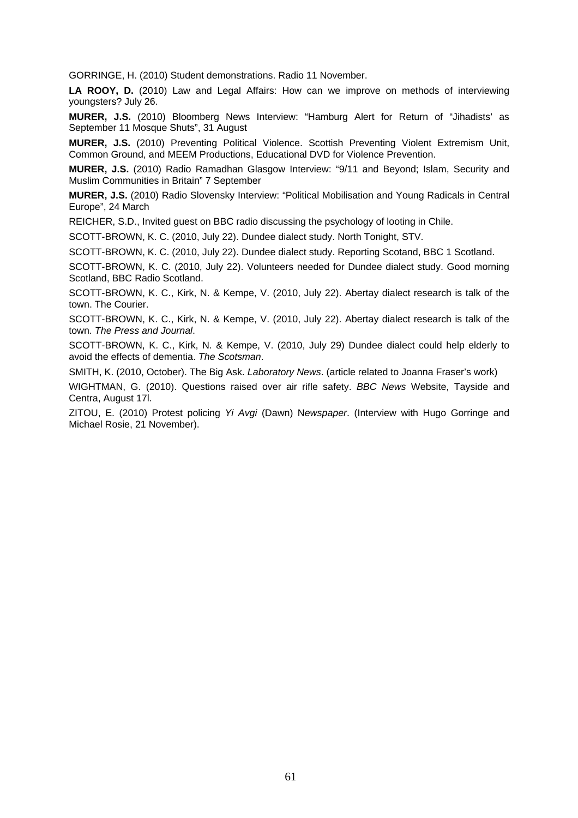GORRINGE, H. (2010) Student demonstrations. Radio 11 November.

LA ROOY, D. (2010) Law and Legal Affairs: How can we improve on methods of interviewing youngsters? July 26.

**MURER, J.S.** (2010) Bloomberg News Interview: "Hamburg Alert for Return of "Jihadists' as September 11 Mosque Shuts", 31 August

**MURER, J.S.** (2010) Preventing Political Violence. Scottish Preventing Violent Extremism Unit, Common Ground, and MEEM Productions, Educational DVD for Violence Prevention.

**MURER, J.S.** (2010) Radio Ramadhan Glasgow Interview: "9/11 and Beyond; Islam, Security and Muslim Communities in Britain" 7 September

**MURER, J.S.** (2010) Radio Slovensky Interview: "Political Mobilisation and Young Radicals in Central Europe", 24 March

REICHER, S.D., Invited guest on BBC radio discussing the psychology of looting in Chile.

SCOTT-BROWN, K. C. (2010, July 22). Dundee dialect study. North Tonight, STV.

SCOTT-BROWN, K. C. (2010, July 22). Dundee dialect study. Reporting Scotand, BBC 1 Scotland.

SCOTT-BROWN, K. C. (2010, July 22). Volunteers needed for Dundee dialect study. Good morning Scotland, BBC Radio Scotland.

SCOTT-BROWN, K. C., Kirk, N. & Kempe, V. (2010, July 22). Abertay dialect research is talk of the town. The Courier.

SCOTT-BROWN, K. C., Kirk, N. & Kempe, V. (2010, July 22). Abertay dialect research is talk of the town. *The Press and Journal*.

SCOTT-BROWN, K. C., Kirk, N. & Kempe, V. (2010, July 29) Dundee dialect could help elderly to avoid the effects of dementia. *The Scotsman*.

SMITH, K. (2010, October). The Big Ask. *Laboratory News*. (article related to Joanna Fraser's work)

WIGHTMAN, G. (2010). Questions raised over air rifle safety. *BBC News* Website, Tayside and Centra, August 17l.

ZITOU, E. (2010) Protest policing *Yi Avgi* (Dawn) N*ewspaper*. (Interview with Hugo Gorringe and Michael Rosie, 21 November).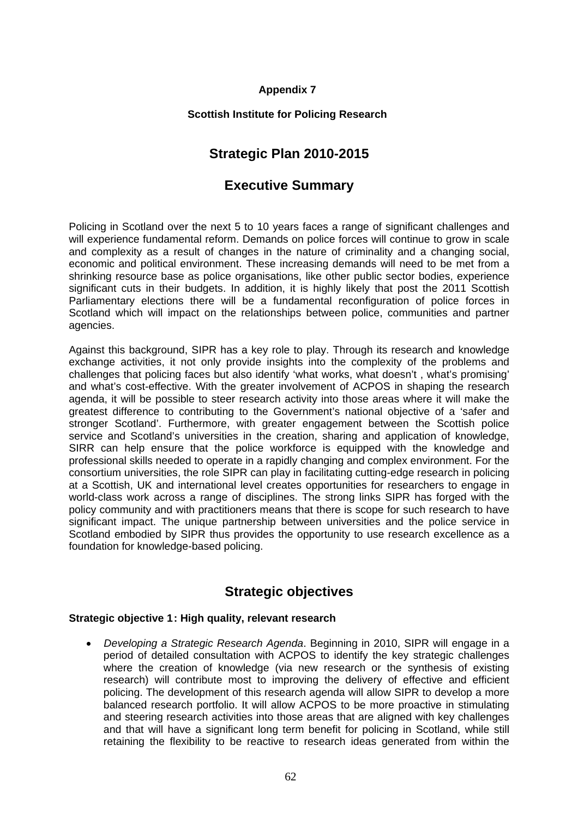## **Appendix 7**

## **Scottish Institute for Policing Research**

# **Strategic Plan 2010-2015**

# **Executive Summary**

Policing in Scotland over the next 5 to 10 years faces a range of significant challenges and will experience fundamental reform. Demands on police forces will continue to grow in scale and complexity as a result of changes in the nature of criminality and a changing social, economic and political environment. These increasing demands will need to be met from a shrinking resource base as police organisations, like other public sector bodies, experience significant cuts in their budgets. In addition, it is highly likely that post the 2011 Scottish Parliamentary elections there will be a fundamental reconfiguration of police forces in Scotland which will impact on the relationships between police, communities and partner agencies.

Against this background, SIPR has a key role to play. Through its research and knowledge exchange activities, it not only provide insights into the complexity of the problems and challenges that policing faces but also identify 'what works, what doesn't , what's promising' and what's cost-effective. With the greater involvement of ACPOS in shaping the research agenda, it will be possible to steer research activity into those areas where it will make the greatest difference to contributing to the Government's national objective of a 'safer and stronger Scotland'. Furthermore, with greater engagement between the Scottish police service and Scotland's universities in the creation, sharing and application of knowledge, SIRR can help ensure that the police workforce is equipped with the knowledge and professional skills needed to operate in a rapidly changing and complex environment. For the consortium universities, the role SIPR can play in facilitating cutting-edge research in policing at a Scottish, UK and international level creates opportunities for researchers to engage in world-class work across a range of disciplines. The strong links SIPR has forged with the policy community and with practitioners means that there is scope for such research to have significant impact. The unique partnership between universities and the police service in Scotland embodied by SIPR thus provides the opportunity to use research excellence as a foundation for knowledge-based policing.

# **Strategic objectives**

## **Strategic objective 1 : High quality, relevant research**

• *Developing a Strategic Research Agenda*. Beginning in 2010, SIPR will engage in a period of detailed consultation with ACPOS to identify the key strategic challenges where the creation of knowledge (via new research or the synthesis of existing research) will contribute most to improving the delivery of effective and efficient policing. The development of this research agenda will allow SIPR to develop a more balanced research portfolio. It will allow ACPOS to be more proactive in stimulating and steering research activities into those areas that are aligned with key challenges and that will have a significant long term benefit for policing in Scotland, while still retaining the flexibility to be reactive to research ideas generated from within the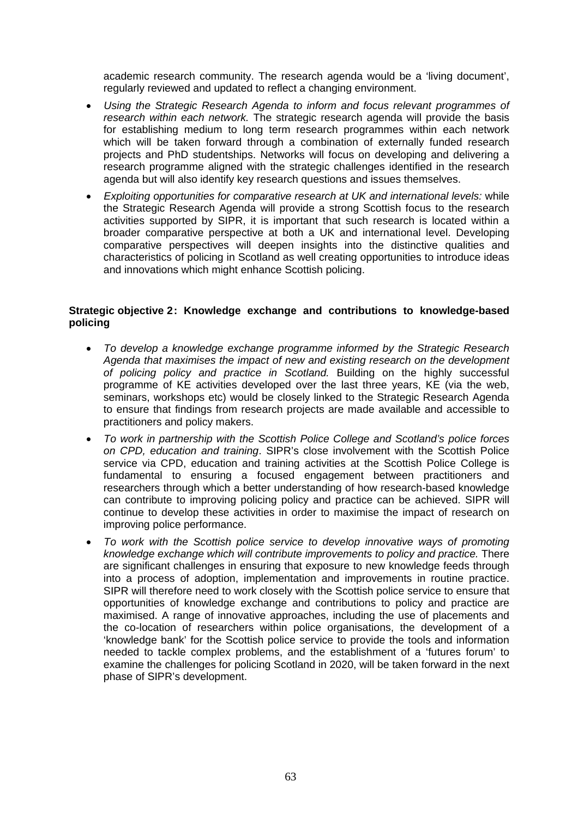academic research community. The research agenda would be a 'living document', regularly reviewed and updated to reflect a changing environment.

- *Using the Strategic Research Agenda to inform and focus relevant programmes of research within each network.* The strategic research agenda will provide the basis for establishing medium to long term research programmes within each network which will be taken forward through a combination of externally funded research projects and PhD studentships. Networks will focus on developing and delivering a research programme aligned with the strategic challenges identified in the research agenda but will also identify key research questions and issues themselves.
- *Exploiting opportunities for comparative research at UK and international levels:* while the Strategic Research Agenda will provide a strong Scottish focus to the research activities supported by SIPR, it is important that such research is located within a broader comparative perspective at both a UK and international level. Developing comparative perspectives will deepen insights into the distinctive qualities and characteristics of policing in Scotland as well creating opportunities to introduce ideas and innovations which might enhance Scottish policing.

### Strategic objective 2: Knowledge exchange and contributions to knowledge-based **policing**

- *To develop a knowledge exchange programme informed by the Strategic Research Agenda that maximises the impact of new and existing research on the development of policing policy and practice in Scotland.* Building on the highly successful programme of KE activities developed over the last three years, KE (via the web, seminars, workshops etc) would be closely linked to the Strategic Research Agenda to ensure that findings from research projects are made available and accessible to practitioners and policy makers.
- *To work in partnership with the Scottish Police College and Scotland's police forces on CPD, education and training*. SIPR's close involvement with the Scottish Police service via CPD, education and training activities at the Scottish Police College is fundamental to ensuring a focused engagement between practitioners and researchers through which a better understanding of how research-based knowledge can contribute to improving policing policy and practice can be achieved. SIPR will continue to develop these activities in order to maximise the impact of research on improving police performance.
- *To work with the Scottish police service to develop innovative ways of promoting knowledge exchange which will contribute improvements to policy and practice.* There are significant challenges in ensuring that exposure to new knowledge feeds through into a process of adoption, implementation and improvements in routine practice. SIPR will therefore need to work closely with the Scottish police service to ensure that opportunities of knowledge exchange and contributions to policy and practice are maximised. A range of innovative approaches, including the use of placements and the co-location of researchers within police organisations, the development of a 'knowledge bank' for the Scottish police service to provide the tools and information needed to tackle complex problems, and the establishment of a 'futures forum' to examine the challenges for policing Scotland in 2020, will be taken forward in the next phase of SIPR's development.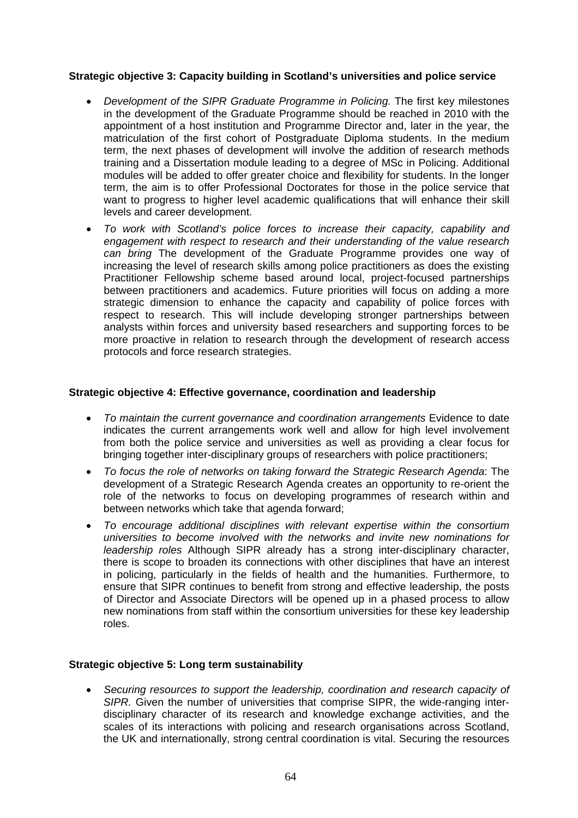### **Strategic objective 3: Capacity building in Scotland's universities and police service**

- *Development of the SIPR Graduate Programme in Policing*. The first key milestones in the development of the Graduate Programme should be reached in 2010 with the appointment of a host institution and Programme Director and, later in the year, the matriculation of the first cohort of Postgraduate Diploma students. In the medium term, the next phases of development will involve the addition of research methods training and a Dissertation module leading to a degree of MSc in Policing. Additional modules will be added to offer greater choice and flexibility for students. In the longer term, the aim is to offer Professional Doctorates for those in the police service that want to progress to higher level academic qualifications that will enhance their skill levels and career development.
- *To work with Scotland's police forces to increase their capacity, capability and engagement with respect to research and their understanding of the value research can bring* The development of the Graduate Programme provides one way of increasing the level of research skills among police practitioners as does the existing Practitioner Fellowship scheme based around local, project-focused partnerships between practitioners and academics. Future priorities will focus on adding a more strategic dimension to enhance the capacity and capability of police forces with respect to research. This will include developing stronger partnerships between analysts within forces and university based researchers and supporting forces to be more proactive in relation to research through the development of research access protocols and force research strategies.

#### **Strategic objective 4: Effective governance, coordination and leadership**

- To maintain the current governance and coordination arrangements Evidence to date indicates the current arrangements work well and allow for high level involvement from both the police service and universities as well as providing a clear focus for bringing together inter-disciplinary groups of researchers with police practitioners;
- *To focus the role of networks on taking forward the Strategic Research Agenda*: The development of a Strategic Research Agenda creates an opportunity to re-orient the role of the networks to focus on developing programmes of research within and between networks which take that agenda forward;
- *To encourage additional disciplines with relevant expertise within the consortium universities to become involved with the networks and invite new nominations for leadership roles* Although SIPR already has a strong inter-disciplinary character, there is scope to broaden its connections with other disciplines that have an interest in policing, particularly in the fields of health and the humanities. Furthermore, to ensure that SIPR continues to benefit from strong and effective leadership, the posts of Director and Associate Directors will be opened up in a phased process to allow new nominations from staff within the consortium universities for these key leadership roles.

## **Strategic objective 5: Long term sustainability**

• *Securing resources to support the leadership, coordination and research capacity of SIPR.* Given the number of universities that comprise SIPR, the wide-ranging interdisciplinary character of its research and knowledge exchange activities, and the scales of its interactions with policing and research organisations across Scotland, the UK and internationally, strong central coordination is vital. Securing the resources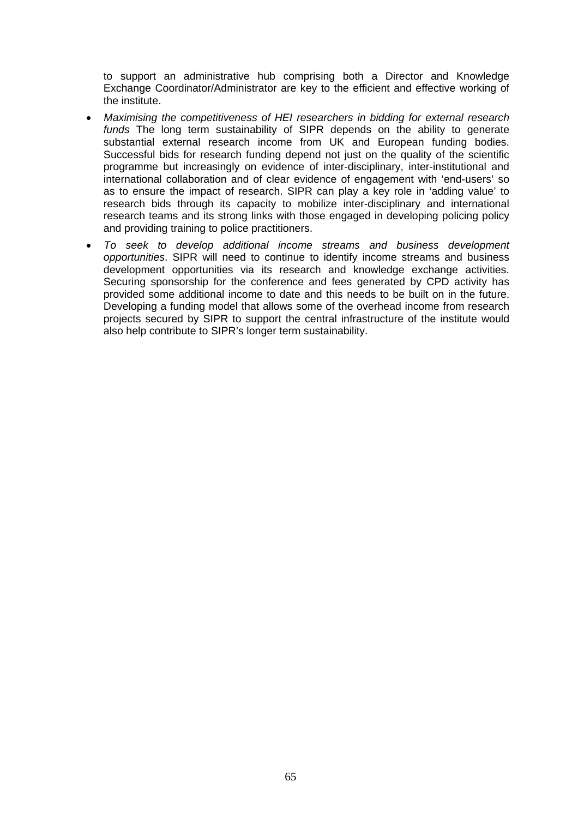to support an administrative hub comprising both a Director and Knowledge Exchange Coordinator/Administrator are key to the efficient and effective working of the institute.

- *Maximising the competitiveness of HEI researchers in bidding for external research funds* The long term sustainability of SIPR depends on the ability to generate substantial external research income from UK and European funding bodies. Successful bids for research funding depend not just on the quality of the scientific programme but increasingly on evidence of inter-disciplinary, inter-institutional and international collaboration and of clear evidence of engagement with 'end-users' so as to ensure the impact of research. SIPR can play a key role in 'adding value' to research bids through its capacity to mobilize inter-disciplinary and international research teams and its strong links with those engaged in developing policing policy and providing training to police practitioners.
- *To seek to develop additional income streams and business development opportunities*. SIPR will need to continue to identify income streams and business development opportunities via its research and knowledge exchange activities. Securing sponsorship for the conference and fees generated by CPD activity has provided some additional income to date and this needs to be built on in the future. Developing a funding model that allows some of the overhead income from research projects secured by SIPR to support the central infrastructure of the institute would also help contribute to SIPR's longer term sustainability.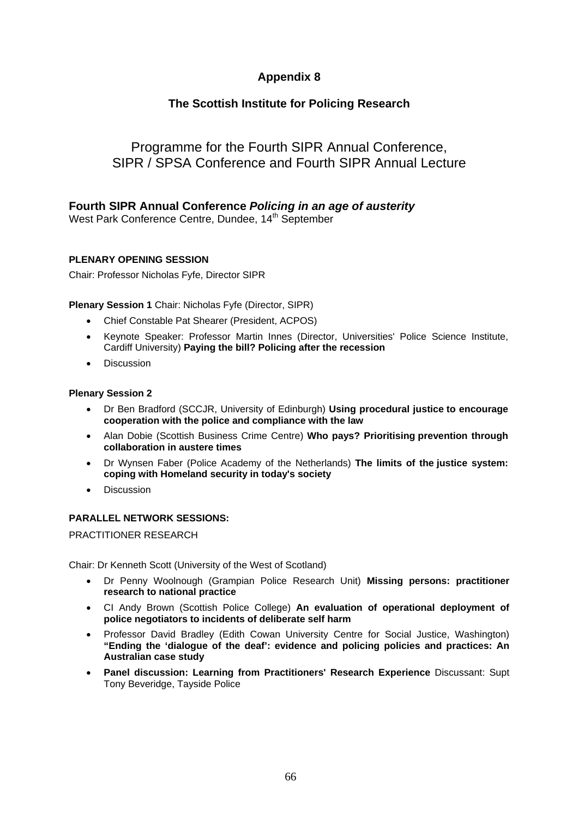# **Appendix 8**

## **The Scottish Institute for Policing Research**

# Programme for the Fourth SIPR Annual Conference, SIPR / SPSA Conference and Fourth SIPR Annual Lecture

## **Fourth SIPR Annual Conference** *Policing in an age of austerity*

West Park Conference Centre, Dundee, 14<sup>th</sup> September

#### **PLENARY OPENING SESSION**

Chair: Professor Nicholas Fyfe, Director SIPR

**Plenary Session 1** Chair: Nicholas Fyfe (Director, SIPR)

- Chief Constable Pat Shearer (President, ACPOS)
- Keynote Speaker: Professor Martin Innes (Director, Universities' Police Science Institute, Cardiff University) **Paying the bill? Policing after the recession**
- Discussion

#### **Plenary Session 2**

- Dr Ben Bradford (SCCJR, University of Edinburgh) **Using procedural justice to encourage cooperation with the police and compliance with the law**
- Alan Dobie (Scottish Business Crime Centre) **Who pays? Prioritising prevention through collaboration in austere times**
- Dr Wynsen Faber (Police Academy of the Netherlands) **The limits of the justice system: coping with Homeland security in today's society**
- **Discussion**

#### **PARALLEL NETWORK SESSIONS:**

PRACTITIONER RESEARCH

Chair: Dr Kenneth Scott (University of the West of Scotland)

- Dr Penny Woolnough (Grampian Police Research Unit) **Missing persons: practitioner research to national practice**
- CI Andy Brown (Scottish Police College) **An evaluation of operational deployment of police negotiators to incidents of deliberate self harm**
- Professor David Bradley (Edith Cowan University Centre for Social Justice, Washington) **"Ending the 'dialogue of the deaf': evidence and policing policies and practices: An Australian case study**
- **Panel discussion: Learning from Practitioners' Research Experience** Discussant: Supt Tony Beveridge, Tayside Police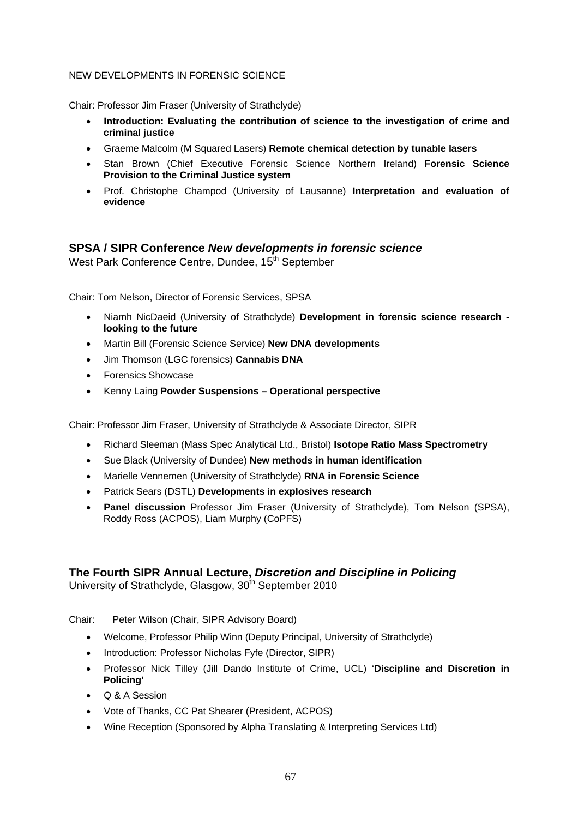### NEW DEVELOPMENTS IN FORENSIC SCIENCE

Chair: Professor Jim Fraser (University of Strathclyde)

- **Introduction: Evaluating the contribution of science to the investigation of crime and criminal justice**
- Graeme Malcolm (M Squared Lasers) **Remote chemical detection by tunable lasers**
- Stan Brown (Chief Executive Forensic Science Northern Ireland) **Forensic Science Provision to the Criminal Justice system**
- Prof. Christophe Champod (University of Lausanne) **Interpretation and evaluation of evidence**

## **SPSA / SIPR Conference** *New developments in forensic science*

West Park Conference Centre, Dundee, 15<sup>th</sup> September

Chair: Tom Nelson, Director of Forensic Services, SPSA

- Niamh NicDaeid (University of Strathclyde) **Development in forensic science research looking to the future**
- Martin Bill (Forensic Science Service) **New DNA developments**
- Jim Thomson (LGC forensics) **Cannabis DNA**
- Forensics Showcase
- Kenny Laing **Powder Suspensions Operational perspective**

Chair: Professor Jim Fraser, University of Strathclyde & Associate Director, SIPR

- Richard Sleeman (Mass Spec Analytical Ltd., Bristol) **Isotope Ratio Mass Spectrometry**
- Sue Black (University of Dundee) **New methods in human identification**
- Marielle Vennemen (University of Strathclyde) **RNA in Forensic Science**
- Patrick Sears (DSTL) **Developments in explosives research**
- **Panel discussion** Professor Jim Fraser (University of Strathclyde), Tom Nelson (SPSA), Roddy Ross (ACPOS), Liam Murphy (CoPFS)

## **The Fourth SIPR Annual Lecture,** *Discretion and Discipline in Policing*

University of Strathclyde, Glasgow, 30<sup>th</sup> September 2010

Chair: Peter Wilson (Chair, SIPR Advisory Board)

- Welcome, Professor Philip Winn (Deputy Principal, University of Strathclyde)
- Introduction: Professor Nicholas Fyfe (Director, SIPR)
- Professor Nick Tilley (Jill Dando Institute of Crime, UCL) '**Discipline and Discretion in Policing'**
- Q & A Session
- Vote of Thanks, CC Pat Shearer (President, ACPOS)
- Wine Reception (Sponsored by Alpha Translating & Interpreting Services Ltd)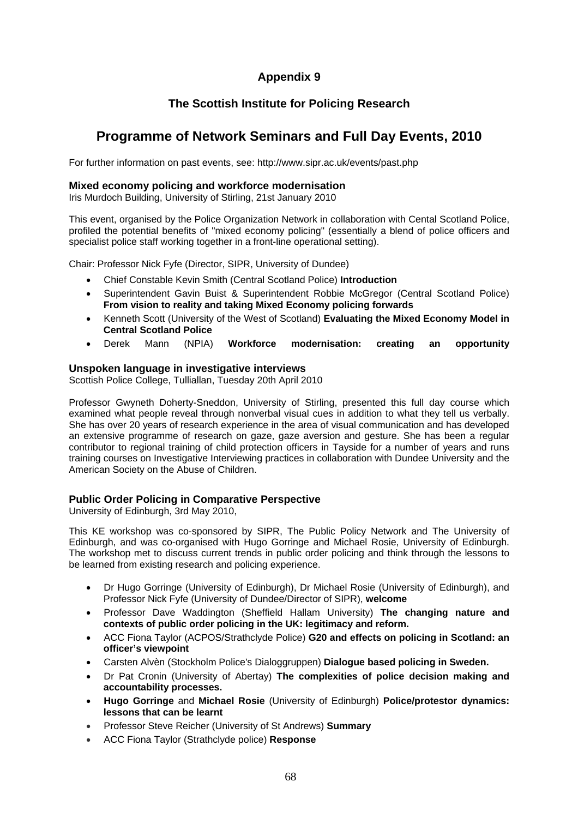# **Appendix 9**

## **The Scottish Institute for Policing Research**

# **Programme of Network Seminars and Full Day Events, 2010**

For further information on past events, see: http://www.sipr.ac.uk/events/past.php

#### **Mixed economy policing and workforce modernisation**

Iris Murdoch Building, University of Stirling, 21st January 2010

This event, organised by the Police Organization Network in collaboration with Cental Scotland Police, profiled the potential benefits of "mixed economy policing" (essentially a blend of police officers and specialist police staff working together in a front-line operational setting).

Chair: Professor Nick Fyfe (Director, SIPR, University of Dundee)

- Chief Constable Kevin Smith (Central Scotland Police) **Introduction**
- Superintendent Gavin Buist & Superintendent Robbie McGregor (Central Scotland Police) **From vision to reality and taking Mixed Economy policing forwards**
- Kenneth Scott (University of the West of Scotland) **Evaluating the Mixed Economy Model in Central Scotland Police**
- Derek Mann (NPIA) **Workforce modernisation: creating an opportunity**

#### **Unspoken language in investigative interviews**

Scottish Police College, Tulliallan, Tuesday 20th April 2010

Professor Gwyneth Doherty-Sneddon, University of Stirling, presented this full day course which examined what people reveal through nonverbal visual cues in addition to what they tell us verbally. She has over 20 years of research experience in the area of visual communication and has developed an extensive programme of research on gaze, gaze aversion and gesture. She has been a regular contributor to regional training of child protection officers in Tayside for a number of years and runs training courses on Investigative Interviewing practices in collaboration with Dundee University and the American Society on the Abuse of Children.

#### **Public Order Policing in Comparative Perspective**

University of Edinburgh, 3rd May 2010,

This KE workshop was co-sponsored by SIPR, The Public Policy Network and The University of Edinburgh, and was co-organised with Hugo Gorringe and Michael Rosie, University of Edinburgh. The workshop met to discuss current trends in public order policing and think through the lessons to be learned from existing research and policing experience.

- Dr Hugo Gorringe (University of Edinburgh), Dr Michael Rosie (University of Edinburgh), and Professor Nick Fyfe (University of Dundee/Director of SIPR), **welcome**
- Professor Dave Waddington (Sheffield Hallam University) **The changing nature and contexts of public order policing in the UK: legitimacy and reform.**
- ACC Fiona Taylor (ACPOS/Strathclyde Police) **G20 and effects on policing in Scotland: an officer's viewpoint**
- Carsten Alvèn (Stockholm Police's Dialoggruppen) **Dialogue based policing in Sweden.**
- Dr Pat Cronin (University of Abertay) **The complexities of police decision making and accountability processes.**
- **Hugo Gorringe** and **Michael Rosie** (University of Edinburgh) **Police/protestor dynamics: lessons that can be learnt**
- Professor Steve Reicher (University of St Andrews) **Summary**
- ACC Fiona Taylor (Strathclyde police) **Response**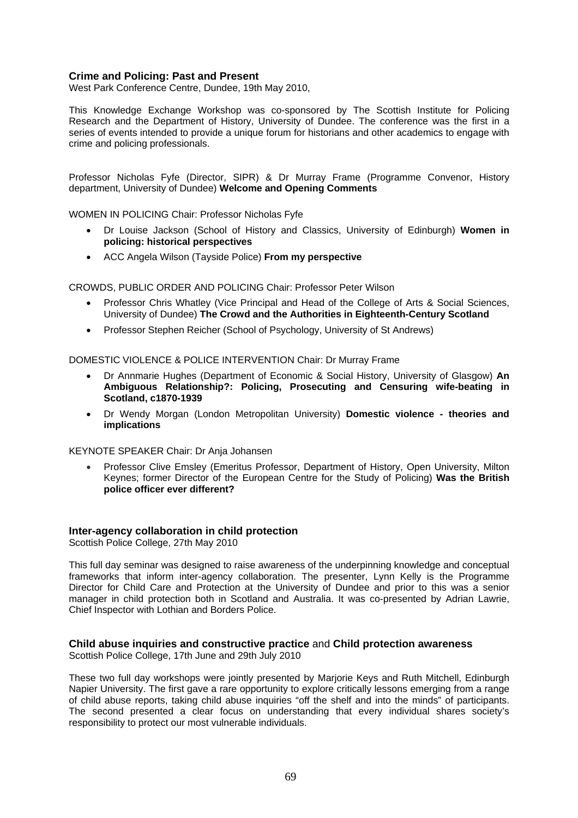#### **Crime and Policing: Past and Present**

West Park Conference Centre, Dundee, 19th May 2010,

This Knowledge Exchange Workshop was co-sponsored by The Scottish Institute for Policing Research and the Department of History, University of Dundee. The conference was the first in a series of events intended to provide a unique forum for historians and other academics to engage with crime and policing professionals.

Professor Nicholas Fyfe (Director, SIPR) & Dr Murray Frame (Programme Convenor, History department, University of Dundee) **Welcome and Opening Comments** 

WOMEN IN POLICING Chair: Professor Nicholas Fyfe

- Dr Louise Jackson (School of History and Classics, University of Edinburgh) **Women in policing: historical perspectives**
- ACC Angela Wilson (Tayside Police) **From my perspective**

CROWDS, PUBLIC ORDER AND POLICING Chair: Professor Peter Wilson

- Professor Chris Whatley (Vice Principal and Head of the College of Arts & Social Sciences, University of Dundee) **The Crowd and the Authorities in Eighteenth-Century Scotland**
- Professor Stephen Reicher (School of Psychology, University of St Andrews)

DOMESTIC VIOLENCE & POLICE INTERVENTION Chair: Dr Murray Frame

- Dr Annmarie Hughes (Department of Economic & Social History, University of Glasgow) **An Ambiguous Relationship?: Policing, Prosecuting and Censuring wife-beating in Scotland, c1870-1939**
- Dr Wendy Morgan (London Metropolitan University) **Domestic violence theories and implications**

KEYNOTE SPEAKER Chair: Dr Anja Johansen

• Professor Clive Emsley (Emeritus Professor, Department of History, Open University, Milton Keynes; former Director of the European Centre for the Study of Policing) **Was the British police officer ever different?** 

#### **Inter-agency collaboration in child protection**

Scottish Police College, 27th May 2010

This full day seminar was designed to raise awareness of the underpinning knowledge and conceptual frameworks that inform inter-agency collaboration. The presenter, Lynn Kelly is the Programme Director for Child Care and Protection at the University of Dundee and prior to this was a senior manager in child protection both in Scotland and Australia. It was co-presented by Adrian Lawrie, Chief Inspector with Lothian and Borders Police.

#### **Child abuse inquiries and constructive practice** and **Child protection awareness**

Scottish Police College, 17th June and 29th July 2010

These two full day workshops were jointly presented by Marjorie Keys and Ruth Mitchell, Edinburgh Napier University. The first gave a rare opportunity to explore critically lessons emerging from a range of child abuse reports, taking child abuse inquiries "off the shelf and into the minds" of participants. The second presented a clear focus on understanding that every individual shares society's responsibility to protect our most vulnerable individuals.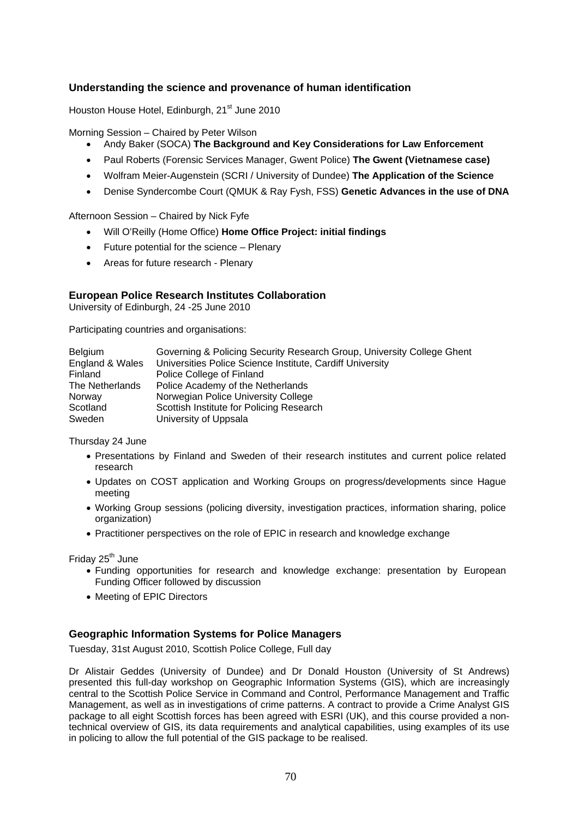#### **Understanding the science and provenance of human identification**

Houston House Hotel, Edinburgh, 21<sup>st</sup> June 2010

Morning Session – Chaired by Peter Wilson

- Andy Baker (SOCA) **The Background and Key Considerations for Law Enforcement**
- Paul Roberts (Forensic Services Manager, Gwent Police) **The Gwent (Vietnamese case)**
- Wolfram Meier-Augenstein (SCRI / University of Dundee) **The Application of the Science**
- Denise Syndercombe Court (QMUK & Ray Fysh, FSS) **Genetic Advances in the use of DNA**

Afternoon Session – Chaired by Nick Fyfe

- Will O'Reilly (Home Office) **Home Office Project: initial findings**
- Future potential for the science Plenary
- Areas for future research Plenary

#### **European Police Research Institutes Collaboration**

University of Edinburgh, 24 -25 June 2010

Participating countries and organisations:

| <b>Belgium</b>  | Governing & Policing Security Research Group, University College Ghent |
|-----------------|------------------------------------------------------------------------|
| England & Wales | Universities Police Science Institute, Cardiff University              |
| <b>Finland</b>  | Police College of Finland                                              |
| The Netherlands | Police Academy of the Netherlands                                      |
| Norway          | Norwegian Police University College                                    |
| Scotland        | Scottish Institute for Policing Research                               |
| Sweden          | University of Uppsala                                                  |

Thursday 24 June

- Presentations by Finland and Sweden of their research institutes and current police related research
- Updates on COST application and Working Groups on progress/developments since Hague meeting
- Working Group sessions (policing diversity, investigation practices, information sharing, police organization)
- Practitioner perspectives on the role of EPIC in research and knowledge exchange

Friday 25<sup>th</sup> June

- Funding opportunities for research and knowledge exchange: presentation by European Funding Officer followed by discussion
- Meeting of EPIC Directors

#### **Geographic Information Systems for Police Managers**

Tuesday, 31st August 2010, Scottish Police College, Full day

Dr Alistair Geddes (University of Dundee) and Dr Donald Houston (University of St Andrews) presented this full-day workshop on Geographic Information Systems (GIS), which are increasingly central to the Scottish Police Service in Command and Control, Performance Management and Traffic Management, as well as in investigations of crime patterns. A contract to provide a Crime Analyst GIS package to all eight Scottish forces has been agreed with ESRI (UK), and this course provided a nontechnical overview of GIS, its data requirements and analytical capabilities, using examples of its use in policing to allow the full potential of the GIS package to be realised.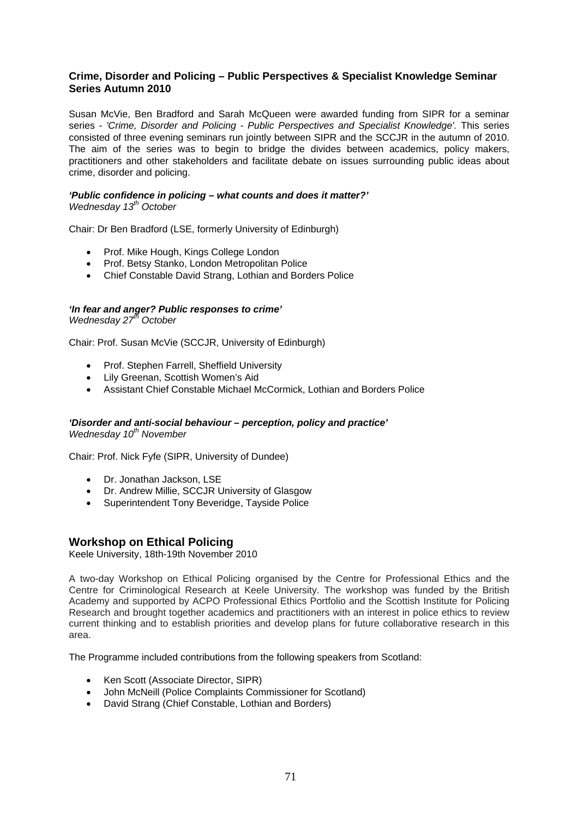#### **Crime, Disorder and Policing – Public Perspectives & Specialist Knowledge Seminar Series Autumn 2010**

Susan McVie, Ben Bradford and Sarah McQueen were awarded funding from SIPR for a seminar series - *'Crime, Disorder and Policing - Public Perspectives and Specialist Knowledge'.* This series consisted of three evening seminars run jointly between SIPR and the SCCJR in the autumn of 2010. The aim of the series was to begin to bridge the divides between academics, policy makers, practitioners and other stakeholders and facilitate debate on issues surrounding public ideas about crime, disorder and policing.

#### *'Public confidence in policing – what counts and does it matter?' Wednesday 13th October*

Chair: Dr Ben Bradford (LSE, formerly University of Edinburgh)

- Prof. Mike Hough, Kings College London
- Prof. Betsy Stanko, London Metropolitan Police
- Chief Constable David Strang, Lothian and Borders Police

#### *'In fear and anger? Public responses to crime' Wednesday 27th October*

Chair: Prof. Susan McVie (SCCJR, University of Edinburgh)

- Prof. Stephen Farrell, Sheffield University
- Lily Greenan, Scottish Women's Aid
- Assistant Chief Constable Michael McCormick, Lothian and Borders Police

#### *'Disorder and anti-social behaviour – perception, policy and practice'*

*Wednesday 10th November* 

Chair: Prof. Nick Fyfe (SIPR, University of Dundee)

- Dr. Jonathan Jackson, LSE
- Dr. Andrew Millie, SCCJR University of Glasgow
- Superintendent Tony Beveridge, Tayside Police

#### **Workshop on Ethical Policing**

Keele University, 18th-19th November 2010

A two-day Workshop on Ethical Policing organised by the Centre for Professional Ethics and the Centre for Criminological Research at Keele University. The workshop was funded by the British Academy and supported by ACPO Professional Ethics Portfolio and the Scottish Institute for Policing Research and brought together academics and practitioners with an interest in police ethics to review current thinking and to establish priorities and develop plans for future collaborative research in this area.

The Programme included contributions from the following speakers from Scotland:

- Ken Scott (Associate Director, SIPR)
- John McNeill (Police Complaints Commissioner for Scotland)
- David Strang (Chief Constable, Lothian and Borders)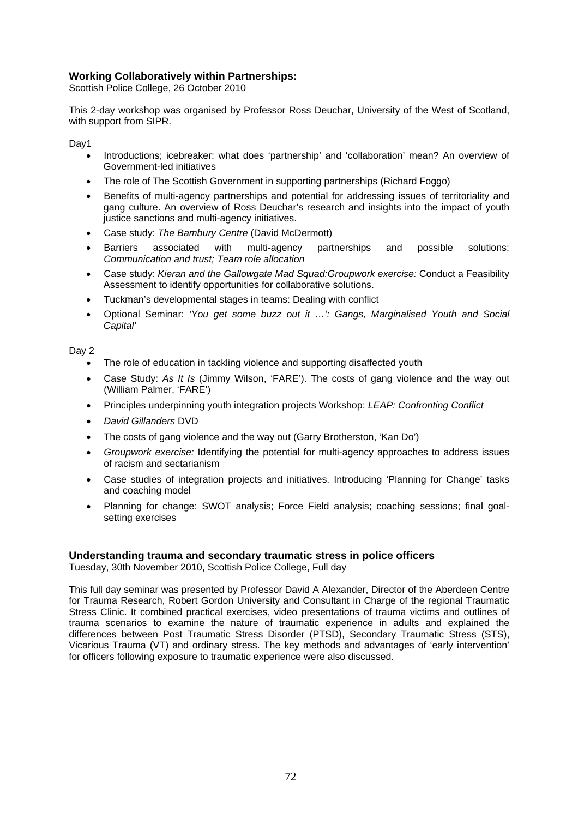#### **Working Collaboratively within Partnerships:**

Scottish Police College, 26 October 2010

This 2-day workshop was organised by Professor Ross Deuchar, University of the West of Scotland, with support from SIPR.

Day1

- Introductions; icebreaker: what does 'partnership' and 'collaboration' mean? An overview of Government-led initiatives
- The role of The Scottish Government in supporting partnerships (Richard Foggo)
- Benefits of multi-agency partnerships and potential for addressing issues of territoriality and gang culture. An overview of Ross Deuchar's research and insights into the impact of youth justice sanctions and multi-agency initiatives.
- Case study: *The Bambury Centre* (David McDermott)
- Barriers associated with multi-agency partnerships and possible solutions: *Communication and trust; Team role allocation*
- Case study: *Kieran and the Gallowgate Mad Squad:Groupwork exercise:* Conduct a Feasibility Assessment to identify opportunities for collaborative solutions.
- Tuckman's developmental stages in teams: Dealing with conflict
- Optional Seminar: *'You get some buzz out it …': Gangs, Marginalised Youth and Social Capital'*

Day 2

- The role of education in tackling violence and supporting disaffected youth
- Case Study: *As It Is* (Jimmy Wilson, 'FARE'). The costs of gang violence and the way out (William Palmer, 'FARE')
- Principles underpinning youth integration projects Workshop: *LEAP: Confronting Conflict*
- *David Gillanders* DVD
- The costs of gang violence and the way out (Garry Brotherston, 'Kan Do')
- *Groupwork exercise:* Identifying the potential for multi-agency approaches to address issues of racism and sectarianism
- Case studies of integration projects and initiatives. Introducing 'Planning for Change' tasks and coaching model
- Planning for change: SWOT analysis; Force Field analysis; coaching sessions; final goalsetting exercises

#### **Understanding trauma and secondary traumatic stress in police officers**

Tuesday, 30th November 2010, Scottish Police College, Full day

This full day seminar was presented by Professor David A Alexander, Director of the Aberdeen Centre for Trauma Research, Robert Gordon University and Consultant in Charge of the regional Traumatic Stress Clinic. It combined practical exercises, video presentations of trauma victims and outlines of trauma scenarios to examine the nature of traumatic experience in adults and explained the differences between Post Traumatic Stress Disorder (PTSD), Secondary Traumatic Stress (STS), Vicarious Trauma (VT) and ordinary stress. The key methods and advantages of 'early intervention' for officers following exposure to traumatic experience were also discussed.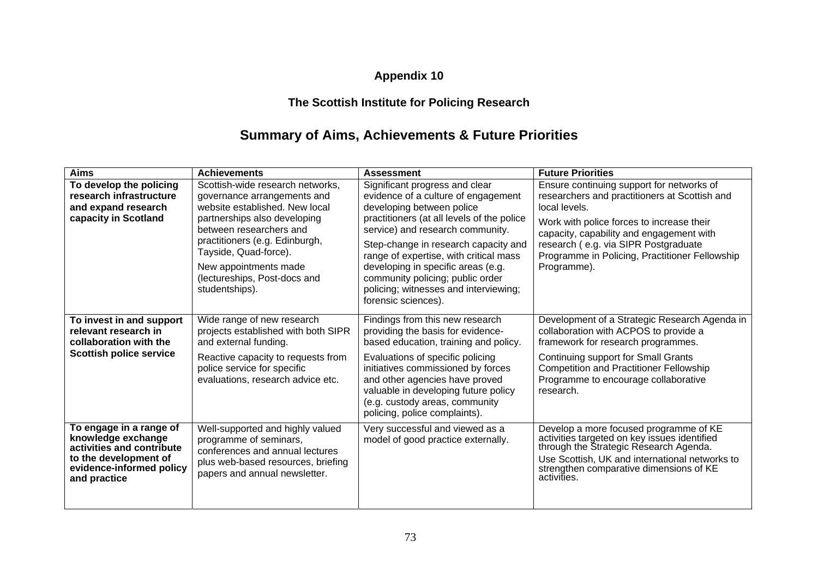## **Appendix 10**

## **The Scottish Institute for Policing Research**

# **Summary of Aims, Achievements & Future Priorities**

| <b>Aims</b>                                                                                                                                     | <b>Achievements</b>                                                                                                                                                                                                                                                                                | <b>Assessment</b>                                                                                                                                                                                                                                                                                                                                                                                                | <b>Future Priorities</b>                                                                                                                                                                                                                                                                                      |
|-------------------------------------------------------------------------------------------------------------------------------------------------|----------------------------------------------------------------------------------------------------------------------------------------------------------------------------------------------------------------------------------------------------------------------------------------------------|------------------------------------------------------------------------------------------------------------------------------------------------------------------------------------------------------------------------------------------------------------------------------------------------------------------------------------------------------------------------------------------------------------------|---------------------------------------------------------------------------------------------------------------------------------------------------------------------------------------------------------------------------------------------------------------------------------------------------------------|
| To develop the policing<br>research infrastructure<br>and expand research<br>capacity in Scotland                                               | Scottish-wide research networks,<br>governance arrangements and<br>website established. New local<br>partnerships also developing<br>between researchers and<br>practitioners (e.g. Edinburgh,<br>Tayside, Quad-force).<br>New appointments made<br>(lectureships, Post-docs and<br>studentships). | Significant progress and clear<br>evidence of a culture of engagement<br>developing between police<br>practitioners (at all levels of the police<br>service) and research community.<br>Step-change in research capacity and<br>range of expertise, with critical mass<br>developing in specific areas (e.g.<br>community policing; public order<br>policing; witnesses and interviewing;<br>forensic sciences). | Ensure continuing support for networks of<br>researchers and practitioners at Scottish and<br>local levels.<br>Work with police forces to increase their<br>capacity, capability and engagement with<br>research (e.g. via SIPR Postgraduate<br>Programme in Policing, Practitioner Fellowship<br>Programme). |
| To invest in and support<br>relevant research in<br>collaboration with the<br><b>Scottish police service</b>                                    | Wide range of new research<br>projects established with both SIPR<br>and external funding.<br>Reactive capacity to requests from<br>police service for specific<br>evaluations, research advice etc.                                                                                               | Findings from this new research<br>providing the basis for evidence-<br>based education, training and policy.<br>Evaluations of specific policing<br>initiatives commissioned by forces<br>and other agencies have proved<br>valuable in developing future policy<br>(e.g. custody areas, community<br>policing, police complaints).                                                                             | Development of a Strategic Research Agenda in<br>collaboration with ACPOS to provide a<br>framework for research programmes.<br>Continuing support for Small Grants<br><b>Competition and Practitioner Fellowship</b><br>Programme to encourage collaborative<br>research.                                    |
| To engage in a range of<br>knowledge exchange<br>activities and contribute<br>to the development of<br>evidence-informed policy<br>and practice | Well-supported and highly valued<br>programme of seminars,<br>conferences and annual lectures<br>plus web-based resources, briefing<br>papers and annual newsletter.                                                                                                                               | Very successful and viewed as a<br>model of good practice externally.                                                                                                                                                                                                                                                                                                                                            | Develop a more focused programme of KE<br>activities targeted on key issues identified<br>through the Strategic Research Agenda.<br>Use Scottish, UK and international networks to<br>strengthen comparative dimensions of KE<br>activities.                                                                  |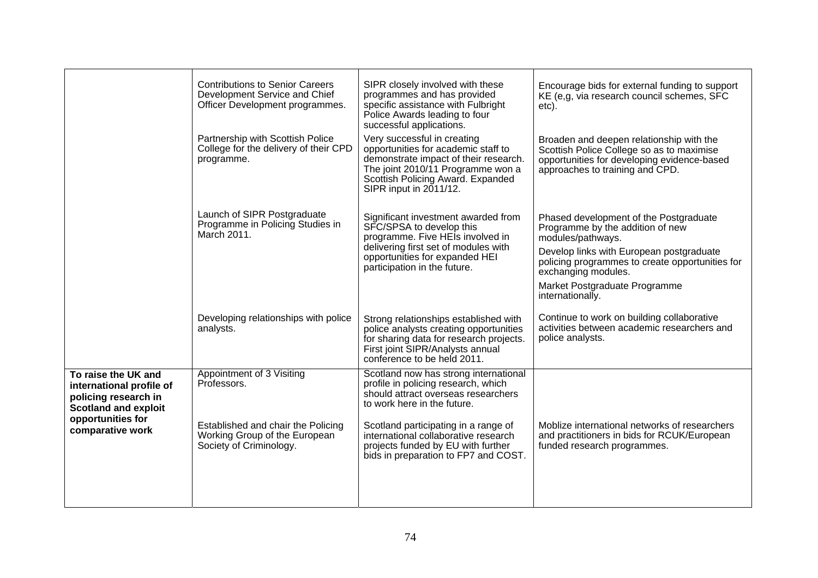|                                                                                                                                                 | <b>Contributions to Senior Careers</b><br>Development Service and Chief<br>Officer Development programmes.                                 | SIPR closely involved with these<br>programmes and has provided<br>specific assistance with Fulbright<br>Police Awards leading to four<br>successful applications.                                                                                                                                               | Encourage bids for external funding to support<br>KE (e,g, via research council schemes, SFC<br>etc).                                                                                                                                                                      |
|-------------------------------------------------------------------------------------------------------------------------------------------------|--------------------------------------------------------------------------------------------------------------------------------------------|------------------------------------------------------------------------------------------------------------------------------------------------------------------------------------------------------------------------------------------------------------------------------------------------------------------|----------------------------------------------------------------------------------------------------------------------------------------------------------------------------------------------------------------------------------------------------------------------------|
|                                                                                                                                                 | Partnership with Scottish Police<br>College for the delivery of their CPD<br>programme.                                                    | Very successful in creating<br>opportunities for academic staff to<br>demonstrate impact of their research.<br>The joint 2010/11 Programme won a<br>Scottish Policing Award. Expanded<br>SIPR input in 2011/12.                                                                                                  | Broaden and deepen relationship with the<br>Scottish Police College so as to maximise<br>opportunities for developing evidence-based<br>approaches to training and CPD.                                                                                                    |
|                                                                                                                                                 | Launch of SIPR Postgraduate<br>Programme in Policing Studies in<br>March 2011.                                                             | Significant investment awarded from<br>SFC/SPSA to develop this<br>programme. Five HEIs involved in<br>delivering first set of modules with<br>opportunities for expanded HEI<br>participation in the future.                                                                                                    | Phased development of the Postgraduate<br>Programme by the addition of new<br>modules/pathways.<br>Develop links with European postgraduate<br>policing programmes to create opportunities for<br>exchanging modules.<br>Market Postgraduate Programme<br>internationally. |
|                                                                                                                                                 | Developing relationships with police<br>analysts.                                                                                          | Strong relationships established with<br>police analysts creating opportunities<br>for sharing data for research projects.<br>First joint SIPR/Analysts annual<br>conference to be held 2011.                                                                                                                    | Continue to work on building collaborative<br>activities between academic researchers and<br>police analysts.                                                                                                                                                              |
| To raise the UK and<br>international profile of<br>policing research in<br><b>Scotland and exploit</b><br>opportunities for<br>comparative work | Appointment of 3 Visiting<br>Professors.<br>Established and chair the Policing<br>Working Group of the European<br>Society of Criminology. | Scotland now has strong international<br>profile in policing research, which<br>should attract overseas researchers<br>to work here in the future.<br>Scotland participating in a range of<br>international collaborative research<br>projects funded by EU with further<br>bids in preparation to FP7 and COST. | Moblize international networks of researchers<br>and practitioners in bids for RCUK/European<br>funded research programmes.                                                                                                                                                |
|                                                                                                                                                 |                                                                                                                                            |                                                                                                                                                                                                                                                                                                                  |                                                                                                                                                                                                                                                                            |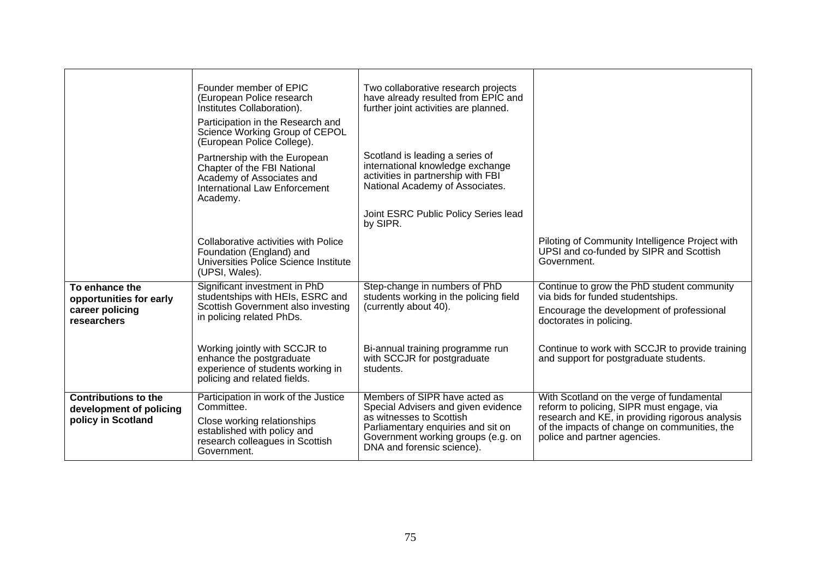|                                                                              | Founder member of EPIC<br>(European Police research<br>Institutes Collaboration).<br>Participation in the Research and<br>Science Working Group of CEPOL<br>(European Police College). | Two collaborative research projects<br>have already resulted from EPIC and<br>further joint activities are planned.                                                                                        |                                                                                                                                                                                                                           |
|------------------------------------------------------------------------------|----------------------------------------------------------------------------------------------------------------------------------------------------------------------------------------|------------------------------------------------------------------------------------------------------------------------------------------------------------------------------------------------------------|---------------------------------------------------------------------------------------------------------------------------------------------------------------------------------------------------------------------------|
|                                                                              | Partnership with the European<br>Chapter of the FBI National<br>Academy of Associates and<br><b>International Law Enforcement</b><br>Academy.                                          | Scotland is leading a series of<br>international knowledge exchange<br>activities in partnership with FBI<br>National Academy of Associates.                                                               |                                                                                                                                                                                                                           |
|                                                                              |                                                                                                                                                                                        | Joint ESRC Public Policy Series lead<br>by SIPR.                                                                                                                                                           |                                                                                                                                                                                                                           |
|                                                                              | Collaborative activities with Police<br>Foundation (England) and<br>Universities Police Science Institute<br>(UPSI, Wales).                                                            |                                                                                                                                                                                                            | Piloting of Community Intelligence Project with<br>UPSI and co-funded by SIPR and Scottish<br>Government.                                                                                                                 |
| To enhance the<br>opportunities for early<br>career policing<br>researchers  | Significant investment in PhD<br>studentships with HEIs, ESRC and<br>Scottish Government also investing<br>in policing related PhDs.                                                   | Step-change in numbers of PhD<br>students working in the policing field<br>(currently about 40).                                                                                                           | Continue to grow the PhD student community<br>via bids for funded studentships.<br>Encourage the development of professional<br>doctorates in policing.                                                                   |
|                                                                              | Working jointly with SCCJR to<br>enhance the postgraduate<br>experience of students working in<br>policing and related fields.                                                         | Bi-annual training programme run<br>with SCCJR for postgraduate<br>students.                                                                                                                               | Continue to work with SCCJR to provide training<br>and support for postgraduate students.                                                                                                                                 |
| <b>Contributions to the</b><br>development of policing<br>policy in Scotland | Participation in work of the Justice<br>Committee.<br>Close working relationships<br>established with policy and<br>research colleagues in Scottish<br>Government.                     | Members of SIPR have acted as<br>Special Advisers and given evidence<br>as witnesses to Scottish<br>Parliamentary enquiries and sit on<br>Government working groups (e.g. on<br>DNA and forensic science). | With Scotland on the verge of fundamental<br>reform to policing, SIPR must engage, via<br>research and KE, in providing rigorous analysis<br>of the impacts of change on communities, the<br>police and partner agencies. |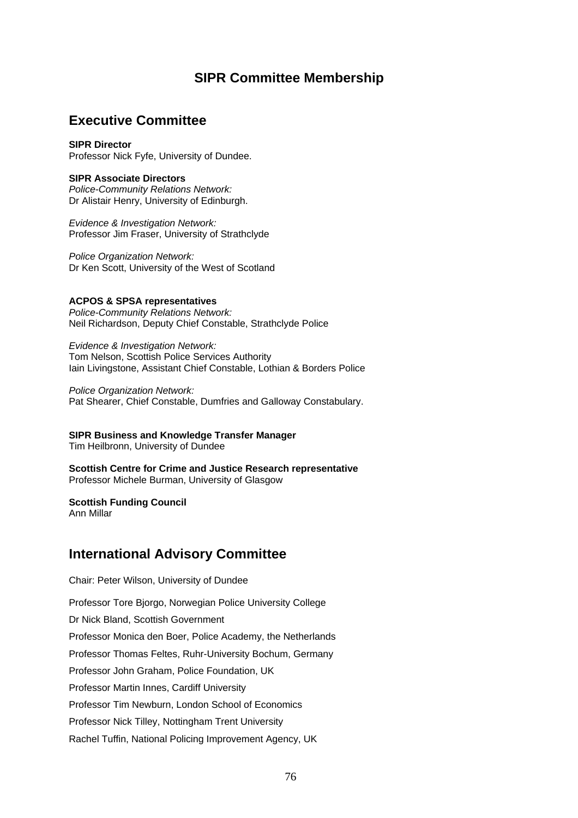### **SIPR Committee Membership**

### **Executive Committee**

#### **SIPR Director**

Professor Nick Fyfe, University of Dundee.

#### **SIPR Associate Directors**

*Police-Community Relations Network:*  Dr Alistair Henry, University of Edinburgh.

*Evidence & Investigation Network:*  Professor Jim Fraser, University of Strathclyde

*Police Organization Network:*  Dr Ken Scott, University of the West of Scotland

#### **ACPOS & SPSA representatives**

*Police-Community Relations Network:*  Neil Richardson, Deputy Chief Constable, Strathclyde Police

*Evidence & Investigation Network:*  Tom Nelson, Scottish Police Services Authority Iain Livingstone, Assistant Chief Constable, Lothian & Borders Police

*Police Organization Network:*  Pat Shearer, Chief Constable, Dumfries and Galloway Constabulary.

#### **SIPR Business and Knowledge Transfer Manager**

Tim Heilbronn, University of Dundee

**Scottish Centre for Crime and Justice Research representative** Professor Michele Burman, University of Glasgow

#### **Scottish Funding Council**

Ann Millar

### **International Advisory Committee**

Chair: Peter Wilson, University of Dundee

Professor Tore Bjorgo, Norwegian Police University College

Dr Nick Bland, Scottish Government

Professor Monica den Boer, Police Academy, the Netherlands

Professor Thomas Feltes, Ruhr-University Bochum, Germany

Professor John Graham, Police Foundation, UK

Professor Martin Innes, Cardiff University

Professor Tim Newburn, London School of Economics

Professor Nick Tilley, Nottingham Trent University

Rachel Tuffin, National Policing Improvement Agency, UK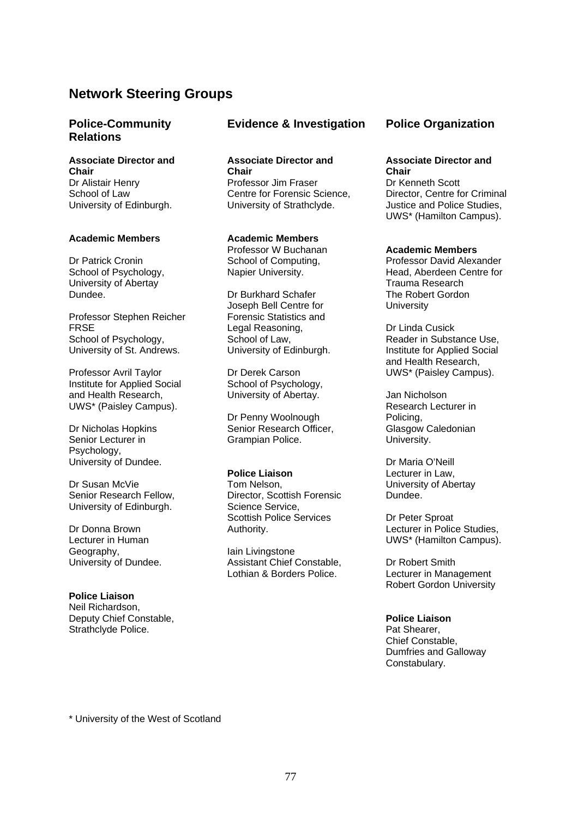### **Network Steering Groups**

### **Police-Community Relations**

**Associate Director and Chair** Dr Alistair Henry School of Law University of Edinburgh.

#### **Academic Members**

Dr Patrick Cronin School of Psychology, University of Abertay Dundee.

Professor Stephen Reicher FRSE School of Psychology, University of St. Andrews.

Professor Avril Taylor Institute for Applied Social and Health Research, UWS\* (Paisley Campus).

Dr Nicholas Hopkins Senior Lecturer in Psychology, University of Dundee.

Dr Susan McVie Senior Research Fellow, University of Edinburgh.

Dr Donna Brown Lecturer in Human Geography, University of Dundee.

**Police Liaison**  Neil Richardson, Deputy Chief Constable, Strathclyde Police.

#### **Evidence & Investigation Police Organization**

**Associate Director and Chair**  Professor Jim Fraser Centre for Forensic Science, University of Strathclyde.

#### **Academic Members**

Professor W Buchanan School of Computing, Napier University.

Dr Burkhard Schafer Joseph Bell Centre for Forensic Statistics and Legal Reasoning, School of Law, University of Edinburgh.

Dr Derek Carson School of Psychology, University of Abertay.

Dr Penny Woolnough Senior Research Officer, Grampian Police.

#### **Police Liaison**

Tom Nelson, Director, Scottish Forensic Science Service, Scottish Police Services Authority.

Iain Livingstone Assistant Chief Constable, Lothian & Borders Police.

#### **Associate Director and Chair**

Dr Kenneth Scott Director, Centre for Criminal Justice and Police Studies, UWS\* (Hamilton Campus).

#### **Academic Members**

Professor David Alexander Head, Aberdeen Centre for Trauma Research The Robert Gordon **University** 

Dr Linda Cusick Reader in Substance Use, Institute for Applied Social and Health Research, UWS\* (Paisley Campus).

Jan Nicholson Research Lecturer in Policing, Glasgow Caledonian University.

Dr Maria O'Neill Lecturer in Law, University of Abertay Dundee.

Dr Peter Sproat Lecturer in Police Studies, UWS\* (Hamilton Campus).

Dr Robert Smith Lecturer in Management Robert Gordon University

**Police Liaison**  Pat Shearer, Chief Constable, Dumfries and Galloway Constabulary.

\* University of the West of Scotland